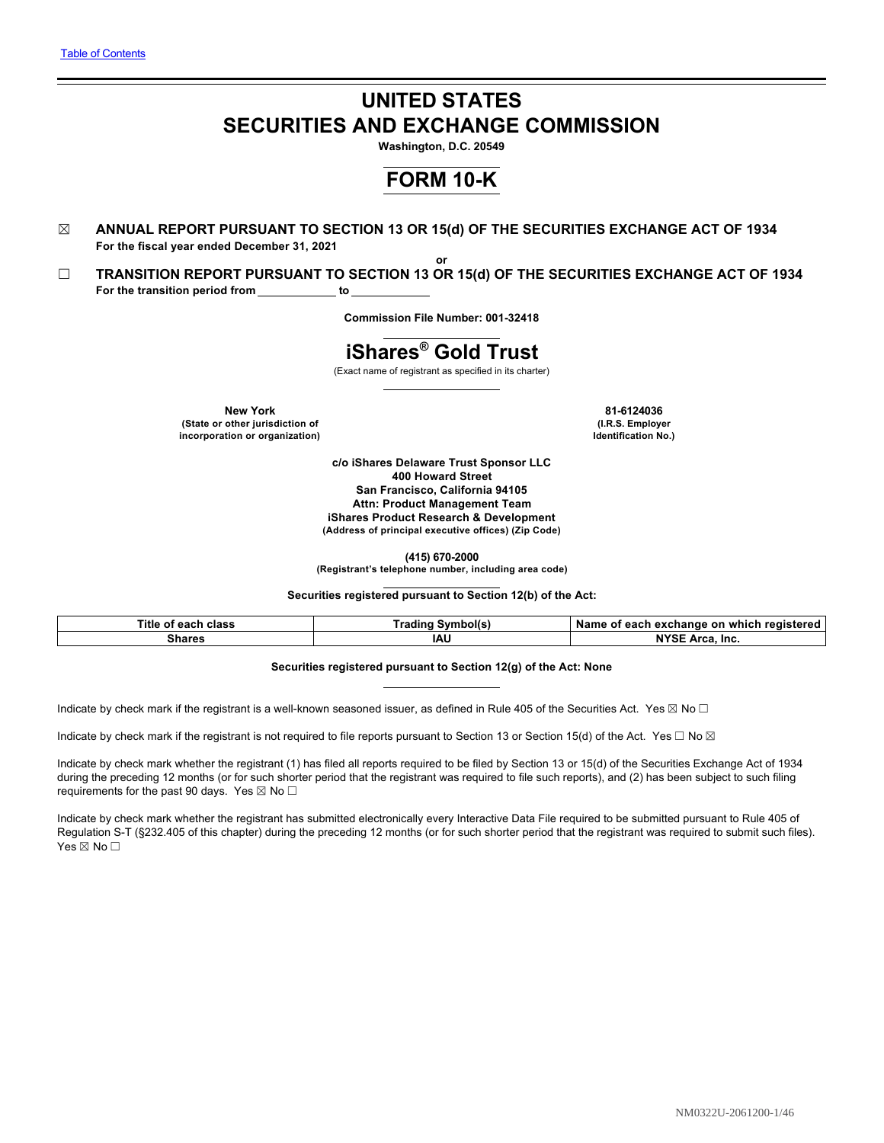# **UNITED STATES SECURITIES AND EXCHANGE COMMISSION**

**Washington, D.C. 20549**

# **FORM 10-K**

- ☒ **ANNUAL REPORT PURSUANT TO SECTION 13 OR 15(d) OF THE SECURITIES EXCHANGE ACT OF 1934 For the fiscal year ended December 31, 2021**
- ☐ **TRANSITION REPORT PURSUANT TO SECTION 13 OR 15(d) OF THE SECURITIES EXCHANGE ACT OF 1934** For the transition period from **the same of the state of the state of the state of the state of the state of the state of the state of the state of the state of the state of the state of the state of the state of the state**

**Commission File Number: 001-32418**

**or**

# **iShares® Gold Trust**

(Exact name of registrant as specified in its charter)

**New York 81-6124036 (State or other jurisdiction of incorporation or organization)**

**(I.R.S. Employer Identification No.)**

**c/o iShares Delaware Trust Sponsor LLC 400 Howard Street San Francisco, California 94105 Attn: Product Management Team iShares Product Research & Development (Address of principal executive offices) (Zip Code)**

**(415) 670-2000**

**(Registrant's telephone number, including area code)**

**Securities registered pursuant to Section 12(b) of the Act:**

| Title<br>class<br>each<br>$\mathbf{U}$ | <br>mbol(s<br>sv.<br>radino | i exchange on<br>reaistered<br>Name<br>each<br>which<br>O1 |
|----------------------------------------|-----------------------------|------------------------------------------------------------|
| Shares<br>.                            | <b>IAU</b>                  | NYS <sup>r</sup><br>Inc.<br>A ros<br>- 1                   |

## **Securities registered pursuant to Section 12(g) of the Act: None**

Indicate by check mark if the registrant is a well-known seasoned issuer, as defined in Rule 405 of the Securities Act. Yes ⊠ No □

Indicate by check mark if the registrant is not required to file reports pursuant to Section 13 or Section 15(d) of the Act. Yes  $\Box$  No  $\boxtimes$ 

Indicate by check mark whether the registrant (1) has filed all reports required to be filed by Section 13 or 15(d) of the Securities Exchange Act of 1934 during the preceding 12 months (or for such shorter period that the registrant was required to file such reports), and (2) has been subject to such filing requirements for the past 90 days. Yes  $\boxtimes$  No $\Box$ 

Indicate by check mark whether the registrant has submitted electronically every Interactive Data File required to be submitted pursuant to Rule 405 of Regulation S-T (§232.405 of this chapter) during the preceding 12 months (or for such shorter period that the registrant was required to submit such files). Yes ⊠ No □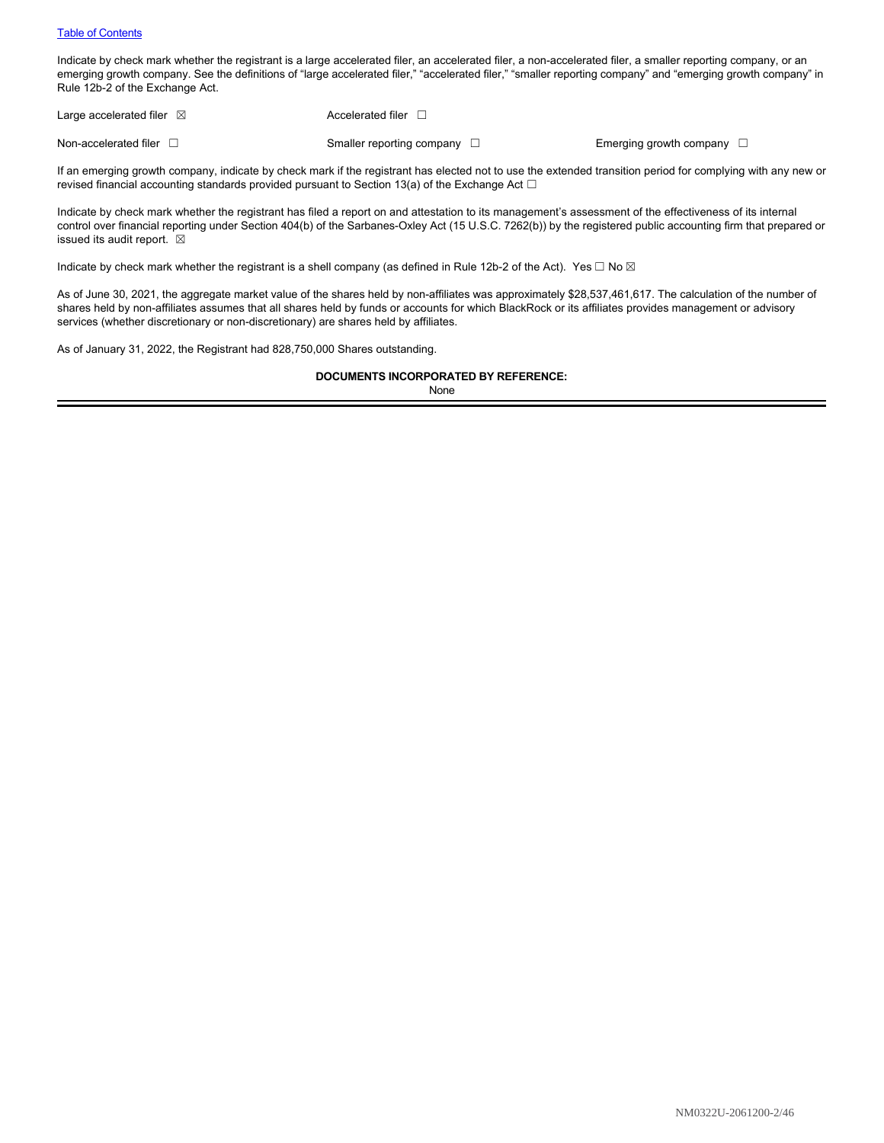## **[Table of Contents](#page-3-0)**

Indicate by check mark whether the registrant is a large accelerated filer, an accelerated filer, a non-accelerated filer, a smaller reporting company, or an emerging growth company. See the definitions of "large accelerated filer," "accelerated filer," "smaller reporting company" and "emerging growth company" in Rule 12b-2 of the Exchange Act.

Large accelerated filer  $□$  Accelerated filer  $□$ 

Non-accelerated filer  ☐ Smaller reporting company  ☐ Emerging growth company  ☐

If an emerging growth company, indicate by check mark if the registrant has elected not to use the extended transition period for complying with any new or revised financial accounting standards provided pursuant to Section 13(a) of the Exchange Act  $□$ 

Indicate by check mark whether the registrant has filed a report on and attestation to its management's assessment of the effectiveness of its internal control over financial reporting under Section 404(b) of the Sarbanes-Oxley Act (15 U.S.C. 7262(b)) by the registered public accounting firm that prepared or issued its audit report.  $\boxtimes$ 

Indicate by check mark whether the registrant is a shell company (as defined in Rule 12b-2 of the Act). Yes  $\Box$  No  $\boxtimes$ 

As of June 30, 2021, the aggregate market value of the shares held by non-affiliates was approximately \$28,537,461,617. The calculation of the number of shares held by non-affiliates assumes that all shares held by funds or accounts for which BlackRock or its affiliates provides management or advisory services (whether discretionary or non-discretionary) are shares held by affiliates.

As of January 31, 2022, the Registrant had 828,750,000 Shares outstanding.

#### **DOCUMENTS INCORPORATED BY REFERENCE:**

None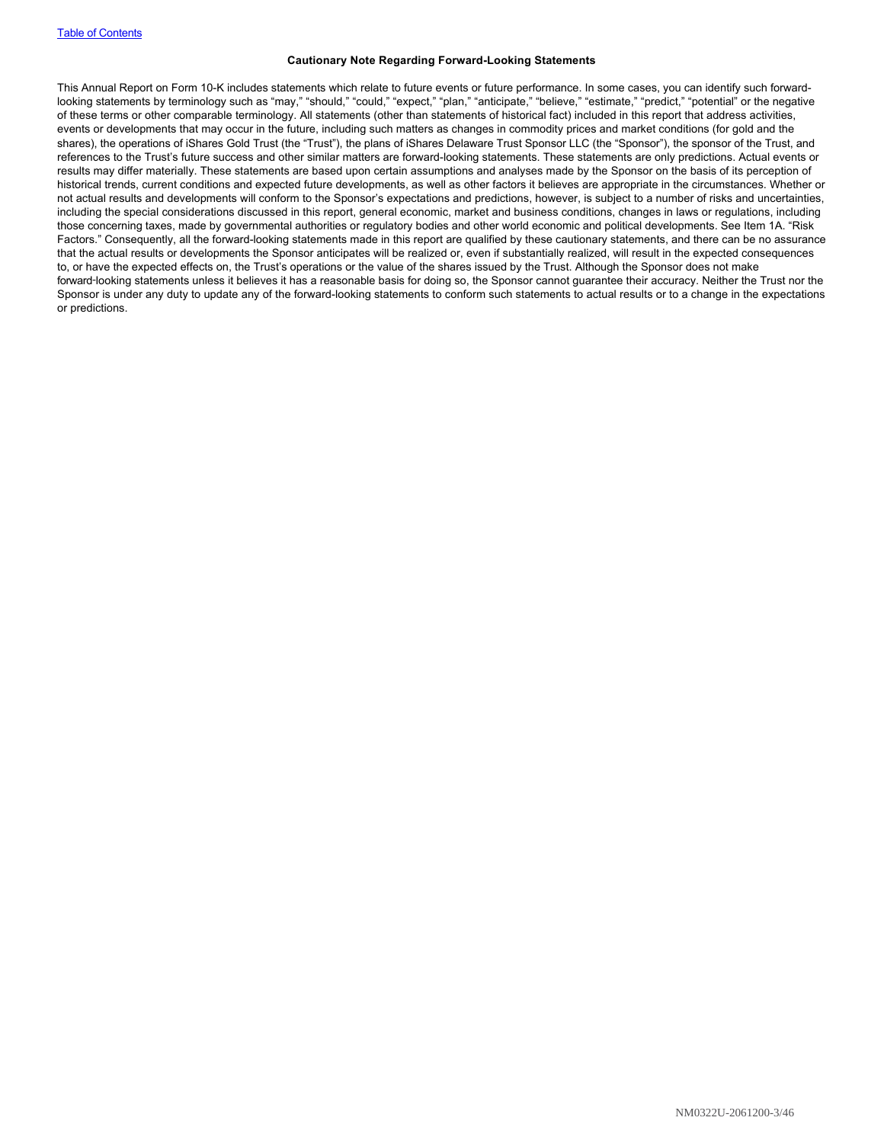#### **Cautionary Note Regarding Forward-Looking Statements**

This Annual Report on Form 10-K includes statements which relate to future events or future performance. In some cases, you can identify such forwardlooking statements by terminology such as "may," "should," "could," "expect," "plan," "anticipate," "believe," "estimate," "predict," "potential" or the negative of these terms or other comparable terminology. All statements (other than statements of historical fact) included in this report that address activities, events or developments that may occur in the future, including such matters as changes in commodity prices and market conditions (for gold and the shares), the operations of iShares Gold Trust (the "Trust"), the plans of iShares Delaware Trust Sponsor LLC (the "Sponsor"), the sponsor of the Trust, and references to the Trust's future success and other similar matters are forward-looking statements. These statements are only predictions. Actual events or results may differ materially. These statements are based upon certain assumptions and analyses made by the Sponsor on the basis of its perception of historical trends, current conditions and expected future developments, as well as other factors it believes are appropriate in the circumstances. Whether or not actual results and developments will conform to the Sponsor's expectations and predictions, however, is subject to a number of risks and uncertainties, including the special considerations discussed in this report, general economic, market and business conditions, changes in laws or regulations, including those concerning taxes, made by governmental authorities or regulatory bodies and other world economic and political developments. See Item 1A. "Risk Factors." Consequently, all the forward-looking statements made in this report are qualified by these cautionary statements, and there can be no assurance that the actual results or developments the Sponsor anticipates will be realized or, even if substantially realized, will result in the expected consequences to, or have the expected effects on, the Trust's operations or the value of the shares issued by the Trust. Although the Sponsor does not make forward-looking statements unless it believes it has a reasonable basis for doing so, the Sponsor cannot guarantee their accuracy. Neither the Trust nor the Sponsor is under any duty to update any of the forward-looking statements to conform such statements to actual results or to a change in the expectations or predictions.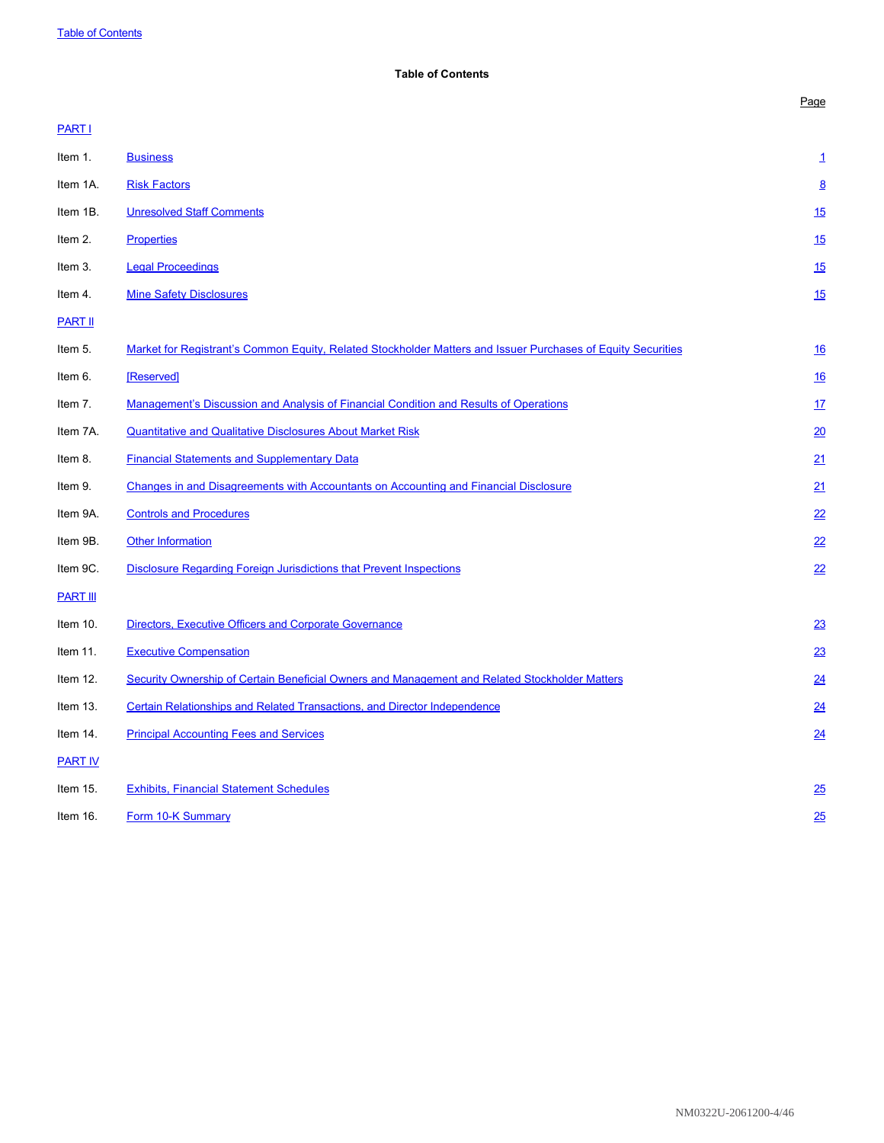<span id="page-3-0"></span>

|                 |                                                                                                              | Page            |
|-----------------|--------------------------------------------------------------------------------------------------------------|-----------------|
| <b>PART</b>     |                                                                                                              |                 |
| Item 1.         | <b>Business</b>                                                                                              | $\overline{1}$  |
| Item 1A.        | <b>Risk Factors</b>                                                                                          | $\underline{8}$ |
| Item 1B.        | <b>Unresolved Staff Comments</b>                                                                             | <u>15</u>       |
| Item 2.         | <b>Properties</b>                                                                                            | 15              |
| Item 3.         | <b>Legal Proceedings</b>                                                                                     | 15              |
| Item 4.         | <b>Mine Safety Disclosures</b>                                                                               | 15              |
| <b>PART II</b>  |                                                                                                              |                 |
| Item 5.         | Market for Registrant's Common Equity, Related Stockholder Matters and Issuer Purchases of Equity Securities | <u>16</u>       |
| Item 6.         | [Reserved]                                                                                                   | <u>16</u>       |
| Item 7.         | Management's Discussion and Analysis of Financial Condition and Results of Operations                        | 17              |
| Item 7A.        | <b>Quantitative and Qualitative Disclosures About Market Risk</b>                                            | 20              |
| Item 8.         | <b>Financial Statements and Supplementary Data</b>                                                           | 21              |
| Item 9.         | Changes in and Disagreements with Accountants on Accounting and Financial Disclosure                         | 21              |
| Item 9A.        | <b>Controls and Procedures</b>                                                                               | 22              |
| Item 9B.        | <b>Other Information</b>                                                                                     | 22              |
| Item 9C.        | Disclosure Regarding Foreign Jurisdictions that Prevent Inspections                                          | 22              |
| <b>PART III</b> |                                                                                                              |                 |
| Item 10.        | Directors, Executive Officers and Corporate Governance                                                       | 23              |
| Item 11.        | <b>Executive Compensation</b>                                                                                | 23              |
| Item 12.        | Security Ownership of Certain Beneficial Owners and Management and Related Stockholder Matters               | 24              |
| Item 13.        | Certain Relationships and Related Transactions, and Director Independence                                    | 24              |
| Item 14.        | <b>Principal Accounting Fees and Services</b>                                                                | 24              |
| <b>PART IV</b>  |                                                                                                              |                 |
| Item 15.        | <b>Exhibits, Financial Statement Schedules</b>                                                               | 25              |
| Item 16.        | Form 10-K Summary                                                                                            | 25              |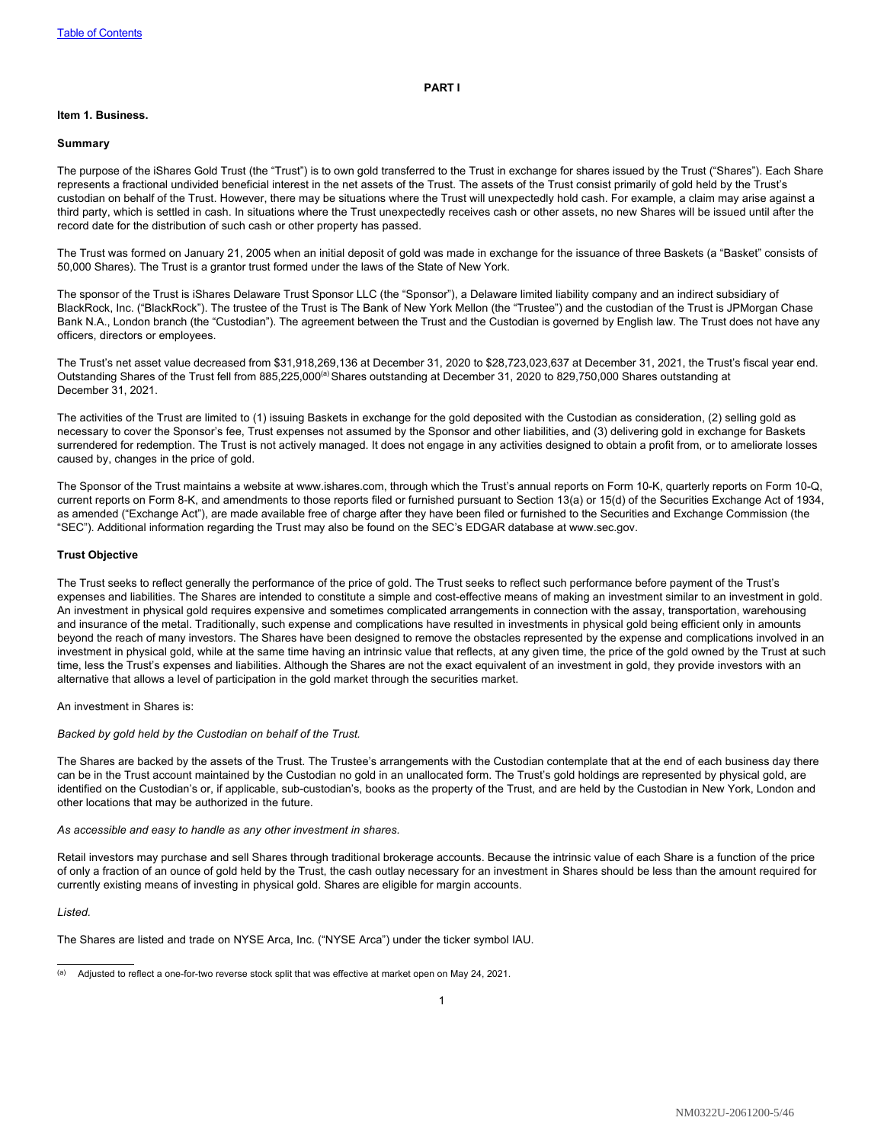# <span id="page-4-0"></span>**PART I**

## <span id="page-4-1"></span>**Item 1. Business.**

## **Summary**

The purpose of the iShares Gold Trust (the "Trust") is to own gold transferred to the Trust in exchange for shares issued by the Trust ("Shares"). Each Share represents a fractional undivided beneficial interest in the net assets of the Trust. The assets of the Trust consist primarily of gold held by the Trust's custodian on behalf of the Trust. However, there may be situations where the Trust will unexpectedly hold cash. For example, a claim may arise against a third party, which is settled in cash. In situations where the Trust unexpectedly receives cash or other assets, no new Shares will be issued until after the record date for the distribution of such cash or other property has passed.

The Trust was formed on January 21, 2005 when an initial deposit of gold was made in exchange for the issuance of three Baskets (a "Basket" consists of 50,000 Shares). The Trust is a grantor trust formed under the laws of the State of New York.

The sponsor of the Trust is iShares Delaware Trust Sponsor LLC (the "Sponsor"), a Delaware limited liability company and an indirect subsidiary of BlackRock, Inc. ("BlackRock"). The trustee of the Trust is The Bank of New York Mellon (the "Trustee") and the custodian of the Trust is JPMorgan Chase Bank N.A., London branch (the "Custodian"). The agreement between the Trust and the Custodian is governed by English law. The Trust does not have any officers, directors or employees.

The Trust's net asset value decreased from \$31,918,269,136 at December 31, 2020 to \$28,723,023,637 at December 31, 2021, the Trust's fiscal year end. Outstanding Shares of the Trust fell from 885,225,000<sup>(a)</sup> Shares outstanding at December 31, 2020 to 829,750,000 Shares outstanding at December 31, 2021.

The activities of the Trust are limited to (1) issuing Baskets in exchange for the gold deposited with the Custodian as consideration, (2) selling gold as necessary to cover the Sponsor's fee, Trust expenses not assumed by the Sponsor and other liabilities, and (3) delivering gold in exchange for Baskets surrendered for redemption. The Trust is not actively managed. It does not engage in any activities designed to obtain a profit from, or to ameliorate losses caused by, changes in the price of gold.

The Sponsor of the Trust maintains a website at www.ishares.com, through which the Trust's annual reports on Form 10-K, quarterly reports on Form 10-Q, current reports on Form 8-K, and amendments to those reports filed or furnished pursuant to Section 13(a) or 15(d) of the Securities Exchange Act of 1934, as amended ("Exchange Act"), are made available free of charge after they have been filed or furnished to the Securities and Exchange Commission (the "SEC"). Additional information regarding the Trust may also be found on the SEC's EDGAR database at www.sec.gov.

## **Trust Objective**

The Trust seeks to reflect generally the performance of the price of gold. The Trust seeks to reflect such performance before payment of the Trust's expenses and liabilities. The Shares are intended to constitute a simple and cost-effective means of making an investment similar to an investment in gold. An investment in physical gold requires expensive and sometimes complicated arrangements in connection with the assay, transportation, warehousing and insurance of the metal. Traditionally, such expense and complications have resulted in investments in physical gold being efficient only in amounts beyond the reach of many investors. The Shares have been designed to remove the obstacles represented by the expense and complications involved in an investment in physical gold, while at the same time having an intrinsic value that reflects, at any given time, the price of the gold owned by the Trust at such time, less the Trust's expenses and liabilities. Although the Shares are not the exact equivalent of an investment in gold, they provide investors with an alternative that allows a level of participation in the gold market through the securities market.

#### An investment in Shares is:

#### *Backed by gold held by the Custodian on behalf of the Trust.*

The Shares are backed by the assets of the Trust. The Trustee's arrangements with the Custodian contemplate that at the end of each business day there can be in the Trust account maintained by the Custodian no gold in an unallocated form. The Trust's gold holdings are represented by physical gold, are identified on the Custodian's or, if applicable, sub-custodian's, books as the property of the Trust, and are held by the Custodian in New York, London and other locations that may be authorized in the future.

#### *As accessible and easy to handle as any other investment in shares.*

Retail investors may purchase and sell Shares through traditional brokerage accounts. Because the intrinsic value of each Share is a function of the price of only a fraction of an ounce of gold held by the Trust, the cash outlay necessary for an investment in Shares should be less than the amount required for currently existing means of investing in physical gold. Shares are eligible for margin accounts.

#### *Listed.*

The Shares are listed and trade on NYSE Arca, Inc. ("NYSE Arca") under the ticker symbol IAU.

<sup>(</sup>a) Adjusted to reflect a one-for-two reverse stock split that was effective at market open on May 24, 2021.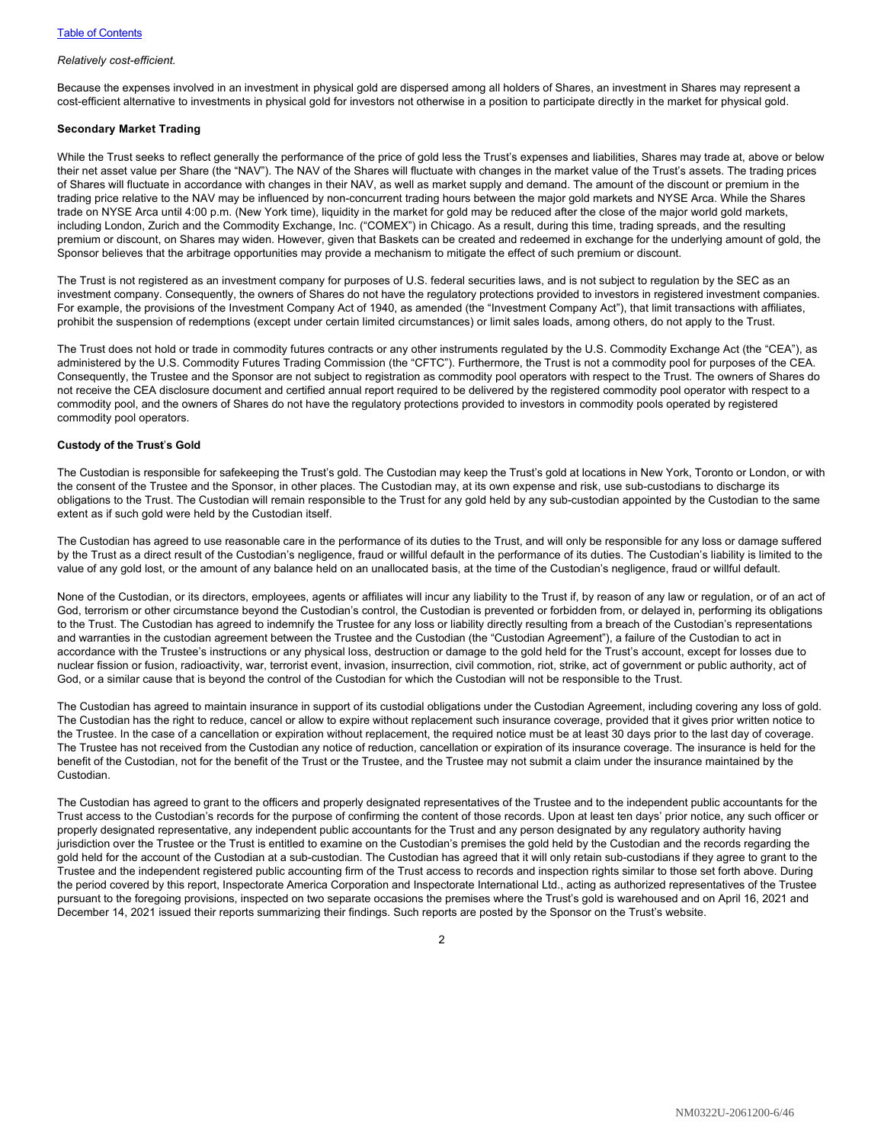#### *Relatively cost-efficient.*

Because the expenses involved in an investment in physical gold are dispersed among all holders of Shares, an investment in Shares may represent a cost-efficient alternative to investments in physical gold for investors not otherwise in a position to participate directly in the market for physical gold.

#### **Secondary Market Trading**

While the Trust seeks to reflect generally the performance of the price of gold less the Trust's expenses and liabilities, Shares may trade at, above or below their net asset value per Share (the "NAV"). The NAV of the Shares will fluctuate with changes in the market value of the Trust's assets. The trading prices of Shares will fluctuate in accordance with changes in their NAV, as well as market supply and demand. The amount of the discount or premium in the trading price relative to the NAV may be influenced by non-concurrent trading hours between the major gold markets and NYSE Arca. While the Shares trade on NYSE Arca until 4:00 p.m. (New York time), liquidity in the market for gold may be reduced after the close of the major world gold markets, including London, Zurich and the Commodity Exchange, Inc. ("COMEX") in Chicago. As a result, during this time, trading spreads, and the resulting premium or discount, on Shares may widen. However, given that Baskets can be created and redeemed in exchange for the underlying amount of gold, the Sponsor believes that the arbitrage opportunities may provide a mechanism to mitigate the effect of such premium or discount.

The Trust is not registered as an investment company for purposes of U.S. federal securities laws, and is not subject to regulation by the SEC as an investment company. Consequently, the owners of Shares do not have the regulatory protections provided to investors in registered investment companies. For example, the provisions of the Investment Company Act of 1940, as amended (the "Investment Company Act"), that limit transactions with affiliates, prohibit the suspension of redemptions (except under certain limited circumstances) or limit sales loads, among others, do not apply to the Trust.

The Trust does not hold or trade in commodity futures contracts or any other instruments regulated by the U.S. Commodity Exchange Act (the "CEA"), as administered by the U.S. Commodity Futures Trading Commission (the "CFTC"). Furthermore, the Trust is not a commodity pool for purposes of the CEA. Consequently, the Trustee and the Sponsor are not subject to registration as commodity pool operators with respect to the Trust. The owners of Shares do not receive the CEA disclosure document and certified annual report required to be delivered by the registered commodity pool operator with respect to a commodity pool, and the owners of Shares do not have the regulatory protections provided to investors in commodity pools operated by registered commodity pool operators.

## **Custody of the Trust**'**s Gold**

The Custodian is responsible for safekeeping the Trust's gold. The Custodian may keep the Trust's gold at locations in New York, Toronto or London, or with the consent of the Trustee and the Sponsor, in other places. The Custodian may, at its own expense and risk, use sub-custodians to discharge its obligations to the Trust. The Custodian will remain responsible to the Trust for any gold held by any sub-custodian appointed by the Custodian to the same extent as if such gold were held by the Custodian itself.

The Custodian has agreed to use reasonable care in the performance of its duties to the Trust, and will only be responsible for any loss or damage suffered by the Trust as a direct result of the Custodian's negligence, fraud or willful default in the performance of its duties. The Custodian's liability is limited to the value of any gold lost, or the amount of any balance held on an unallocated basis, at the time of the Custodian's negligence, fraud or willful default.

None of the Custodian, or its directors, employees, agents or affiliates will incur any liability to the Trust if, by reason of any law or regulation, or of an act of God, terrorism or other circumstance beyond the Custodian's control, the Custodian is prevented or forbidden from, or delayed in, performing its obligations to the Trust. The Custodian has agreed to indemnify the Trustee for any loss or liability directly resulting from a breach of the Custodian's representations and warranties in the custodian agreement between the Trustee and the Custodian (the "Custodian Agreement"), a failure of the Custodian to act in accordance with the Trustee's instructions or any physical loss, destruction or damage to the gold held for the Trust's account, except for losses due to nuclear fission or fusion, radioactivity, war, terrorist event, invasion, insurrection, civil commotion, riot, strike, act of government or public authority, act of God, or a similar cause that is beyond the control of the Custodian for which the Custodian will not be responsible to the Trust.

The Custodian has agreed to maintain insurance in support of its custodial obligations under the Custodian Agreement, including covering any loss of gold. The Custodian has the right to reduce, cancel or allow to expire without replacement such insurance coverage, provided that it gives prior written notice to the Trustee. In the case of a cancellation or expiration without replacement, the required notice must be at least 30 days prior to the last day of coverage. The Trustee has not received from the Custodian any notice of reduction, cancellation or expiration of its insurance coverage. The insurance is held for the benefit of the Custodian, not for the benefit of the Trust or the Trustee, and the Trustee may not submit a claim under the insurance maintained by the Custodian.

The Custodian has agreed to grant to the officers and properly designated representatives of the Trustee and to the independent public accountants for the Trust access to the Custodian's records for the purpose of confirming the content of those records. Upon at least ten days' prior notice, any such officer or properly designated representative, any independent public accountants for the Trust and any person designated by any regulatory authority having jurisdiction over the Trustee or the Trust is entitled to examine on the Custodian's premises the gold held by the Custodian and the records regarding the gold held for the account of the Custodian at a sub-custodian. The Custodian has agreed that it will only retain sub-custodians if they agree to grant to the Trustee and the independent registered public accounting firm of the Trust access to records and inspection rights similar to those set forth above. During the period covered by this report, Inspectorate America Corporation and Inspectorate International Ltd., acting as authorized representatives of the Trustee pursuant to the foregoing provisions, inspected on two separate occasions the premises where the Trust's gold is warehoused and on April 16, 2021 and December 14, 2021 issued their reports summarizing their findings. Such reports are posted by the Sponsor on the Trust's website.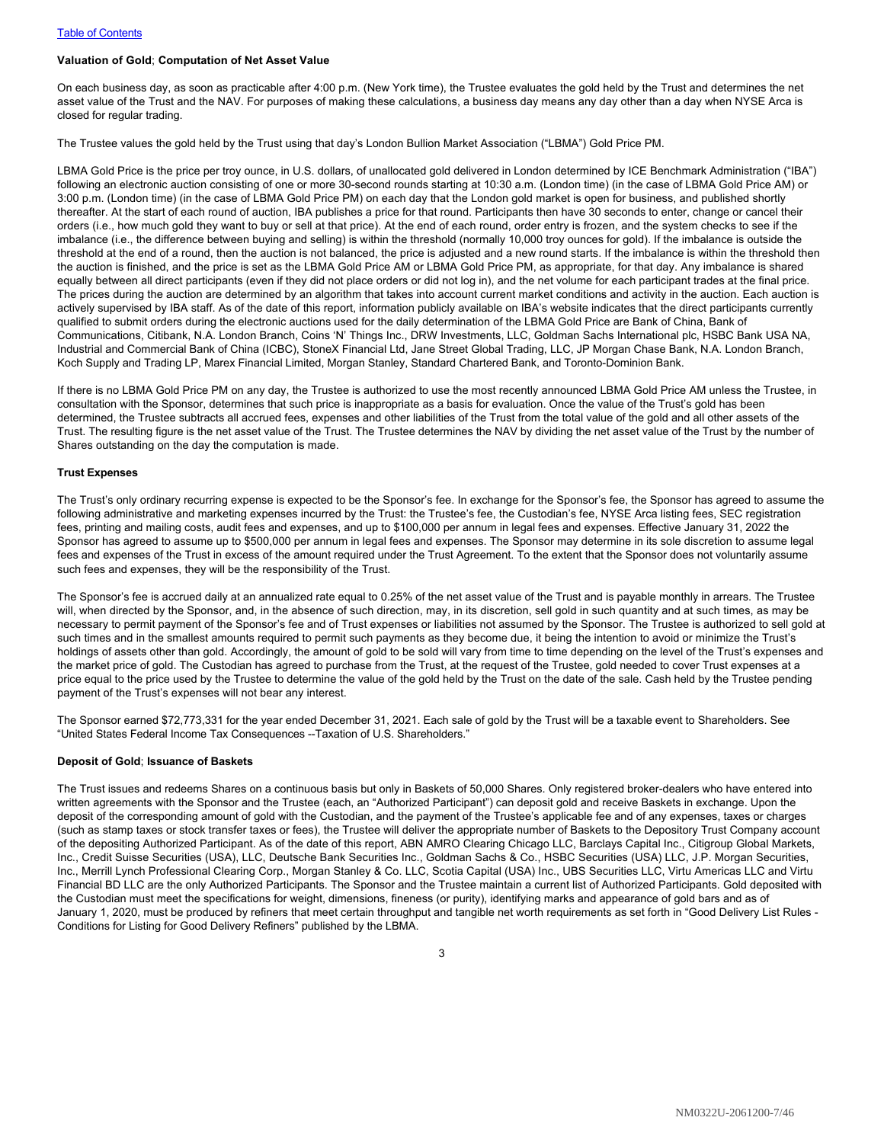## **Valuation of Gold**; **Computation of Net Asset Value**

On each business day, as soon as practicable after 4:00 p.m. (New York time), the Trustee evaluates the gold held by the Trust and determines the net asset value of the Trust and the NAV. For purposes of making these calculations, a business day means any day other than a day when NYSE Arca is closed for regular trading.

The Trustee values the gold held by the Trust using that day's London Bullion Market Association ("LBMA") Gold Price PM.

LBMA Gold Price is the price per troy ounce, in U.S. dollars, of unallocated gold delivered in London determined by ICE Benchmark Administration ("IBA") following an electronic auction consisting of one or more 30-second rounds starting at 10:30 a.m. (London time) (in the case of LBMA Gold Price AM) or 3:00 p.m. (London time) (in the case of LBMA Gold Price PM) on each day that the London gold market is open for business, and published shortly thereafter. At the start of each round of auction, IBA publishes a price for that round. Participants then have 30 seconds to enter, change or cancel their orders (i.e., how much gold they want to buy or sell at that price). At the end of each round, order entry is frozen, and the system checks to see if the imbalance (i.e., the difference between buying and selling) is within the threshold (normally 10,000 troy ounces for gold). If the imbalance is outside the threshold at the end of a round, then the auction is not balanced, the price is adjusted and a new round starts. If the imbalance is within the threshold then the auction is finished, and the price is set as the LBMA Gold Price AM or LBMA Gold Price PM, as appropriate, for that day. Any imbalance is shared equally between all direct participants (even if they did not place orders or did not log in), and the net volume for each participant trades at the final price. The prices during the auction are determined by an algorithm that takes into account current market conditions and activity in the auction. Each auction is actively supervised by IBA staff. As of the date of this report, information publicly available on IBA's website indicates that the direct participants currently qualified to submit orders during the electronic auctions used for the daily determination of the LBMA Gold Price are Bank of China, Bank of Communications, Citibank, N.A. London Branch, Coins 'N' Things Inc., DRW Investments, LLC, Goldman Sachs International plc, HSBC Bank USA NA, Industrial and Commercial Bank of China (ICBC), StoneX Financial Ltd, Jane Street Global Trading, LLC, JP Morgan Chase Bank, N.A. London Branch, Koch Supply and Trading LP, Marex Financial Limited, Morgan Stanley, Standard Chartered Bank, and Toronto-Dominion Bank.

If there is no LBMA Gold Price PM on any day, the Trustee is authorized to use the most recently announced LBMA Gold Price AM unless the Trustee, in consultation with the Sponsor, determines that such price is inappropriate as a basis for evaluation. Once the value of the Trust's gold has been determined, the Trustee subtracts all accrued fees, expenses and other liabilities of the Trust from the total value of the gold and all other assets of the Trust. The resulting figure is the net asset value of the Trust. The Trustee determines the NAV by dividing the net asset value of the Trust by the number of Shares outstanding on the day the computation is made.

## **Trust Expenses**

The Trust's only ordinary recurring expense is expected to be the Sponsor's fee. In exchange for the Sponsor's fee, the Sponsor has agreed to assume the following administrative and marketing expenses incurred by the Trust: the Trustee's fee, the Custodian's fee, NYSE Arca listing fees, SEC registration fees, printing and mailing costs, audit fees and expenses, and up to \$100,000 per annum in legal fees and expenses. Effective January 31, 2022 the Sponsor has agreed to assume up to \$500,000 per annum in legal fees and expenses. The Sponsor may determine in its sole discretion to assume legal fees and expenses of the Trust in excess of the amount required under the Trust Agreement. To the extent that the Sponsor does not voluntarily assume such fees and expenses, they will be the responsibility of the Trust.

The Sponsor's fee is accrued daily at an annualized rate equal to 0.25% of the net asset value of the Trust and is payable monthly in arrears. The Trustee will, when directed by the Sponsor, and, in the absence of such direction, may, in its discretion, sell gold in such quantity and at such times, as may be necessary to permit payment of the Sponsor's fee and of Trust expenses or liabilities not assumed by the Sponsor. The Trustee is authorized to sell gold at such times and in the smallest amounts required to permit such payments as they become due, it being the intention to avoid or minimize the Trust's holdings of assets other than gold. Accordingly, the amount of gold to be sold will vary from time to time depending on the level of the Trust's expenses and the market price of gold. The Custodian has agreed to purchase from the Trust, at the request of the Trustee, gold needed to cover Trust expenses at a price equal to the price used by the Trustee to determine the value of the gold held by the Trust on the date of the sale. Cash held by the Trustee pending payment of the Trust's expenses will not bear any interest.

The Sponsor earned \$72,773,331 for the year ended December 31, 2021. Each sale of gold by the Trust will be a taxable event to Shareholders. See "United States Federal Income Tax Consequences --Taxation of U.S. Shareholders."

#### **Deposit of Gold**; **Issuance of Baskets**

The Trust issues and redeems Shares on a continuous basis but only in Baskets of 50,000 Shares. Only registered broker-dealers who have entered into written agreements with the Sponsor and the Trustee (each, an "Authorized Participant") can deposit gold and receive Baskets in exchange. Upon the deposit of the corresponding amount of gold with the Custodian, and the payment of the Trustee's applicable fee and of any expenses, taxes or charges (such as stamp taxes or stock transfer taxes or fees), the Trustee will deliver the appropriate number of Baskets to the Depository Trust Company account of the depositing Authorized Participant. As of the date of this report, ABN AMRO Clearing Chicago LLC, Barclays Capital Inc., Citigroup Global Markets, Inc., Credit Suisse Securities (USA), LLC, Deutsche Bank Securities Inc., Goldman Sachs & Co., HSBC Securities (USA) LLC, J.P. Morgan Securities, Inc., Merrill Lynch Professional Clearing Corp., Morgan Stanley & Co. LLC, Scotia Capital (USA) Inc., UBS Securities LLC, Virtu Americas LLC and Virtu Financial BD LLC are the only Authorized Participants. The Sponsor and the Trustee maintain a current list of Authorized Participants. Gold deposited with the Custodian must meet the specifications for weight, dimensions, fineness (or purity), identifying marks and appearance of gold bars and as of January 1, 2020, must be produced by refiners that meet certain throughput and tangible net worth requirements as set forth in "Good Delivery List Rules - Conditions for Listing for Good Delivery Refiners" published by the LBMA.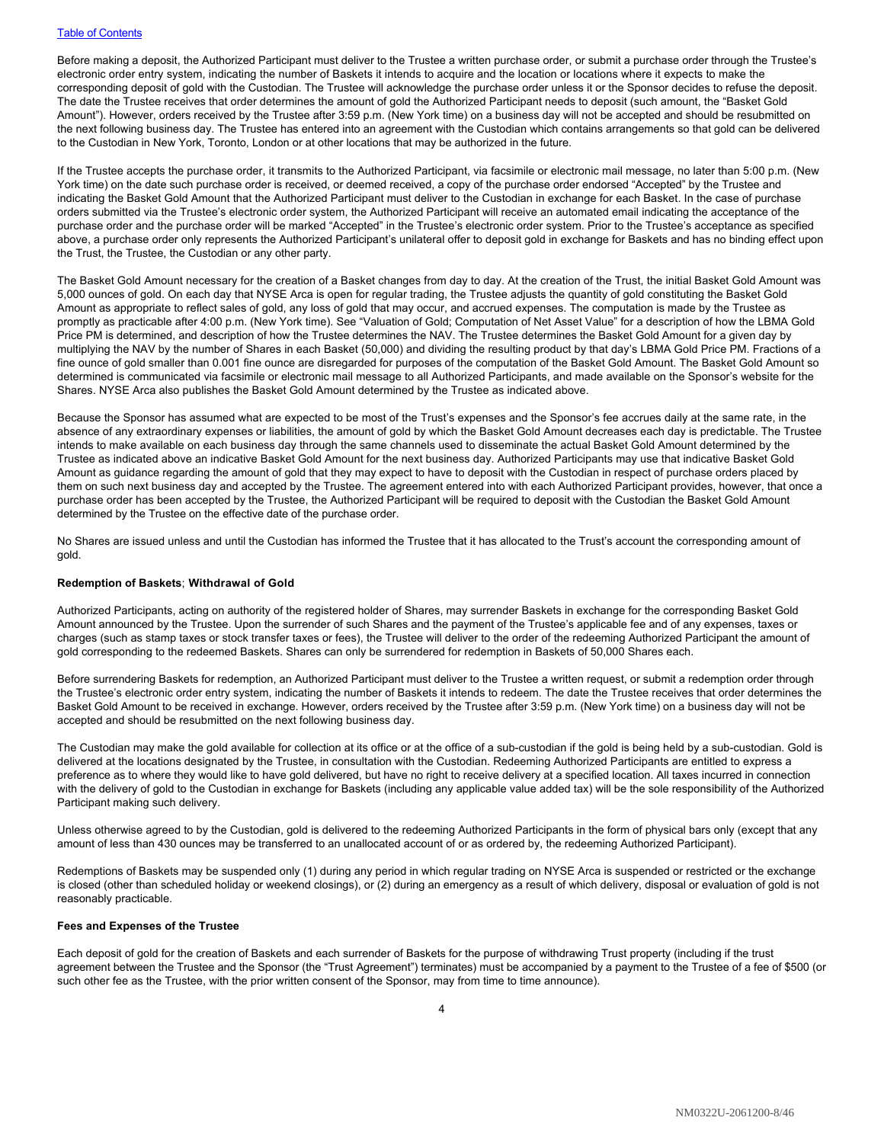Before making a deposit, the Authorized Participant must deliver to the Trustee a written purchase order, or submit a purchase order through the Trustee's electronic order entry system, indicating the number of Baskets it intends to acquire and the location or locations where it expects to make the corresponding deposit of gold with the Custodian. The Trustee will acknowledge the purchase order unless it or the Sponsor decides to refuse the deposit. The date the Trustee receives that order determines the amount of gold the Authorized Participant needs to deposit (such amount, the "Basket Gold Amount"). However, orders received by the Trustee after 3:59 p.m. (New York time) on a business day will not be accepted and should be resubmitted on the next following business day. The Trustee has entered into an agreement with the Custodian which contains arrangements so that gold can be delivered to the Custodian in New York, Toronto, London or at other locations that may be authorized in the future.

If the Trustee accepts the purchase order, it transmits to the Authorized Participant, via facsimile or electronic mail message, no later than 5:00 p.m. (New York time) on the date such purchase order is received, or deemed received, a copy of the purchase order endorsed "Accepted" by the Trustee and indicating the Basket Gold Amount that the Authorized Participant must deliver to the Custodian in exchange for each Basket. In the case of purchase orders submitted via the Trustee's electronic order system, the Authorized Participant will receive an automated email indicating the acceptance of the purchase order and the purchase order will be marked "Accepted" in the Trustee's electronic order system. Prior to the Trustee's acceptance as specified above, a purchase order only represents the Authorized Participant's unilateral offer to deposit gold in exchange for Baskets and has no binding effect upon the Trust, the Trustee, the Custodian or any other party.

The Basket Gold Amount necessary for the creation of a Basket changes from day to day. At the creation of the Trust, the initial Basket Gold Amount was 5,000 ounces of gold. On each day that NYSE Arca is open for regular trading, the Trustee adjusts the quantity of gold constituting the Basket Gold Amount as appropriate to reflect sales of gold, any loss of gold that may occur, and accrued expenses. The computation is made by the Trustee as promptly as practicable after 4:00 p.m. (New York time). See "Valuation of Gold; Computation of Net Asset Value" for a description of how the LBMA Gold Price PM is determined, and description of how the Trustee determines the NAV. The Trustee determines the Basket Gold Amount for a given day by multiplying the NAV by the number of Shares in each Basket (50,000) and dividing the resulting product by that day's LBMA Gold Price PM. Fractions of a fine ounce of gold smaller than 0.001 fine ounce are disregarded for purposes of the computation of the Basket Gold Amount. The Basket Gold Amount so determined is communicated via facsimile or electronic mail message to all Authorized Participants, and made available on the Sponsor's website for the Shares. NYSE Arca also publishes the Basket Gold Amount determined by the Trustee as indicated above.

Because the Sponsor has assumed what are expected to be most of the Trust's expenses and the Sponsor's fee accrues daily at the same rate, in the absence of any extraordinary expenses or liabilities, the amount of gold by which the Basket Gold Amount decreases each day is predictable. The Trustee intends to make available on each business day through the same channels used to disseminate the actual Basket Gold Amount determined by the Trustee as indicated above an indicative Basket Gold Amount for the next business day. Authorized Participants may use that indicative Basket Gold Amount as guidance regarding the amount of gold that they may expect to have to deposit with the Custodian in respect of purchase orders placed by them on such next business day and accepted by the Trustee. The agreement entered into with each Authorized Participant provides, however, that once a purchase order has been accepted by the Trustee, the Authorized Participant will be required to deposit with the Custodian the Basket Gold Amount determined by the Trustee on the effective date of the purchase order.

No Shares are issued unless and until the Custodian has informed the Trustee that it has allocated to the Trust's account the corresponding amount of gold.

#### **Redemption of Baskets**; **Withdrawal of Gold**

Authorized Participants, acting on authority of the registered holder of Shares, may surrender Baskets in exchange for the corresponding Basket Gold Amount announced by the Trustee. Upon the surrender of such Shares and the payment of the Trustee's applicable fee and of any expenses, taxes or charges (such as stamp taxes or stock transfer taxes or fees), the Trustee will deliver to the order of the redeeming Authorized Participant the amount of gold corresponding to the redeemed Baskets. Shares can only be surrendered for redemption in Baskets of 50,000 Shares each.

Before surrendering Baskets for redemption, an Authorized Participant must deliver to the Trustee a written request, or submit a redemption order through the Trustee's electronic order entry system, indicating the number of Baskets it intends to redeem. The date the Trustee receives that order determines the Basket Gold Amount to be received in exchange. However, orders received by the Trustee after 3:59 p.m. (New York time) on a business day will not be accepted and should be resubmitted on the next following business day.

The Custodian may make the gold available for collection at its office or at the office of a sub-custodian if the gold is being held by a sub-custodian. Gold is delivered at the locations designated by the Trustee, in consultation with the Custodian. Redeeming Authorized Participants are entitled to express a preference as to where they would like to have gold delivered, but have no right to receive delivery at a specified location. All taxes incurred in connection with the delivery of gold to the Custodian in exchange for Baskets (including any applicable value added tax) will be the sole responsibility of the Authorized Participant making such delivery.

Unless otherwise agreed to by the Custodian, gold is delivered to the redeeming Authorized Participants in the form of physical bars only (except that any amount of less than 430 ounces may be transferred to an unallocated account of or as ordered by, the redeeming Authorized Participant).

Redemptions of Baskets may be suspended only (1) during any period in which regular trading on NYSE Arca is suspended or restricted or the exchange is closed (other than scheduled holiday or weekend closings), or (2) during an emergency as a result of which delivery, disposal or evaluation of gold is not reasonably practicable.

## **Fees and Expenses of the Trustee**

Each deposit of gold for the creation of Baskets and each surrender of Baskets for the purpose of withdrawing Trust property (including if the trust agreement between the Trustee and the Sponsor (the "Trust Agreement") terminates) must be accompanied by a payment to the Trustee of a fee of \$500 (or such other fee as the Trustee, with the prior written consent of the Sponsor, may from time to time announce).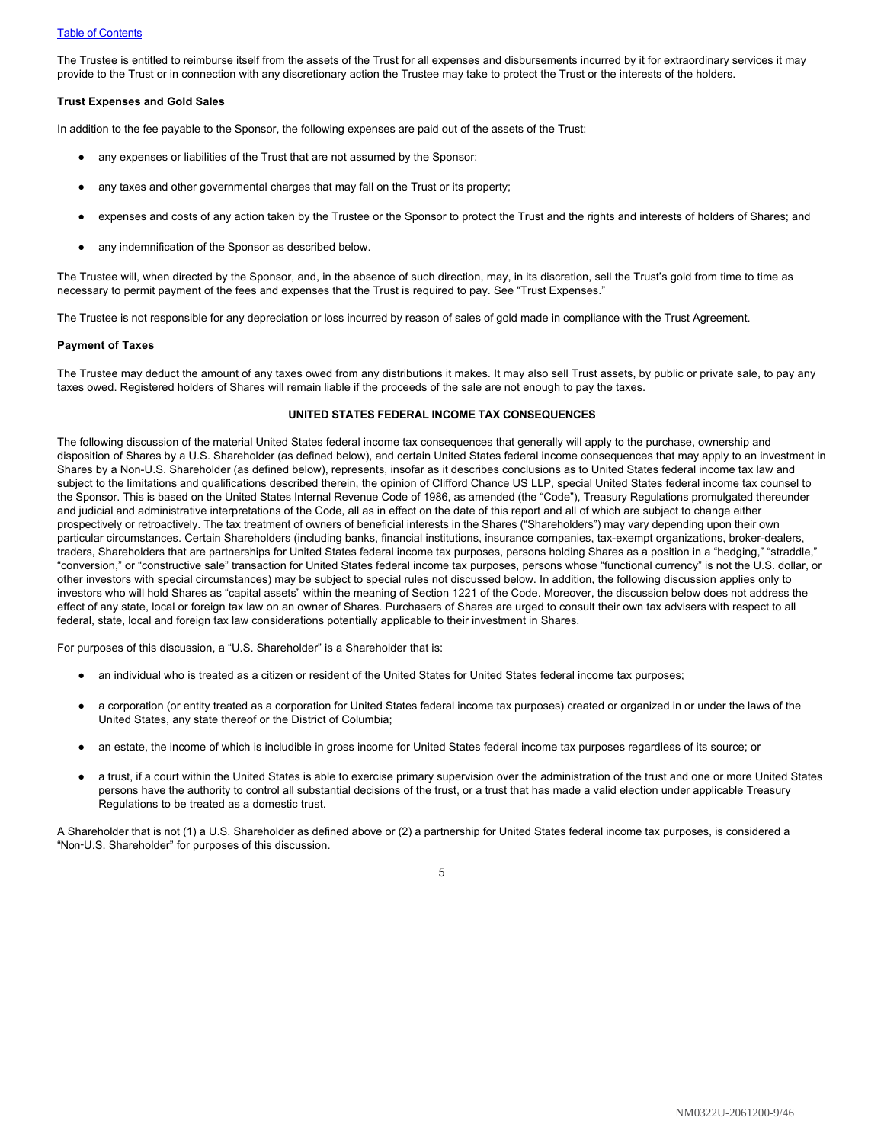## **[Table of Contents](#page-3-0)**

The Trustee is entitled to reimburse itself from the assets of the Trust for all expenses and disbursements incurred by it for extraordinary services it may provide to the Trust or in connection with any discretionary action the Trustee may take to protect the Trust or the interests of the holders.

#### **Trust Expenses and Gold Sales**

In addition to the fee payable to the Sponsor, the following expenses are paid out of the assets of the Trust:

- any expenses or liabilities of the Trust that are not assumed by the Sponsor;
- any taxes and other governmental charges that may fall on the Trust or its property;
- expenses and costs of any action taken by the Trustee or the Sponsor to protect the Trust and the rights and interests of holders of Shares; and
- any indemnification of the Sponsor as described below.

The Trustee will, when directed by the Sponsor, and, in the absence of such direction, may, in its discretion, sell the Trust's gold from time to time as necessary to permit payment of the fees and expenses that the Trust is required to pay. See "Trust Expenses."

The Trustee is not responsible for any depreciation or loss incurred by reason of sales of gold made in compliance with the Trust Agreement.

#### **Payment of Taxes**

The Trustee may deduct the amount of any taxes owed from any distributions it makes. It may also sell Trust assets, by public or private sale, to pay any taxes owed. Registered holders of Shares will remain liable if the proceeds of the sale are not enough to pay the taxes.

#### **UNITED STATES FEDERAL INCOME TAX CONSEQUENCES**

The following discussion of the material United States federal income tax consequences that generally will apply to the purchase, ownership and disposition of Shares by a U.S. Shareholder (as defined below), and certain United States federal income consequences that may apply to an investment in Shares by a Non-U.S. Shareholder (as defined below), represents, insofar as it describes conclusions as to United States federal income tax law and subject to the limitations and qualifications described therein, the opinion of Clifford Chance US LLP, special United States federal income tax counsel to the Sponsor. This is based on the United States Internal Revenue Code of 1986, as amended (the "Code"), Treasury Regulations promulgated thereunder and judicial and administrative interpretations of the Code, all as in effect on the date of this report and all of which are subject to change either prospectively or retroactively. The tax treatment of owners of beneficial interests in the Shares ("Shareholders") may vary depending upon their own particular circumstances. Certain Shareholders (including banks, financial institutions, insurance companies, tax-exempt organizations, broker-dealers, traders, Shareholders that are partnerships for United States federal income tax purposes, persons holding Shares as a position in a "hedging," "straddle," "conversion," or "constructive sale" transaction for United States federal income tax purposes, persons whose "functional currency" is not the U.S. dollar, or other investors with special circumstances) may be subject to special rules not discussed below. In addition, the following discussion applies only to investors who will hold Shares as "capital assets" within the meaning of Section 1221 of the Code. Moreover, the discussion below does not address the effect of any state, local or foreign tax law on an owner of Shares. Purchasers of Shares are urged to consult their own tax advisers with respect to all federal, state, local and foreign tax law considerations potentially applicable to their investment in Shares.

For purposes of this discussion, a "U.S. Shareholder" is a Shareholder that is:

- an individual who is treated as a citizen or resident of the United States for United States federal income tax purposes;
- a corporation (or entity treated as a corporation for United States federal income tax purposes) created or organized in or under the laws of the United States, any state thereof or the District of Columbia;
- an estate, the income of which is includible in gross income for United States federal income tax purposes regardless of its source; or
- a trust, if a court within the United States is able to exercise primary supervision over the administration of the trust and one or more United States persons have the authority to control all substantial decisions of the trust, or a trust that has made a valid election under applicable Treasury Regulations to be treated as a domestic trust.

A Shareholder that is not (1) a U.S. Shareholder as defined above or (2) a partnership for United States federal income tax purposes, is considered a "Non‑U.S. Shareholder" for purposes of this discussion.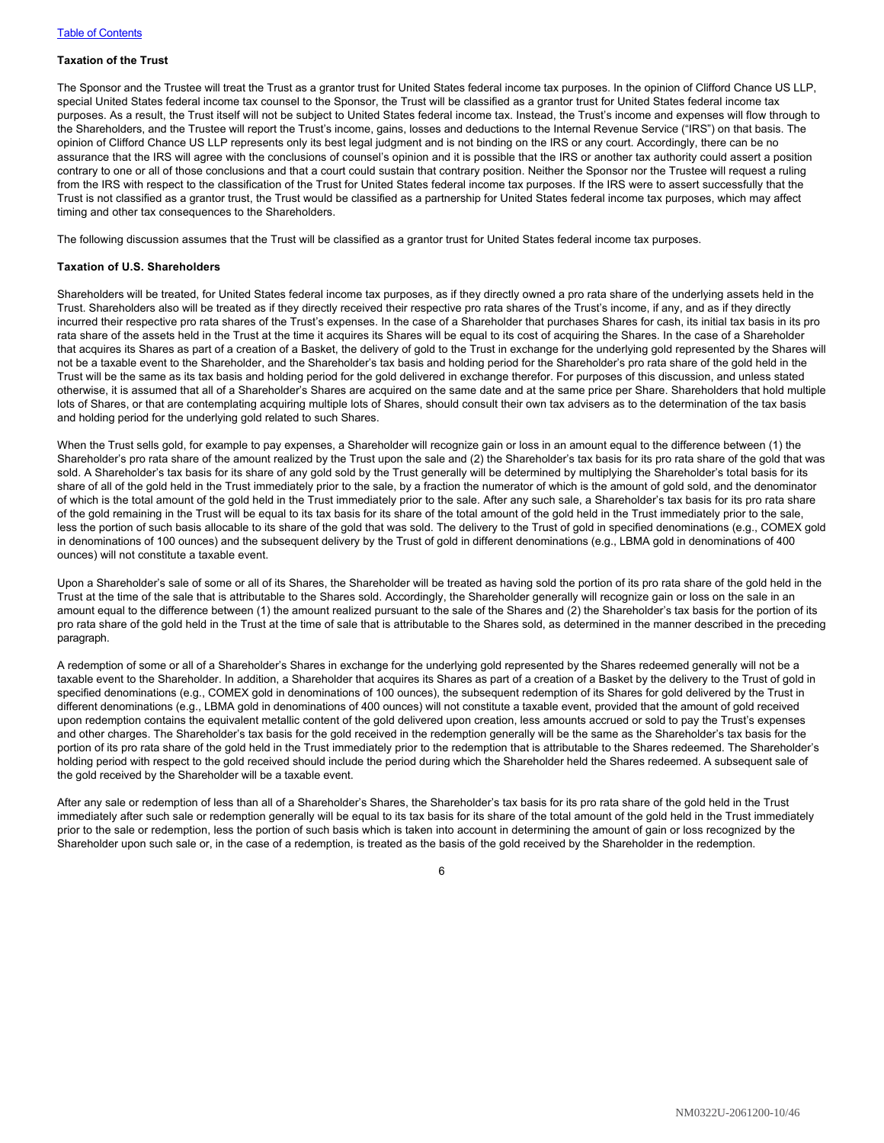## **Taxation of the Trust**

The Sponsor and the Trustee will treat the Trust as a grantor trust for United States federal income tax purposes. In the opinion of Clifford Chance US LLP, special United States federal income tax counsel to the Sponsor, the Trust will be classified as a grantor trust for United States federal income tax purposes. As a result, the Trust itself will not be subject to United States federal income tax. Instead, the Trust's income and expenses will flow through to the Shareholders, and the Trustee will report the Trust's income, gains, losses and deductions to the Internal Revenue Service ("IRS") on that basis. The opinion of Clifford Chance US LLP represents only its best legal judgment and is not binding on the IRS or any court. Accordingly, there can be no assurance that the IRS will agree with the conclusions of counsel's opinion and it is possible that the IRS or another tax authority could assert a position contrary to one or all of those conclusions and that a court could sustain that contrary position. Neither the Sponsor nor the Trustee will request a ruling from the IRS with respect to the classification of the Trust for United States federal income tax purposes. If the IRS were to assert successfully that the Trust is not classified as a grantor trust, the Trust would be classified as a partnership for United States federal income tax purposes, which may affect timing and other tax consequences to the Shareholders.

The following discussion assumes that the Trust will be classified as a grantor trust for United States federal income tax purposes.

#### **Taxation of U.S. Shareholders**

Shareholders will be treated, for United States federal income tax purposes, as if they directly owned a pro rata share of the underlying assets held in the Trust. Shareholders also will be treated as if they directly received their respective pro rata shares of the Trust's income, if any, and as if they directly incurred their respective pro rata shares of the Trust's expenses. In the case of a Shareholder that purchases Shares for cash, its initial tax basis in its pro rata share of the assets held in the Trust at the time it acquires its Shares will be equal to its cost of acquiring the Shares. In the case of a Shareholder that acquires its Shares as part of a creation of a Basket, the delivery of gold to the Trust in exchange for the underlying gold represented by the Shares will not be a taxable event to the Shareholder, and the Shareholder's tax basis and holding period for the Shareholder's pro rata share of the gold held in the Trust will be the same as its tax basis and holding period for the gold delivered in exchange therefor. For purposes of this discussion, and unless stated otherwise, it is assumed that all of a Shareholder's Shares are acquired on the same date and at the same price per Share. Shareholders that hold multiple lots of Shares, or that are contemplating acquiring multiple lots of Shares, should consult their own tax advisers as to the determination of the tax basis and holding period for the underlying gold related to such Shares.

When the Trust sells gold, for example to pay expenses, a Shareholder will recognize gain or loss in an amount equal to the difference between (1) the Shareholder's pro rata share of the amount realized by the Trust upon the sale and (2) the Shareholder's tax basis for its pro rata share of the gold that was sold. A Shareholder's tax basis for its share of any gold sold by the Trust generally will be determined by multiplying the Shareholder's total basis for its share of all of the gold held in the Trust immediately prior to the sale, by a fraction the numerator of which is the amount of gold sold, and the denominator of which is the total amount of the gold held in the Trust immediately prior to the sale. After any such sale, a Shareholder's tax basis for its pro rata share of the gold remaining in the Trust will be equal to its tax basis for its share of the total amount of the gold held in the Trust immediately prior to the sale, less the portion of such basis allocable to its share of the gold that was sold. The delivery to the Trust of gold in specified denominations (e.g., COMEX gold in denominations of 100 ounces) and the subsequent delivery by the Trust of gold in different denominations (e.g., LBMA gold in denominations of 400 ounces) will not constitute a taxable event.

Upon a Shareholder's sale of some or all of its Shares, the Shareholder will be treated as having sold the portion of its pro rata share of the gold held in the Trust at the time of the sale that is attributable to the Shares sold. Accordingly, the Shareholder generally will recognize gain or loss on the sale in an amount equal to the difference between (1) the amount realized pursuant to the sale of the Shares and (2) the Shareholder's tax basis for the portion of its pro rata share of the gold held in the Trust at the time of sale that is attributable to the Shares sold, as determined in the manner described in the preceding paragraph.

A redemption of some or all of a Shareholder's Shares in exchange for the underlying gold represented by the Shares redeemed generally will not be a taxable event to the Shareholder. In addition, a Shareholder that acquires its Shares as part of a creation of a Basket by the delivery to the Trust of gold in specified denominations (e.g., COMEX gold in denominations of 100 ounces), the subsequent redemption of its Shares for gold delivered by the Trust in different denominations (e.g., LBMA gold in denominations of 400 ounces) will not constitute a taxable event, provided that the amount of gold received upon redemption contains the equivalent metallic content of the gold delivered upon creation, less amounts accrued or sold to pay the Trust's expenses and other charges. The Shareholder's tax basis for the gold received in the redemption generally will be the same as the Shareholder's tax basis for the portion of its pro rata share of the gold held in the Trust immediately prior to the redemption that is attributable to the Shares redeemed. The Shareholder's holding period with respect to the gold received should include the period during which the Shareholder held the Shares redeemed. A subsequent sale of the gold received by the Shareholder will be a taxable event.

After any sale or redemption of less than all of a Shareholder's Shares, the Shareholder's tax basis for its pro rata share of the gold held in the Trust immediately after such sale or redemption generally will be equal to its tax basis for its share of the total amount of the gold held in the Trust immediately prior to the sale or redemption, less the portion of such basis which is taken into account in determining the amount of gain or loss recognized by the Shareholder upon such sale or, in the case of a redemption, is treated as the basis of the gold received by the Shareholder in the redemption.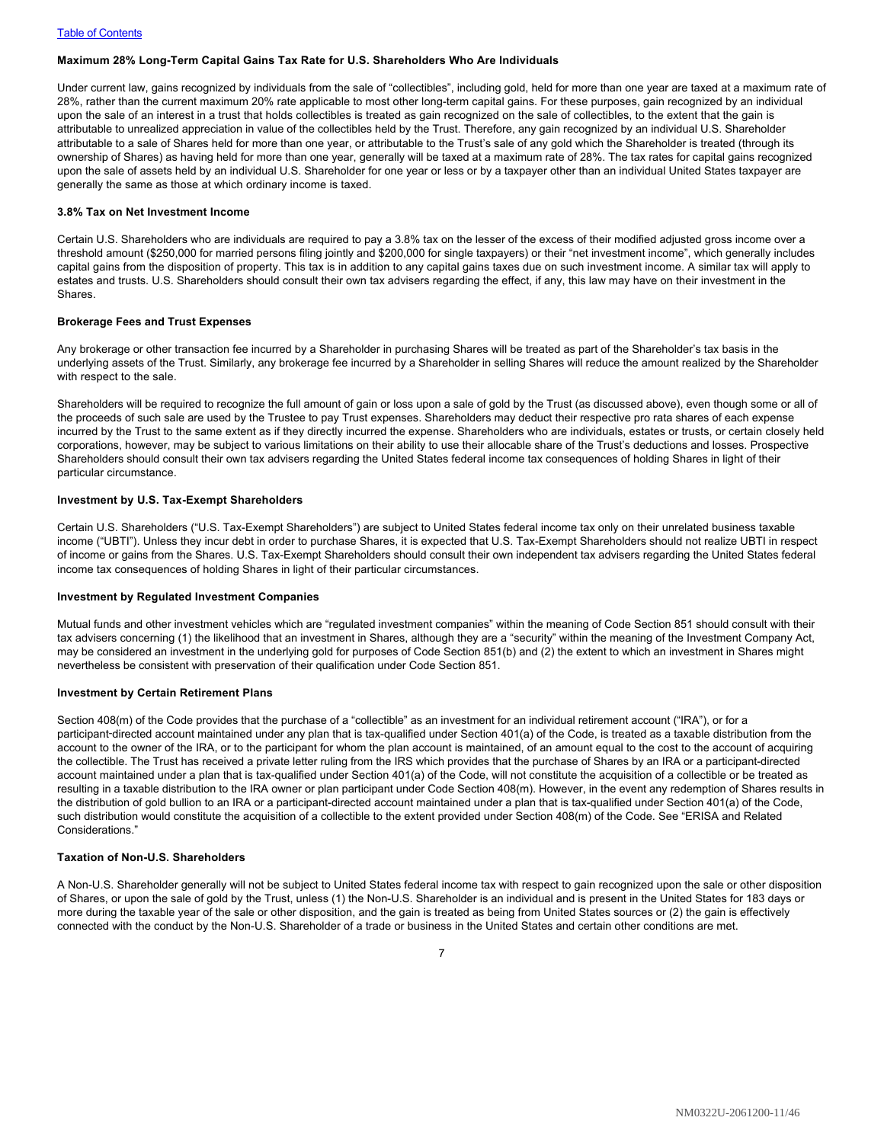#### **Maximum 28% Long-Term Capital Gains Tax Rate for U.S. Shareholders Who Are Individuals**

Under current law, gains recognized by individuals from the sale of "collectibles", including gold, held for more than one year are taxed at a maximum rate of 28%, rather than the current maximum 20% rate applicable to most other long-term capital gains. For these purposes, gain recognized by an individual upon the sale of an interest in a trust that holds collectibles is treated as gain recognized on the sale of collectibles, to the extent that the gain is attributable to unrealized appreciation in value of the collectibles held by the Trust. Therefore, any gain recognized by an individual U.S. Shareholder attributable to a sale of Shares held for more than one year, or attributable to the Trust's sale of any gold which the Shareholder is treated (through its ownership of Shares) as having held for more than one year, generally will be taxed at a maximum rate of 28%. The tax rates for capital gains recognized upon the sale of assets held by an individual U.S. Shareholder for one year or less or by a taxpayer other than an individual United States taxpayer are generally the same as those at which ordinary income is taxed.

#### **3.8% Tax on Net Investment Income**

Certain U.S. Shareholders who are individuals are required to pay a 3.8% tax on the lesser of the excess of their modified adjusted gross income over a threshold amount (\$250,000 for married persons filing jointly and \$200,000 for single taxpayers) or their "net investment income", which generally includes capital gains from the disposition of property. This tax is in addition to any capital gains taxes due on such investment income. A similar tax will apply to estates and trusts. U.S. Shareholders should consult their own tax advisers regarding the effect, if any, this law may have on their investment in the Shares.

#### **Brokerage Fees and Trust Expenses**

Any brokerage or other transaction fee incurred by a Shareholder in purchasing Shares will be treated as part of the Shareholder's tax basis in the underlying assets of the Trust. Similarly, any brokerage fee incurred by a Shareholder in selling Shares will reduce the amount realized by the Shareholder with respect to the sale.

Shareholders will be required to recognize the full amount of gain or loss upon a sale of gold by the Trust (as discussed above), even though some or all of the proceeds of such sale are used by the Trustee to pay Trust expenses. Shareholders may deduct their respective pro rata shares of each expense incurred by the Trust to the same extent as if they directly incurred the expense. Shareholders who are individuals, estates or trusts, or certain closely held corporations, however, may be subject to various limitations on their ability to use their allocable share of the Trust's deductions and losses. Prospective Shareholders should consult their own tax advisers regarding the United States federal income tax consequences of holding Shares in light of their particular circumstance.

### **Investment by U.S. Tax-Exempt Shareholders**

Certain U.S. Shareholders ("U.S. Tax-Exempt Shareholders") are subject to United States federal income tax only on their unrelated business taxable income ("UBTI"). Unless they incur debt in order to purchase Shares, it is expected that U.S. Tax-Exempt Shareholders should not realize UBTI in respect of income or gains from the Shares. U.S. Tax-Exempt Shareholders should consult their own independent tax advisers regarding the United States federal income tax consequences of holding Shares in light of their particular circumstances.

#### **Investment by Regulated Investment Companies**

Mutual funds and other investment vehicles which are "regulated investment companies" within the meaning of Code Section 851 should consult with their tax advisers concerning (1) the likelihood that an investment in Shares, although they are a "security" within the meaning of the Investment Company Act, may be considered an investment in the underlying gold for purposes of Code Section 851(b) and (2) the extent to which an investment in Shares might nevertheless be consistent with preservation of their qualification under Code Section 851.

#### **Investment by Certain Retirement Plans**

Section 408(m) of the Code provides that the purchase of a "collectible" as an investment for an individual retirement account ("IRA"), or for a participant-directed account maintained under any plan that is tax-qualified under Section 401(a) of the Code, is treated as a taxable distribution from the account to the owner of the IRA, or to the participant for whom the plan account is maintained, of an amount equal to the cost to the account of acquiring the collectible. The Trust has received a private letter ruling from the IRS which provides that the purchase of Shares by an IRA or a participant-directed account maintained under a plan that is tax-qualified under Section 401(a) of the Code, will not constitute the acquisition of a collectible or be treated as resulting in a taxable distribution to the IRA owner or plan participant under Code Section 408(m). However, in the event any redemption of Shares results in the distribution of gold bullion to an IRA or a participant-directed account maintained under a plan that is tax-qualified under Section 401(a) of the Code, such distribution would constitute the acquisition of a collectible to the extent provided under Section 408(m) of the Code. See "ERISA and Related Considerations."

## **Taxation of Non-U.S. Shareholders**

A Non-U.S. Shareholder generally will not be subject to United States federal income tax with respect to gain recognized upon the sale or other disposition of Shares, or upon the sale of gold by the Trust, unless (1) the Non-U.S. Shareholder is an individual and is present in the United States for 183 days or more during the taxable year of the sale or other disposition, and the gain is treated as being from United States sources or (2) the gain is effectively connected with the conduct by the Non-U.S. Shareholder of a trade or business in the United States and certain other conditions are met.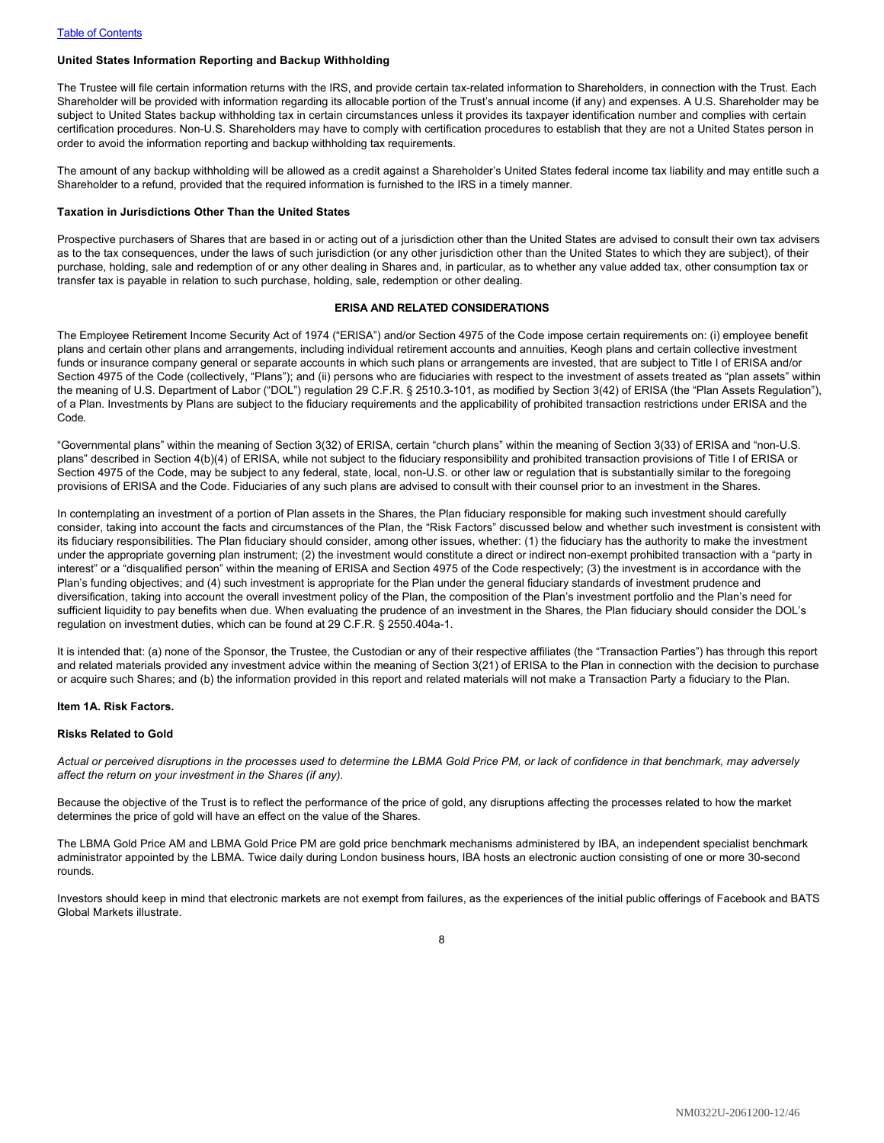#### **United States Information Reporting and Backup Withholding**

The Trustee will file certain information returns with the IRS, and provide certain tax-related information to Shareholders, in connection with the Trust. Each Shareholder will be provided with information regarding its allocable portion of the Trust's annual income (if any) and expenses. A U.S. Shareholder may be subject to United States backup withholding tax in certain circumstances unless it provides its taxpayer identification number and complies with certain certification procedures. Non-U.S. Shareholders may have to comply with certification procedures to establish that they are not a United States person in order to avoid the information reporting and backup withholding tax requirements.

The amount of any backup withholding will be allowed as a credit against a Shareholder's United States federal income tax liability and may entitle such a Shareholder to a refund, provided that the required information is furnished to the IRS in a timely manner.

#### **Taxation in Jurisdictions Other Than the United States**

Prospective purchasers of Shares that are based in or acting out of a jurisdiction other than the United States are advised to consult their own tax advisers as to the tax consequences, under the laws of such jurisdiction (or any other jurisdiction other than the United States to which they are subject), of their purchase, holding, sale and redemption of or any other dealing in Shares and, in particular, as to whether any value added tax, other consumption tax or transfer tax is payable in relation to such purchase, holding, sale, redemption or other dealing.

#### **ERISA AND RELATED CONSIDERATIONS**

The Employee Retirement Income Security Act of 1974 ("ERISA") and/or Section 4975 of the Code impose certain requirements on: (i) employee benefit plans and certain other plans and arrangements, including individual retirement accounts and annuities, Keogh plans and certain collective investment funds or insurance company general or separate accounts in which such plans or arrangements are invested, that are subject to Title I of ERISA and/or Section 4975 of the Code (collectively, "Plans"); and (ii) persons who are fiduciaries with respect to the investment of assets treated as "plan assets" within the meaning of U.S. Department of Labor ("DOL") regulation 29 C.F.R. § 2510.3-101, as modified by Section 3(42) of ERISA (the "Plan Assets Regulation"), of a Plan. Investments by Plans are subject to the fiduciary requirements and the applicability of prohibited transaction restrictions under ERISA and the Code.

"Governmental plans" within the meaning of Section 3(32) of ERISA, certain "church plans" within the meaning of Section 3(33) of ERISA and "non-U.S. plans" described in Section 4(b)(4) of ERISA, while not subject to the fiduciary responsibility and prohibited transaction provisions of Title I of ERISA or Section 4975 of the Code, may be subject to any federal, state, local, non-U.S. or other law or regulation that is substantially similar to the foregoing provisions of ERISA and the Code. Fiduciaries of any such plans are advised to consult with their counsel prior to an investment in the Shares.

In contemplating an investment of a portion of Plan assets in the Shares, the Plan fiduciary responsible for making such investment should carefully consider, taking into account the facts and circumstances of the Plan, the "Risk Factors" discussed below and whether such investment is consistent with its fiduciary responsibilities. The Plan fiduciary should consider, among other issues, whether: (1) the fiduciary has the authority to make the investment under the appropriate governing plan instrument; (2) the investment would constitute a direct or indirect non-exempt prohibited transaction with a "party in interest" or a "disqualified person" within the meaning of ERISA and Section 4975 of the Code respectively; (3) the investment is in accordance with the Plan's funding objectives; and (4) such investment is appropriate for the Plan under the general fiduciary standards of investment prudence and diversification, taking into account the overall investment policy of the Plan, the composition of the Plan's investment portfolio and the Plan's need for sufficient liquidity to pay benefits when due. When evaluating the prudence of an investment in the Shares, the Plan fiduciary should consider the DOL's regulation on investment duties, which can be found at 29 C.F.R. § 2550.404a-1.

It is intended that: (a) none of the Sponsor, the Trustee, the Custodian or any of their respective affiliates (the "Transaction Parties") has through this report and related materials provided any investment advice within the meaning of Section 3(21) of ERISA to the Plan in connection with the decision to purchase or acquire such Shares; and (b) the information provided in this report and related materials will not make a Transaction Party a fiduciary to the Plan.

## <span id="page-11-0"></span>**Item 1A. Risk Factors.**

#### **Risks Related to Gold**

*Actual or perceived disruptions in the processes used to determine the LBMA Gold Price PM, or lack of confidence in that benchmark, may adversely affect the return on your investment in the Shares (if any).*

Because the objective of the Trust is to reflect the performance of the price of gold, any disruptions affecting the processes related to how the market determines the price of gold will have an effect on the value of the Shares.

The LBMA Gold Price AM and LBMA Gold Price PM are gold price benchmark mechanisms administered by IBA, an independent specialist benchmark administrator appointed by the LBMA. Twice daily during London business hours, IBA hosts an electronic auction consisting of one or more 30-second rounds.

Investors should keep in mind that electronic markets are not exempt from failures, as the experiences of the initial public offerings of Facebook and BATS Global Markets illustrate.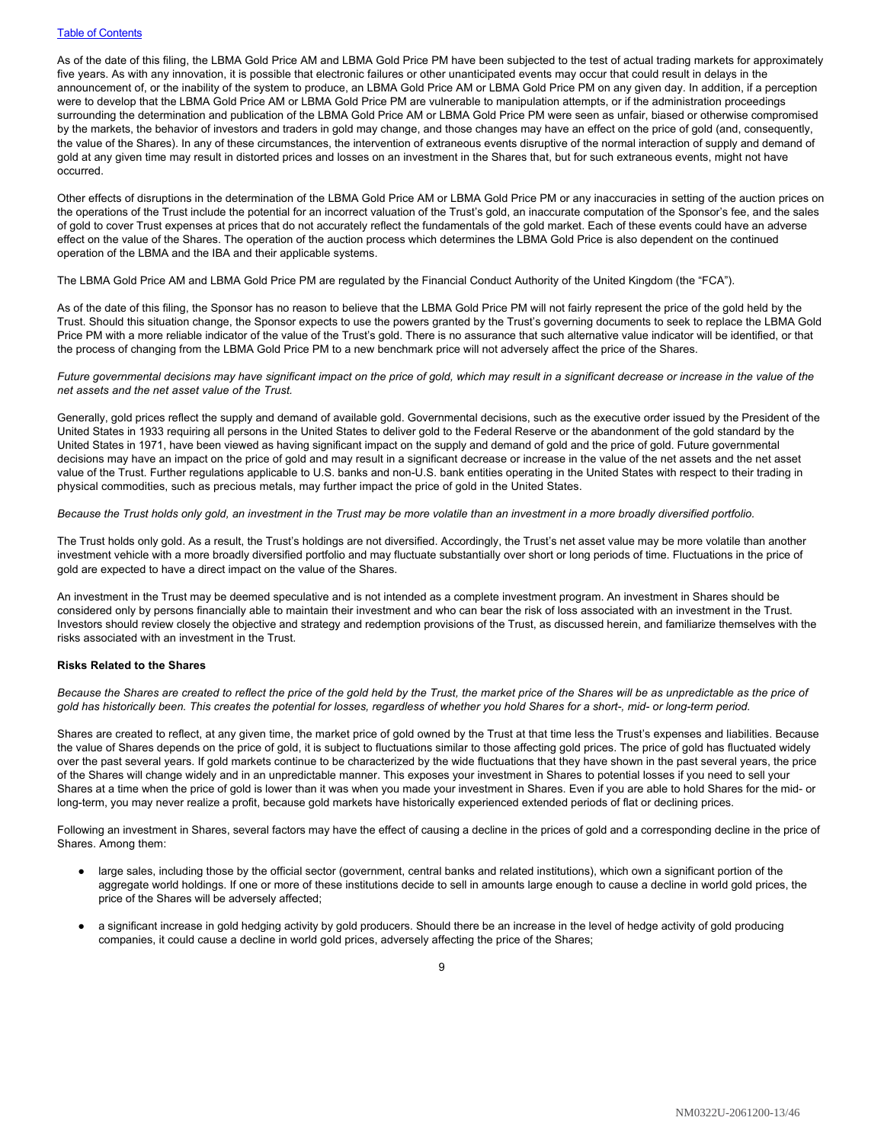As of the date of this filing, the LBMA Gold Price AM and LBMA Gold Price PM have been subjected to the test of actual trading markets for approximately five years. As with any innovation, it is possible that electronic failures or other unanticipated events may occur that could result in delays in the announcement of, or the inability of the system to produce, an LBMA Gold Price AM or LBMA Gold Price PM on any given day. In addition, if a perception were to develop that the LBMA Gold Price AM or LBMA Gold Price PM are vulnerable to manipulation attempts, or if the administration proceedings surrounding the determination and publication of the LBMA Gold Price AM or LBMA Gold Price PM were seen as unfair, biased or otherwise compromised by the markets, the behavior of investors and traders in gold may change, and those changes may have an effect on the price of gold (and, consequently, the value of the Shares). In any of these circumstances, the intervention of extraneous events disruptive of the normal interaction of supply and demand of gold at any given time may result in distorted prices and losses on an investment in the Shares that, but for such extraneous events, might not have occurred.

Other effects of disruptions in the determination of the LBMA Gold Price AM or LBMA Gold Price PM or any inaccuracies in setting of the auction prices on the operations of the Trust include the potential for an incorrect valuation of the Trust's gold, an inaccurate computation of the Sponsor's fee, and the sales of gold to cover Trust expenses at prices that do not accurately reflect the fundamentals of the gold market. Each of these events could have an adverse effect on the value of the Shares. The operation of the auction process which determines the LBMA Gold Price is also dependent on the continued operation of the LBMA and the IBA and their applicable systems.

The LBMA Gold Price AM and LBMA Gold Price PM are regulated by the Financial Conduct Authority of the United Kingdom (the "FCA").

As of the date of this filing, the Sponsor has no reason to believe that the LBMA Gold Price PM will not fairly represent the price of the gold held by the Trust. Should this situation change, the Sponsor expects to use the powers granted by the Trust's governing documents to seek to replace the LBMA Gold Price PM with a more reliable indicator of the value of the Trust's gold. There is no assurance that such alternative value indicator will be identified, or that the process of changing from the LBMA Gold Price PM to a new benchmark price will not adversely affect the price of the Shares.

*Future governmental decisions may have significant impact on the price of gold, which may result in a significant decrease or increase in the value of the net assets and the net asset value of the Trust.*

Generally, gold prices reflect the supply and demand of available gold. Governmental decisions, such as the executive order issued by the President of the United States in 1933 requiring all persons in the United States to deliver gold to the Federal Reserve or the abandonment of the gold standard by the United States in 1971, have been viewed as having significant impact on the supply and demand of gold and the price of gold. Future governmental decisions may have an impact on the price of gold and may result in a significant decrease or increase in the value of the net assets and the net asset value of the Trust. Further regulations applicable to U.S. banks and non-U.S. bank entities operating in the United States with respect to their trading in physical commodities, such as precious metals, may further impact the price of gold in the United States.

*Because the Trust holds only gold, an investment in the Trust may be more volatile than an investment in a more broadly diversified portfolio.*

The Trust holds only gold. As a result, the Trust's holdings are not diversified. Accordingly, the Trust's net asset value may be more volatile than another investment vehicle with a more broadly diversified portfolio and may fluctuate substantially over short or long periods of time. Fluctuations in the price of gold are expected to have a direct impact on the value of the Shares.

An investment in the Trust may be deemed speculative and is not intended as a complete investment program. An investment in Shares should be considered only by persons financially able to maintain their investment and who can bear the risk of loss associated with an investment in the Trust. Investors should review closely the objective and strategy and redemption provisions of the Trust, as discussed herein, and familiarize themselves with the risks associated with an investment in the Trust.

#### **Risks Related to the Shares**

*Because the Shares are created to reflect the price of the gold held by the Trust, the market price of the Shares will be as unpredictable as the price of gold has historically been. This creates the potential for losses, regardless of whether you hold Shares for a short-, mid- or long-term period.*

Shares are created to reflect, at any given time, the market price of gold owned by the Trust at that time less the Trust's expenses and liabilities. Because the value of Shares depends on the price of gold, it is subject to fluctuations similar to those affecting gold prices. The price of gold has fluctuated widely over the past several years. If gold markets continue to be characterized by the wide fluctuations that they have shown in the past several years, the price of the Shares will change widely and in an unpredictable manner. This exposes your investment in Shares to potential losses if you need to sell your Shares at a time when the price of gold is lower than it was when you made your investment in Shares. Even if you are able to hold Shares for the mid- or long-term, you may never realize a profit, because gold markets have historically experienced extended periods of flat or declining prices.

Following an investment in Shares, several factors may have the effect of causing a decline in the prices of gold and a corresponding decline in the price of Shares. Among them:

- large sales, including those by the official sector (government, central banks and related institutions), which own a significant portion of the aggregate world holdings. If one or more of these institutions decide to sell in amounts large enough to cause a decline in world gold prices, the price of the Shares will be adversely affected;
- a significant increase in gold hedging activity by gold producers. Should there be an increase in the level of hedge activity of gold producing companies, it could cause a decline in world gold prices, adversely affecting the price of the Shares;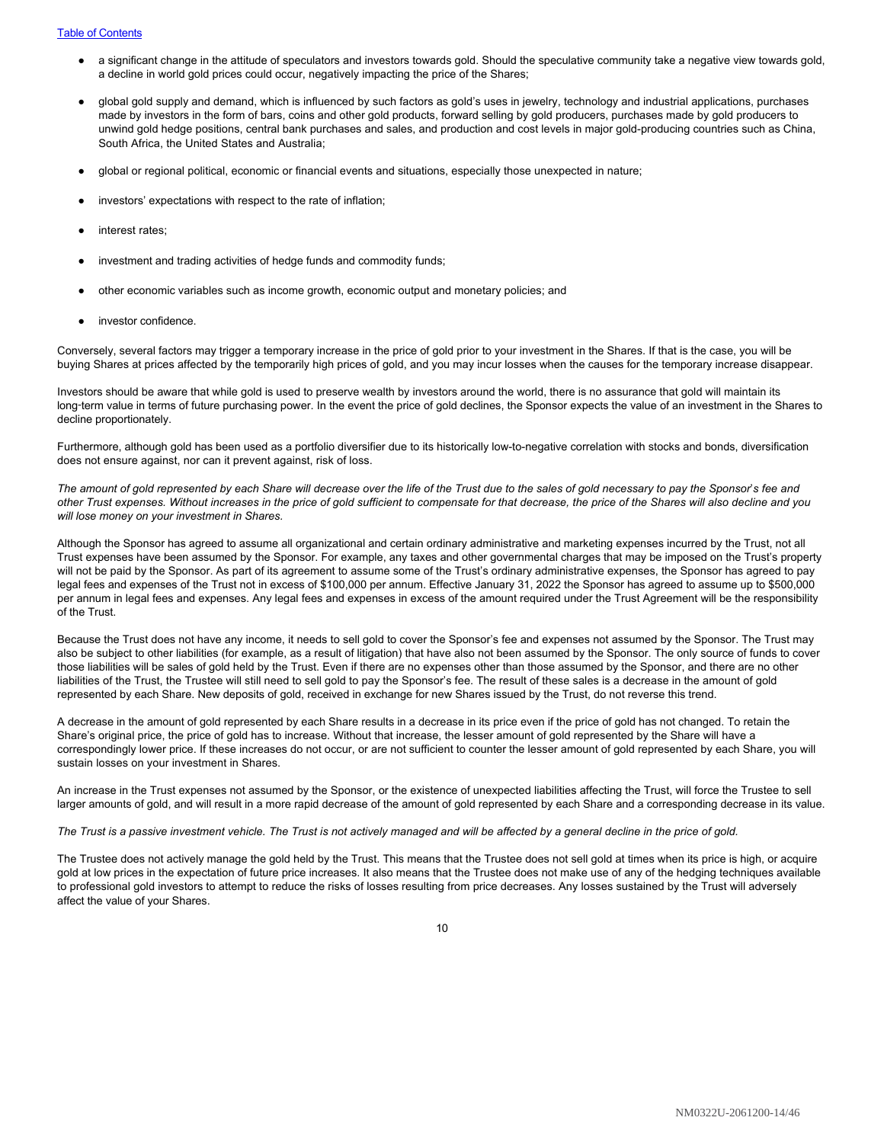## **[Table of Contents](#page-3-0)**

- a significant change in the attitude of speculators and investors towards gold. Should the speculative community take a negative view towards gold, a decline in world gold prices could occur, negatively impacting the price of the Shares;
- global gold supply and demand, which is influenced by such factors as gold's uses in jewelry, technology and industrial applications, purchases made by investors in the form of bars, coins and other gold products, forward selling by gold producers, purchases made by gold producers to unwind gold hedge positions, central bank purchases and sales, and production and cost levels in major gold-producing countries such as China, South Africa, the United States and Australia;
- global or regional political, economic or financial events and situations, especially those unexpected in nature;
- investors' expectations with respect to the rate of inflation;
- interest rates:
- investment and trading activities of hedge funds and commodity funds;
- other economic variables such as income growth, economic output and monetary policies; and
- investor confidence.

Conversely, several factors may trigger a temporary increase in the price of gold prior to your investment in the Shares. If that is the case, you will be buying Shares at prices affected by the temporarily high prices of gold, and you may incur losses when the causes for the temporary increase disappear.

Investors should be aware that while gold is used to preserve wealth by investors around the world, there is no assurance that gold will maintain its long-term value in terms of future purchasing power. In the event the price of gold declines, the Sponsor expects the value of an investment in the Shares to decline proportionately.

Furthermore, although gold has been used as a portfolio diversifier due to its historically low-to-negative correlation with stocks and bonds, diversification does not ensure against, nor can it prevent against, risk of loss.

*The amount of gold represented by each Share will decrease over the life of the Trust due to the sales of gold necessary to pay the Sponsor*'*s fee and other Trust expenses. Without increases in the price of gold sufficient to compensate for that decrease, the price of the Shares will also decline and you will lose money on your investment in Shares.*

Although the Sponsor has agreed to assume all organizational and certain ordinary administrative and marketing expenses incurred by the Trust, not all Trust expenses have been assumed by the Sponsor. For example, any taxes and other governmental charges that may be imposed on the Trust's property will not be paid by the Sponsor. As part of its agreement to assume some of the Trust's ordinary administrative expenses, the Sponsor has agreed to pay legal fees and expenses of the Trust not in excess of \$100,000 per annum. Effective January 31, 2022 the Sponsor has agreed to assume up to \$500,000 per annum in legal fees and expenses. Any legal fees and expenses in excess of the amount required under the Trust Agreement will be the responsibility of the Trust.

Because the Trust does not have any income, it needs to sell gold to cover the Sponsor's fee and expenses not assumed by the Sponsor. The Trust may also be subject to other liabilities (for example, as a result of litigation) that have also not been assumed by the Sponsor. The only source of funds to cover those liabilities will be sales of gold held by the Trust. Even if there are no expenses other than those assumed by the Sponsor, and there are no other liabilities of the Trust, the Trustee will still need to sell gold to pay the Sponsor's fee. The result of these sales is a decrease in the amount of gold represented by each Share. New deposits of gold, received in exchange for new Shares issued by the Trust, do not reverse this trend.

A decrease in the amount of gold represented by each Share results in a decrease in its price even if the price of gold has not changed. To retain the Share's original price, the price of gold has to increase. Without that increase, the lesser amount of gold represented by the Share will have a correspondingly lower price. If these increases do not occur, or are not sufficient to counter the lesser amount of gold represented by each Share, you will sustain losses on your investment in Shares.

An increase in the Trust expenses not assumed by the Sponsor, or the existence of unexpected liabilities affecting the Trust, will force the Trustee to sell larger amounts of gold, and will result in a more rapid decrease of the amount of gold represented by each Share and a corresponding decrease in its value.

*The Trust is a passive investment vehicle. The Trust is not actively managed and will be affected by a general decline in the price of gold.*

The Trustee does not actively manage the gold held by the Trust. This means that the Trustee does not sell gold at times when its price is high, or acquire gold at low prices in the expectation of future price increases. It also means that the Trustee does not make use of any of the hedging techniques available to professional gold investors to attempt to reduce the risks of losses resulting from price decreases. Any losses sustained by the Trust will adversely affect the value of your Shares.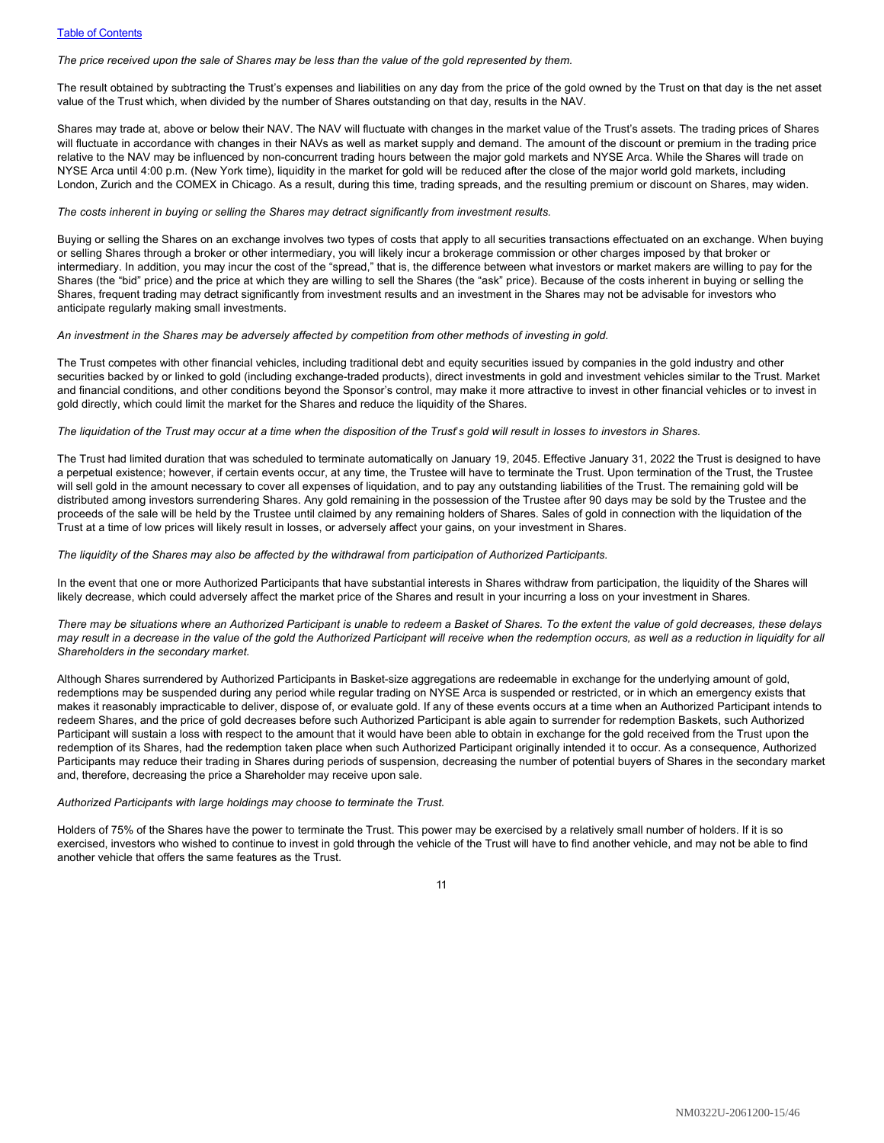*The price received upon the sale of Shares may be less than the value of the gold represented by them.*

The result obtained by subtracting the Trust's expenses and liabilities on any day from the price of the gold owned by the Trust on that day is the net asset value of the Trust which, when divided by the number of Shares outstanding on that day, results in the NAV.

Shares may trade at, above or below their NAV. The NAV will fluctuate with changes in the market value of the Trust's assets. The trading prices of Shares will fluctuate in accordance with changes in their NAVs as well as market supply and demand. The amount of the discount or premium in the trading price relative to the NAV may be influenced by non-concurrent trading hours between the major gold markets and NYSE Arca. While the Shares will trade on NYSE Arca until 4:00 p.m. (New York time), liquidity in the market for gold will be reduced after the close of the major world gold markets, including London, Zurich and the COMEX in Chicago. As a result, during this time, trading spreads, and the resulting premium or discount on Shares, may widen.

#### *The costs inherent in buying or selling the Shares may detract significantly from investment results.*

Buying or selling the Shares on an exchange involves two types of costs that apply to all securities transactions effectuated on an exchange. When buying or selling Shares through a broker or other intermediary, you will likely incur a brokerage commission or other charges imposed by that broker or intermediary. In addition, you may incur the cost of the "spread," that is, the difference between what investors or market makers are willing to pay for the Shares (the "bid" price) and the price at which they are willing to sell the Shares (the "ask" price). Because of the costs inherent in buying or selling the Shares, frequent trading may detract significantly from investment results and an investment in the Shares may not be advisable for investors who anticipate regularly making small investments.

#### *An investment in the Shares may be adversely affected by competition from other methods of investing in gold.*

The Trust competes with other financial vehicles, including traditional debt and equity securities issued by companies in the gold industry and other securities backed by or linked to gold (including exchange-traded products), direct investments in gold and investment vehicles similar to the Trust. Market and financial conditions, and other conditions beyond the Sponsor's control, may make it more attractive to invest in other financial vehicles or to invest in gold directly, which could limit the market for the Shares and reduce the liquidity of the Shares.

*The liquidation of the Trust may occur at a time when the disposition of the Trust*'*s gold will result in losses to investors in Shares.*

The Trust had limited duration that was scheduled to terminate automatically on January 19, 2045. Effective January 31, 2022 the Trust is designed to have a perpetual existence; however, if certain events occur, at any time, the Trustee will have to terminate the Trust. Upon termination of the Trust, the Trustee will sell gold in the amount necessary to cover all expenses of liquidation, and to pay any outstanding liabilities of the Trust. The remaining gold will be distributed among investors surrendering Shares. Any gold remaining in the possession of the Trustee after 90 days may be sold by the Trustee and the proceeds of the sale will be held by the Trustee until claimed by any remaining holders of Shares. Sales of gold in connection with the liquidation of the Trust at a time of low prices will likely result in losses, or adversely affect your gains, on your investment in Shares.

#### *The liquidity of the Shares may also be affected by the withdrawal from participation of Authorized Participants.*

In the event that one or more Authorized Participants that have substantial interests in Shares withdraw from participation, the liquidity of the Shares will likely decrease, which could adversely affect the market price of the Shares and result in your incurring a loss on your investment in Shares.

*There may be situations where an Authorized Participant is unable to redeem a Basket of Shares. To the extent the value of gold decreases, these delays may result in a decrease in the value of the gold the Authorized Participant will receive when the redemption occurs, as well as a reduction in liquidity for all Shareholders in the secondary market.*

Although Shares surrendered by Authorized Participants in Basket-size aggregations are redeemable in exchange for the underlying amount of gold, redemptions may be suspended during any period while regular trading on NYSE Arca is suspended or restricted, or in which an emergency exists that makes it reasonably impracticable to deliver, dispose of, or evaluate gold. If any of these events occurs at a time when an Authorized Participant intends to redeem Shares, and the price of gold decreases before such Authorized Participant is able again to surrender for redemption Baskets, such Authorized Participant will sustain a loss with respect to the amount that it would have been able to obtain in exchange for the gold received from the Trust upon the redemption of its Shares, had the redemption taken place when such Authorized Participant originally intended it to occur. As a consequence, Authorized Participants may reduce their trading in Shares during periods of suspension, decreasing the number of potential buyers of Shares in the secondary market and, therefore, decreasing the price a Shareholder may receive upon sale.

## *Authorized Participants with large holdings may choose to terminate the Trust.*

Holders of 75% of the Shares have the power to terminate the Trust. This power may be exercised by a relatively small number of holders. If it is so exercised, investors who wished to continue to invest in gold through the vehicle of the Trust will have to find another vehicle, and may not be able to find another vehicle that offers the same features as the Trust.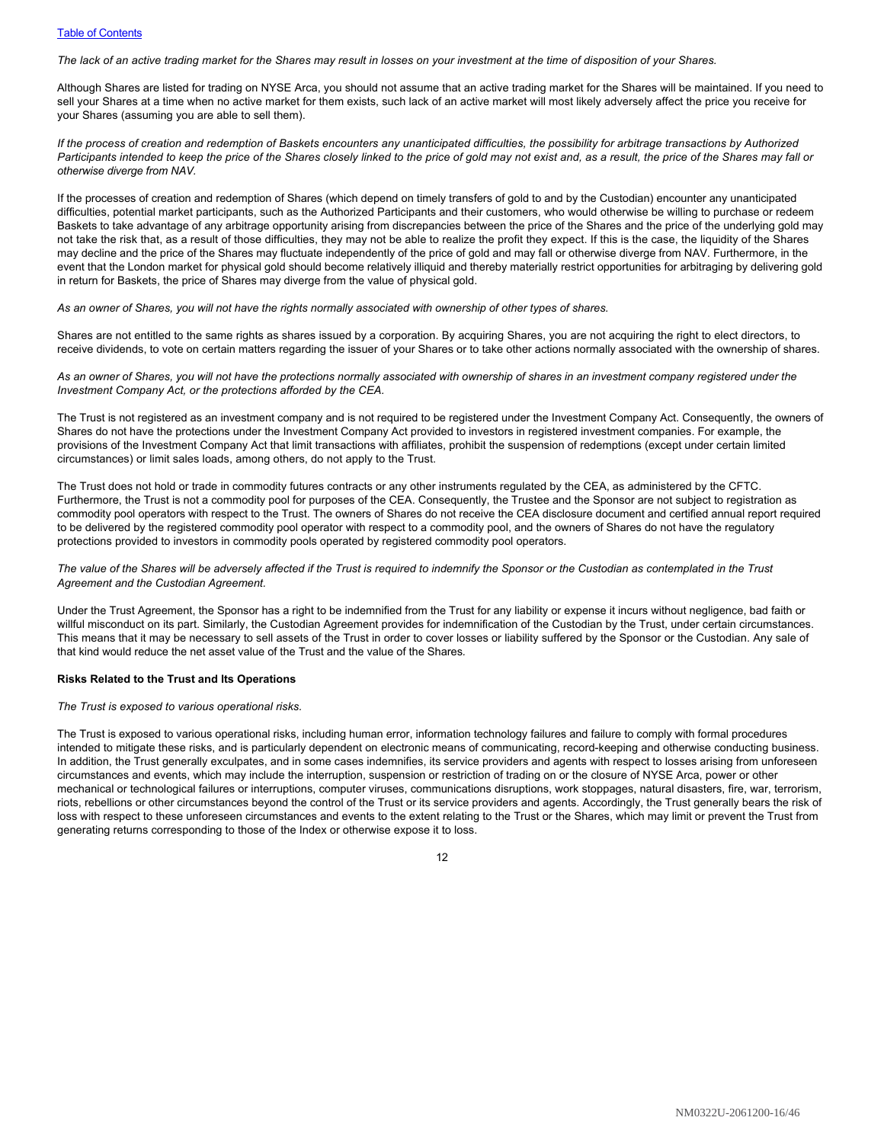*The lack of an active trading market for the Shares may result in losses on your investment at the time of disposition of your Shares.*

Although Shares are listed for trading on NYSE Arca, you should not assume that an active trading market for the Shares will be maintained. If you need to sell your Shares at a time when no active market for them exists, such lack of an active market will most likely adversely affect the price you receive for your Shares (assuming you are able to sell them).

*If the process of creation and redemption of Baskets encounters any unanticipated difficulties, the possibility for arbitrage transactions by Authorized Participants intended to keep the price of the Shares closely linked to the price of gold may not exist and, as a result, the price of the Shares may fall or otherwise diverge from NAV.*

If the processes of creation and redemption of Shares (which depend on timely transfers of gold to and by the Custodian) encounter any unanticipated difficulties, potential market participants, such as the Authorized Participants and their customers, who would otherwise be willing to purchase or redeem Baskets to take advantage of any arbitrage opportunity arising from discrepancies between the price of the Shares and the price of the underlying gold may not take the risk that, as a result of those difficulties, they may not be able to realize the profit they expect. If this is the case, the liquidity of the Shares may decline and the price of the Shares may fluctuate independently of the price of gold and may fall or otherwise diverge from NAV. Furthermore, in the event that the London market for physical gold should become relatively illiquid and thereby materially restrict opportunities for arbitraging by delivering gold in return for Baskets, the price of Shares may diverge from the value of physical gold.

*As an owner of Shares, you will not have the rights normally associated with ownership of other types of shares.*

Shares are not entitled to the same rights as shares issued by a corporation. By acquiring Shares, you are not acquiring the right to elect directors, to receive dividends, to vote on certain matters regarding the issuer of your Shares or to take other actions normally associated with the ownership of shares.

*As an owner of Shares, you will not have the protections normally associated with ownership of shares in an investment company registered under the Investment Company Act, or the protections afforded by the CEA.*

The Trust is not registered as an investment company and is not required to be registered under the Investment Company Act. Consequently, the owners of Shares do not have the protections under the Investment Company Act provided to investors in registered investment companies. For example, the provisions of the Investment Company Act that limit transactions with affiliates, prohibit the suspension of redemptions (except under certain limited circumstances) or limit sales loads, among others, do not apply to the Trust.

The Trust does not hold or trade in commodity futures contracts or any other instruments regulated by the CEA, as administered by the CFTC. Furthermore, the Trust is not a commodity pool for purposes of the CEA. Consequently, the Trustee and the Sponsor are not subject to registration as commodity pool operators with respect to the Trust. The owners of Shares do not receive the CEA disclosure document and certified annual report required to be delivered by the registered commodity pool operator with respect to a commodity pool, and the owners of Shares do not have the regulatory protections provided to investors in commodity pools operated by registered commodity pool operators.

*The value of the Shares will be adversely affected if the Trust is required to indemnify the Sponsor or the Custodian as contemplated in the Trust Agreement and the Custodian Agreement.*

Under the Trust Agreement, the Sponsor has a right to be indemnified from the Trust for any liability or expense it incurs without negligence, bad faith or willful misconduct on its part. Similarly, the Custodian Agreement provides for indemnification of the Custodian by the Trust, under certain circumstances. This means that it may be necessary to sell assets of the Trust in order to cover losses or liability suffered by the Sponsor or the Custodian. Any sale of that kind would reduce the net asset value of the Trust and the value of the Shares*.*

#### **Risks Related to the Trust and Its Operations**

*The Trust is exposed to various operational risks.*

The Trust is exposed to various operational risks, including human error, information technology failures and failure to comply with formal procedures intended to mitigate these risks, and is particularly dependent on electronic means of communicating, record-keeping and otherwise conducting business. In addition, the Trust generally exculpates, and in some cases indemnifies, its service providers and agents with respect to losses arising from unforeseen circumstances and events, which may include the interruption, suspension or restriction of trading on or the closure of NYSE Arca, power or other mechanical or technological failures or interruptions, computer viruses, communications disruptions, work stoppages, natural disasters, fire, war, terrorism, riots, rebellions or other circumstances beyond the control of the Trust or its service providers and agents. Accordingly, the Trust generally bears the risk of loss with respect to these unforeseen circumstances and events to the extent relating to the Trust or the Shares, which may limit or prevent the Trust from generating returns corresponding to those of the Index or otherwise expose it to loss.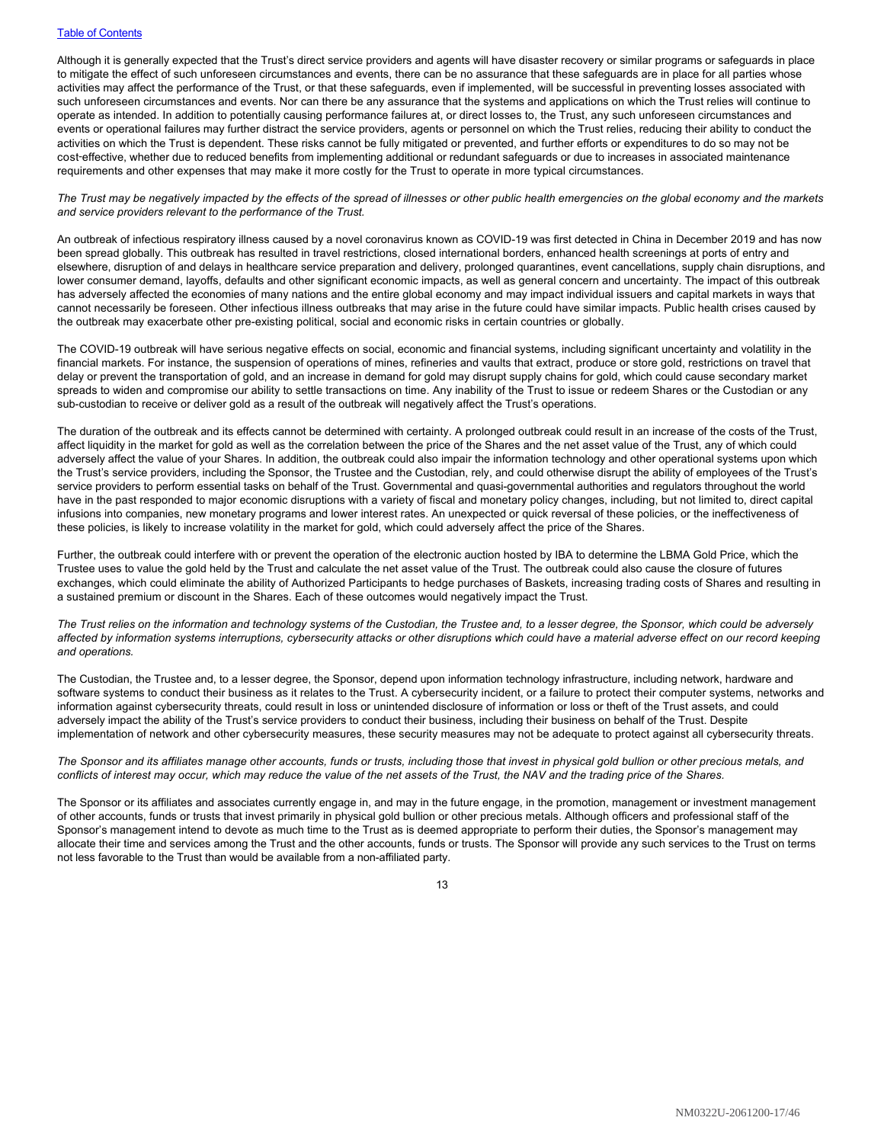Although it is generally expected that the Trust's direct service providers and agents will have disaster recovery or similar programs or safeguards in place to mitigate the effect of such unforeseen circumstances and events, there can be no assurance that these safeguards are in place for all parties whose activities may affect the performance of the Trust, or that these safeguards, even if implemented, will be successful in preventing losses associated with such unforeseen circumstances and events. Nor can there be any assurance that the systems and applications on which the Trust relies will continue to operate as intended. In addition to potentially causing performance failures at, or direct losses to, the Trust, any such unforeseen circumstances and events or operational failures may further distract the service providers, agents or personnel on which the Trust relies, reducing their ability to conduct the activities on which the Trust is dependent. These risks cannot be fully mitigated or prevented, and further efforts or expenditures to do so may not be cost‑effective, whether due to reduced benefits from implementing additional or redundant safeguards or due to increases in associated maintenance requirements and other expenses that may make it more costly for the Trust to operate in more typical circumstances.

*The Trust may be negatively impacted by the effects of the spread of illnesses or other public health emergencies on the global economy and the markets and service providers relevant to the performance of the Trust.*

An outbreak of infectious respiratory illness caused by a novel coronavirus known as COVID-19 was first detected in China in December 2019 and has now been spread globally. This outbreak has resulted in travel restrictions, closed international borders, enhanced health screenings at ports of entry and elsewhere, disruption of and delays in healthcare service preparation and delivery, prolonged quarantines, event cancellations, supply chain disruptions, and lower consumer demand, layoffs, defaults and other significant economic impacts, as well as general concern and uncertainty. The impact of this outbreak has adversely affected the economies of many nations and the entire global economy and may impact individual issuers and capital markets in ways that cannot necessarily be foreseen. Other infectious illness outbreaks that may arise in the future could have similar impacts. Public health crises caused by the outbreak may exacerbate other pre-existing political, social and economic risks in certain countries or globally.

The COVID-19 outbreak will have serious negative effects on social, economic and financial systems, including significant uncertainty and volatility in the financial markets. For instance, the suspension of operations of mines, refineries and vaults that extract, produce or store gold, restrictions on travel that delay or prevent the transportation of gold, and an increase in demand for gold may disrupt supply chains for gold, which could cause secondary market spreads to widen and compromise our ability to settle transactions on time. Any inability of the Trust to issue or redeem Shares or the Custodian or any sub-custodian to receive or deliver gold as a result of the outbreak will negatively affect the Trust's operations.

The duration of the outbreak and its effects cannot be determined with certainty. A prolonged outbreak could result in an increase of the costs of the Trust, affect liquidity in the market for gold as well as the correlation between the price of the Shares and the net asset value of the Trust, any of which could adversely affect the value of your Shares. In addition, the outbreak could also impair the information technology and other operational systems upon which the Trust's service providers, including the Sponsor, the Trustee and the Custodian, rely, and could otherwise disrupt the ability of employees of the Trust's service providers to perform essential tasks on behalf of the Trust. Governmental and quasi-governmental authorities and regulators throughout the world have in the past responded to major economic disruptions with a variety of fiscal and monetary policy changes, including, but not limited to, direct capital infusions into companies, new monetary programs and lower interest rates. An unexpected or quick reversal of these policies, or the ineffectiveness of these policies, is likely to increase volatility in the market for gold, which could adversely affect the price of the Shares.

Further, the outbreak could interfere with or prevent the operation of the electronic auction hosted by IBA to determine the LBMA Gold Price, which the Trustee uses to value the gold held by the Trust and calculate the net asset value of the Trust. The outbreak could also cause the closure of futures exchanges, which could eliminate the ability of Authorized Participants to hedge purchases of Baskets, increasing trading costs of Shares and resulting in a sustained premium or discount in the Shares. Each of these outcomes would negatively impact the Trust.

*The Trust relies on the information and technology systems of the Custodian, the Trustee and, to a lesser degree, the Sponsor, which could be adversely affected by information systems interruptions, cybersecurity attacks or other disruptions which could have a material adverse effect on our record keeping and operations.*

The Custodian, the Trustee and, to a lesser degree, the Sponsor, depend upon information technology infrastructure, including network, hardware and software systems to conduct their business as it relates to the Trust. A cybersecurity incident, or a failure to protect their computer systems, networks and information against cybersecurity threats, could result in loss or unintended disclosure of information or loss or theft of the Trust assets, and could adversely impact the ability of the Trust's service providers to conduct their business, including their business on behalf of the Trust. Despite implementation of network and other cybersecurity measures, these security measures may not be adequate to protect against all cybersecurity threats.

*The Sponsor and its affiliates manage other accounts, funds or trusts, including those that invest in physical gold bullion or other precious metals, and conflicts of interest may occur, which may reduce the value of the net assets of the Trust, the NAV and the trading price of the Shares.*

The Sponsor or its affiliates and associates currently engage in, and may in the future engage, in the promotion, management or investment management of other accounts, funds or trusts that invest primarily in physical gold bullion or other precious metals. Although officers and professional staff of the Sponsor's management intend to devote as much time to the Trust as is deemed appropriate to perform their duties, the Sponsor's management may allocate their time and services among the Trust and the other accounts, funds or trusts. The Sponsor will provide any such services to the Trust on terms not less favorable to the Trust than would be available from a non-affiliated party.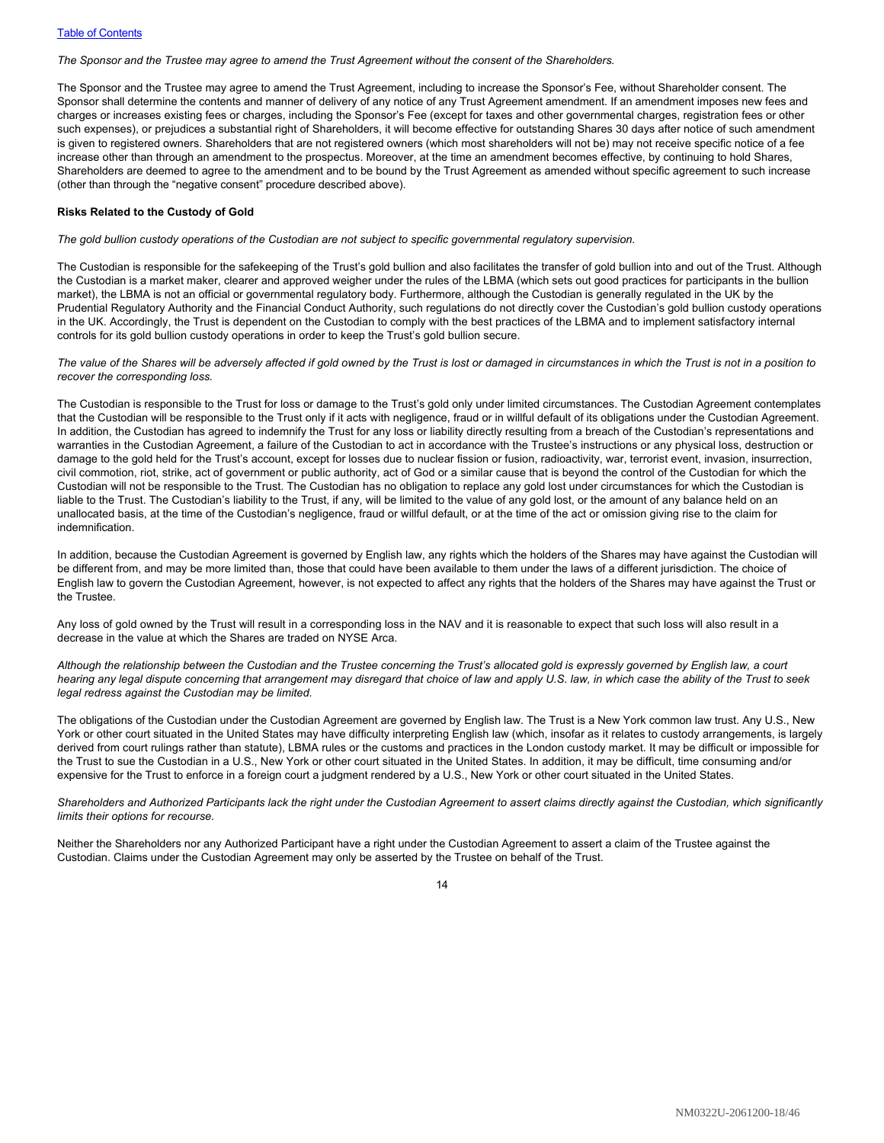*The Sponsor and the Trustee may agree to amend the Trust Agreement without the consent of the Shareholders.*

The Sponsor and the Trustee may agree to amend the Trust Agreement, including to increase the Sponsor's Fee, without Shareholder consent. The Sponsor shall determine the contents and manner of delivery of any notice of any Trust Agreement amendment. If an amendment imposes new fees and charges or increases existing fees or charges, including the Sponsor's Fee (except for taxes and other governmental charges, registration fees or other such expenses), or prejudices a substantial right of Shareholders, it will become effective for outstanding Shares 30 days after notice of such amendment is given to registered owners. Shareholders that are not registered owners (which most shareholders will not be) may not receive specific notice of a fee increase other than through an amendment to the prospectus. Moreover, at the time an amendment becomes effective, by continuing to hold Shares, Shareholders are deemed to agree to the amendment and to be bound by the Trust Agreement as amended without specific agreement to such increase (other than through the "negative consent" procedure described above).

## **Risks Related to the Custody of Gold**

*The gold bullion custody operations of the Custodian are not subject to specific governmental regulatory supervision.*

The Custodian is responsible for the safekeeping of the Trust's gold bullion and also facilitates the transfer of gold bullion into and out of the Trust. Although the Custodian is a market maker, clearer and approved weigher under the rules of the LBMA (which sets out good practices for participants in the bullion market), the LBMA is not an official or governmental regulatory body. Furthermore, although the Custodian is generally regulated in the UK by the Prudential Regulatory Authority and the Financial Conduct Authority, such regulations do not directly cover the Custodian's gold bullion custody operations in the UK. Accordingly, the Trust is dependent on the Custodian to comply with the best practices of the LBMA and to implement satisfactory internal controls for its gold bullion custody operations in order to keep the Trust's gold bullion secure.

*The value of the Shares will be adversely affected if gold owned by the Trust is lost or damaged in circumstances in which the Trust is not in a position to recover the corresponding loss.*

The Custodian is responsible to the Trust for loss or damage to the Trust's gold only under limited circumstances. The Custodian Agreement contemplates that the Custodian will be responsible to the Trust only if it acts with negligence, fraud or in willful default of its obligations under the Custodian Agreement. In addition, the Custodian has agreed to indemnify the Trust for any loss or liability directly resulting from a breach of the Custodian's representations and warranties in the Custodian Agreement, a failure of the Custodian to act in accordance with the Trustee's instructions or any physical loss, destruction or damage to the gold held for the Trust's account, except for losses due to nuclear fission or fusion, radioactivity, war, terrorist event, invasion, insurrection, civil commotion, riot, strike, act of government or public authority, act of God or a similar cause that is beyond the control of the Custodian for which the Custodian will not be responsible to the Trust. The Custodian has no obligation to replace any gold lost under circumstances for which the Custodian is liable to the Trust. The Custodian's liability to the Trust, if any, will be limited to the value of any gold lost, or the amount of any balance held on an unallocated basis, at the time of the Custodian's negligence, fraud or willful default, or at the time of the act or omission giving rise to the claim for indemnification.

In addition, because the Custodian Agreement is governed by English law, any rights which the holders of the Shares may have against the Custodian will be different from, and may be more limited than, those that could have been available to them under the laws of a different jurisdiction. The choice of English law to govern the Custodian Agreement, however, is not expected to affect any rights that the holders of the Shares may have against the Trust or the Trustee.

Any loss of gold owned by the Trust will result in a corresponding loss in the NAV and it is reasonable to expect that such loss will also result in a decrease in the value at which the Shares are traded on NYSE Arca.

*Although the relationship between the Custodian and the Trustee concerning the Trust's allocated gold is expressly governed by English law, a court hearing any legal dispute concerning that arrangement may disregard that choice of law and apply U.S. law, in which case the ability of the Trust to seek legal redress against the Custodian may be limited.*

The obligations of the Custodian under the Custodian Agreement are governed by English law. The Trust is a New York common law trust. Any U.S., New York or other court situated in the United States may have difficulty interpreting English law (which, insofar as it relates to custody arrangements, is largely derived from court rulings rather than statute), LBMA rules or the customs and practices in the London custody market. It may be difficult or impossible for the Trust to sue the Custodian in a U.S., New York or other court situated in the United States. In addition, it may be difficult, time consuming and/or expensive for the Trust to enforce in a foreign court a judgment rendered by a U.S., New York or other court situated in the United States.

*Shareholders and Authorized Participants lack the right under the Custodian Agreement to assert claims directly against the Custodian, which significantly limits their options for recourse.*

Neither the Shareholders nor any Authorized Participant have a right under the Custodian Agreement to assert a claim of the Trustee against the Custodian. Claims under the Custodian Agreement may only be asserted by the Trustee on behalf of the Trust.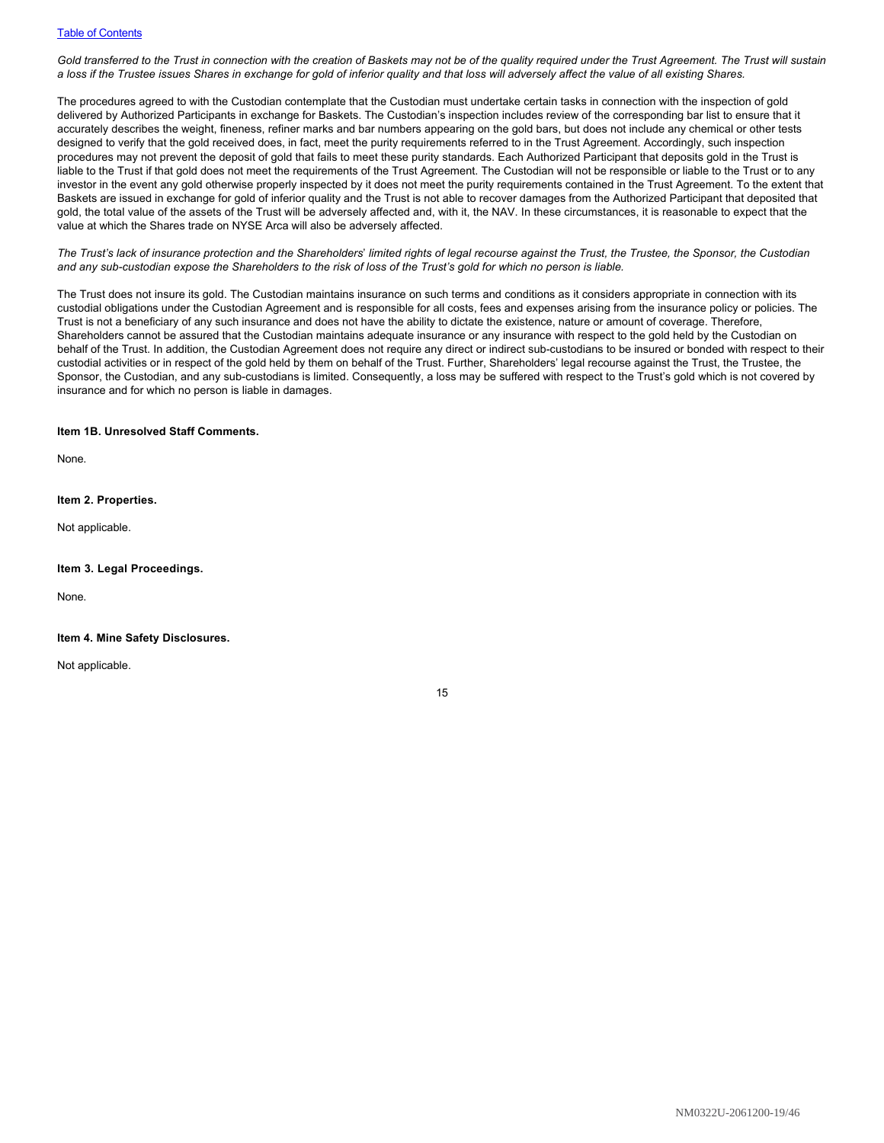## **[Table of Contents](#page-3-0)**

*Gold transferred to the Trust in connection with the creation of Baskets may not be of the quality required under the Trust Agreement. The Trust will sustain a loss if the Trustee issues Shares in exchange for gold of inferior quality and that loss will adversely affect the value of all existing Shares.*

The procedures agreed to with the Custodian contemplate that the Custodian must undertake certain tasks in connection with the inspection of gold delivered by Authorized Participants in exchange for Baskets. The Custodian's inspection includes review of the corresponding bar list to ensure that it accurately describes the weight, fineness, refiner marks and bar numbers appearing on the gold bars, but does not include any chemical or other tests designed to verify that the gold received does, in fact, meet the purity requirements referred to in the Trust Agreement. Accordingly, such inspection procedures may not prevent the deposit of gold that fails to meet these purity standards. Each Authorized Participant that deposits gold in the Trust is liable to the Trust if that gold does not meet the requirements of the Trust Agreement. The Custodian will not be responsible or liable to the Trust or to any investor in the event any gold otherwise properly inspected by it does not meet the purity requirements contained in the Trust Agreement. To the extent that Baskets are issued in exchange for gold of inferior quality and the Trust is not able to recover damages from the Authorized Participant that deposited that gold, the total value of the assets of the Trust will be adversely affected and, with it, the NAV. In these circumstances, it is reasonable to expect that the value at which the Shares trade on NYSE Arca will also be adversely affected.

*The Trust's lack of insurance protection and the Shareholders*' *limited rights of legal recourse against the Trust, the Trustee, the Sponsor, the Custodian and any sub-custodian expose the Shareholders to the risk of loss of the Trust's gold for which no person is liable.*

The Trust does not insure its gold. The Custodian maintains insurance on such terms and conditions as it considers appropriate in connection with its custodial obligations under the Custodian Agreement and is responsible for all costs, fees and expenses arising from the insurance policy or policies. The Trust is not a beneficiary of any such insurance and does not have the ability to dictate the existence, nature or amount of coverage. Therefore, Shareholders cannot be assured that the Custodian maintains adequate insurance or any insurance with respect to the gold held by the Custodian on behalf of the Trust. In addition, the Custodian Agreement does not require any direct or indirect sub-custodians to be insured or bonded with respect to their custodial activities or in respect of the gold held by them on behalf of the Trust. Further, Shareholders' legal recourse against the Trust, the Trustee, the Sponsor, the Custodian, and any sub-custodians is limited. Consequently, a loss may be suffered with respect to the Trust's gold which is not covered by insurance and for which no person is liable in damages.

#### <span id="page-18-0"></span>**Item 1B. Unresolved Staff Comments.**

None.

#### <span id="page-18-1"></span>**Item 2. Properties.**

Not applicable.

#### <span id="page-18-2"></span>**Item 3. Legal Proceedings.**

None.

#### <span id="page-18-3"></span>**Item 4. Mine Safety Disclosures.**

Not applicable.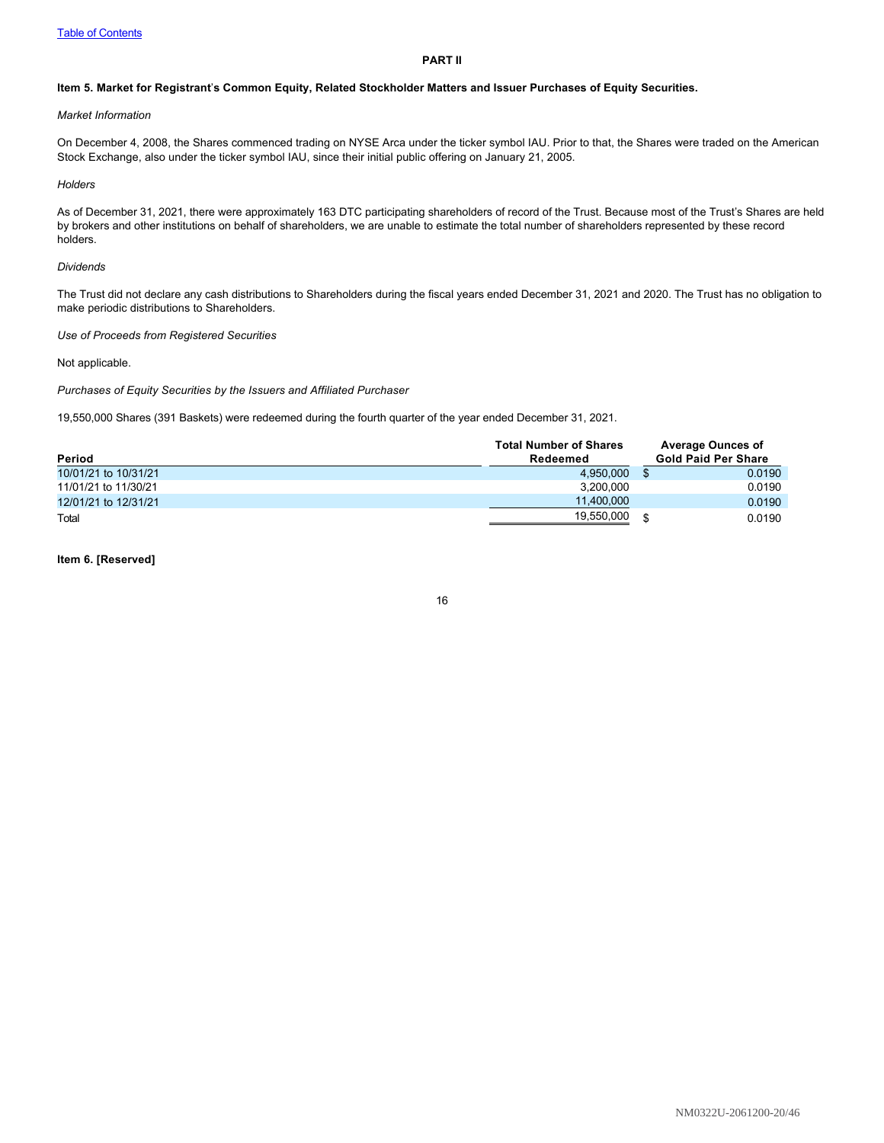## <span id="page-19-0"></span>**PART II**

## <span id="page-19-1"></span>**Item 5. Market for Registrant**'**s Common Equity, Related Stockholder Matters and Issuer Purchases of Equity Securities.**

#### *Market Information*

On December 4, 2008, the Shares commenced trading on NYSE Arca under the ticker symbol IAU. Prior to that, the Shares were traded on the American Stock Exchange, also under the ticker symbol IAU, since their initial public offering on January 21, 2005.

#### *Holders*

As of December 31, 2021, there were approximately 163 DTC participating shareholders of record of the Trust. Because most of the Trust's Shares are held by brokers and other institutions on behalf of shareholders, we are unable to estimate the total number of shareholders represented by these record holders.

#### *Dividends*

The Trust did not declare any cash distributions to Shareholders during the fiscal years ended December 31, 2021 and 2020. The Trust has no obligation to make periodic distributions to Shareholders.

*Use of Proceeds from Registered Securities*

Not applicable.

*Purchases of Equity Securities by the Issuers and Affiliated Purchaser*

19,550,000 Shares (391 Baskets) were redeemed during the fourth quarter of the year ended December 31, 2021.

| Period               | <b>Total Number of Shares</b><br>Redeemed | <b>Average Ounces of</b><br><b>Gold Paid Per Share</b> |        |  |  |
|----------------------|-------------------------------------------|--------------------------------------------------------|--------|--|--|
| 10/01/21 to 10/31/21 | 4.950.000                                 |                                                        | 0.0190 |  |  |
| 11/01/21 to 11/30/21 | 3.200.000                                 |                                                        | 0.0190 |  |  |
| 12/01/21 to 12/31/21 | 11.400.000                                |                                                        | 0.0190 |  |  |
| Total                | 19,550,000                                |                                                        | 0.0190 |  |  |

<span id="page-19-2"></span>**Item 6. [Reserved]**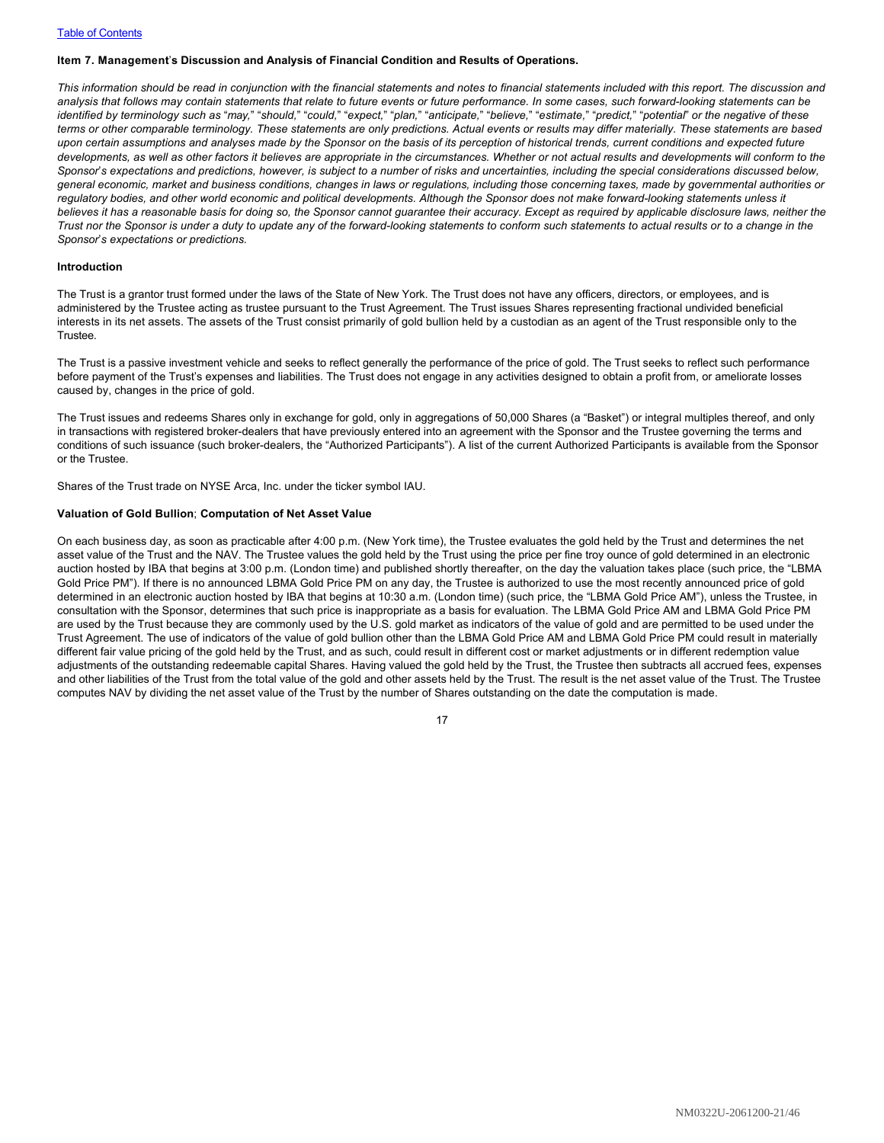#### <span id="page-20-0"></span>**Item 7. Management**'**s Discussion and Analysis of Financial Condition and Results of Operations.**

*This information should be read in conjunction with the financial statements and notes to financial statements included with this report. The discussion and analysis that follows may contain statements that relate to future events or future performance. In some cases, such forward-looking statements can be* identified by terminology such as "may," "should," "could," "expect," "plan," "anticipate," "believe," "estimate," "predict," "potential" or the negative of these *terms or other comparable terminology. These statements are only predictions. Actual events or results may differ materially. These statements are based upon certain assumptions and analyses made by the Sponsor on the basis of its perception of historical trends, current conditions and expected future developments, as well as other factors it believes are appropriate in the circumstances. Whether or not actual results and developments will conform to the Sponsor*'*s expectations and predictions, however, is subject to a number of risks and uncertainties, including the special considerations discussed below, general economic, market and business conditions, changes in laws or regulations, including those concerning taxes, made by governmental authorities or regulatory bodies, and other world economic and political developments. Although the Sponsor does not make forward-looking statements unless it believes it has a reasonable basis for doing so, the Sponsor cannot guarantee their accuracy. Except as required by applicable disclosure laws, neither the Trust nor the Sponsor is under a duty to update any of the forward-looking statements to conform such statements to actual results or to a change in the Sponsor*'*s expectations or predictions.*

#### **Introduction**

The Trust is a grantor trust formed under the laws of the State of New York. The Trust does not have any officers, directors, or employees, and is administered by the Trustee acting as trustee pursuant to the Trust Agreement. The Trust issues Shares representing fractional undivided beneficial interests in its net assets. The assets of the Trust consist primarily of gold bullion held by a custodian as an agent of the Trust responsible only to the Trustee.

The Trust is a passive investment vehicle and seeks to reflect generally the performance of the price of gold. The Trust seeks to reflect such performance before payment of the Trust's expenses and liabilities. The Trust does not engage in any activities designed to obtain a profit from, or ameliorate losses caused by, changes in the price of gold.

The Trust issues and redeems Shares only in exchange for gold, only in aggregations of 50,000 Shares (a "Basket") or integral multiples thereof, and only in transactions with registered broker-dealers that have previously entered into an agreement with the Sponsor and the Trustee governing the terms and conditions of such issuance (such broker-dealers, the "Authorized Participants"). A list of the current Authorized Participants is available from the Sponsor or the Trustee.

Shares of the Trust trade on NYSE Arca, Inc. under the ticker symbol IAU.

#### **Valuation of Gold Bullion**; **Computation of Net Asset Value**

On each business day, as soon as practicable after 4:00 p.m. (New York time), the Trustee evaluates the gold held by the Trust and determines the net asset value of the Trust and the NAV. The Trustee values the gold held by the Trust using the price per fine troy ounce of gold determined in an electronic auction hosted by IBA that begins at 3:00 p.m. (London time) and published shortly thereafter, on the day the valuation takes place (such price, the "LBMA Gold Price PM"). If there is no announced LBMA Gold Price PM on any day, the Trustee is authorized to use the most recently announced price of gold determined in an electronic auction hosted by IBA that begins at 10:30 a.m. (London time) (such price, the "LBMA Gold Price AM"), unless the Trustee, in consultation with the Sponsor, determines that such price is inappropriate as a basis for evaluation. The LBMA Gold Price AM and LBMA Gold Price PM are used by the Trust because they are commonly used by the U.S. gold market as indicators of the value of gold and are permitted to be used under the Trust Agreement. The use of indicators of the value of gold bullion other than the LBMA Gold Price AM and LBMA Gold Price PM could result in materially different fair value pricing of the gold held by the Trust, and as such, could result in different cost or market adjustments or in different redemption value adjustments of the outstanding redeemable capital Shares. Having valued the gold held by the Trust, the Trustee then subtracts all accrued fees, expenses and other liabilities of the Trust from the total value of the gold and other assets held by the Trust. The result is the net asset value of the Trust. The Trustee computes NAV by dividing the net asset value of the Trust by the number of Shares outstanding on the date the computation is made.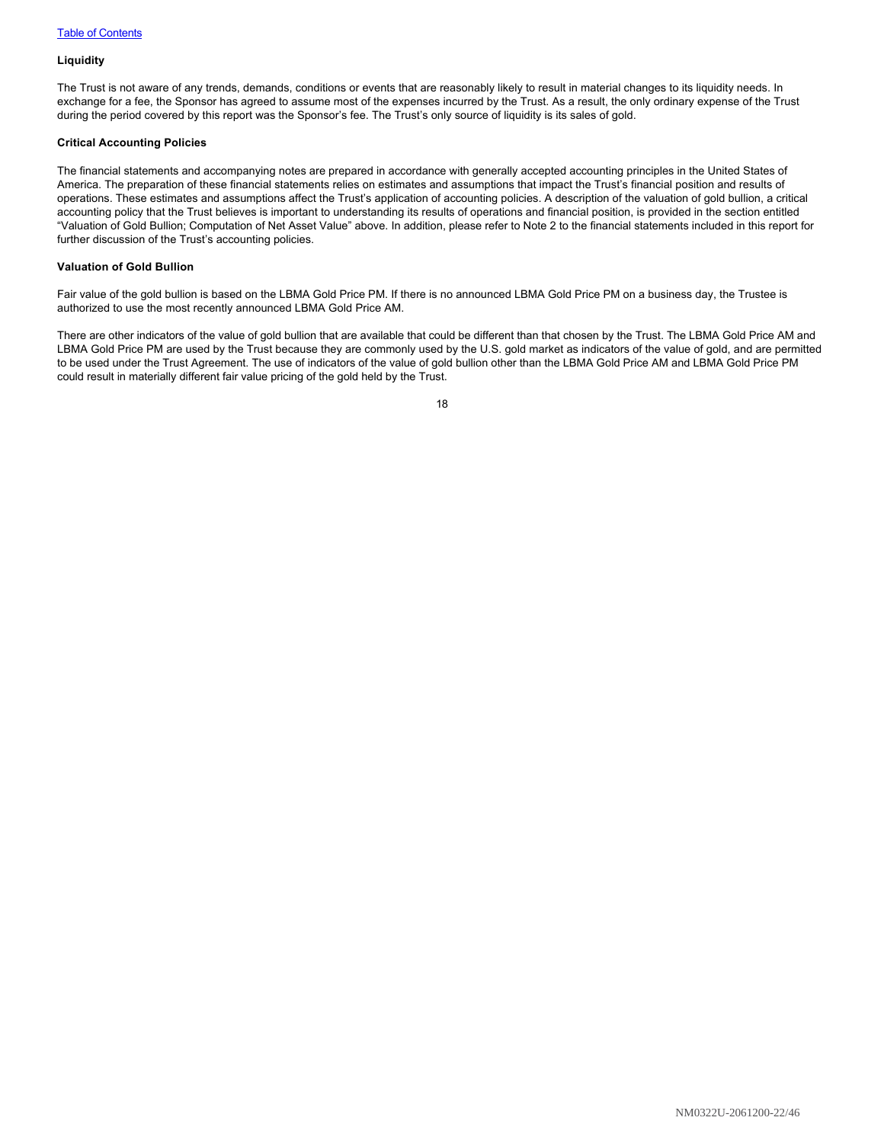## **Liquidity**

The Trust is not aware of any trends, demands, conditions or events that are reasonably likely to result in material changes to its liquidity needs. In exchange for a fee, the Sponsor has agreed to assume most of the expenses incurred by the Trust. As a result, the only ordinary expense of the Trust during the period covered by this report was the Sponsor's fee. The Trust's only source of liquidity is its sales of gold.

## **Critical Accounting Policies**

The financial statements and accompanying notes are prepared in accordance with generally accepted accounting principles in the United States of America. The preparation of these financial statements relies on estimates and assumptions that impact the Trust's financial position and results of operations. These estimates and assumptions affect the Trust's application of accounting policies. A description of the valuation of gold bullion, a critical accounting policy that the Trust believes is important to understanding its results of operations and financial position, is provided in the section entitled "Valuation of Gold Bullion; Computation of Net Asset Value" above. In addition, please refer to Note 2 to the financial statements included in this report for further discussion of the Trust's accounting policies.

## **Valuation of Gold Bullion**

Fair value of the gold bullion is based on the LBMA Gold Price PM. If there is no announced LBMA Gold Price PM on a business day, the Trustee is authorized to use the most recently announced LBMA Gold Price AM.

There are other indicators of the value of gold bullion that are available that could be different than that chosen by the Trust. The LBMA Gold Price AM and LBMA Gold Price PM are used by the Trust because they are commonly used by the U.S. gold market as indicators of the value of gold, and are permitted to be used under the Trust Agreement. The use of indicators of the value of gold bullion other than the LBMA Gold Price AM and LBMA Gold Price PM could result in materially different fair value pricing of the gold held by the Trust.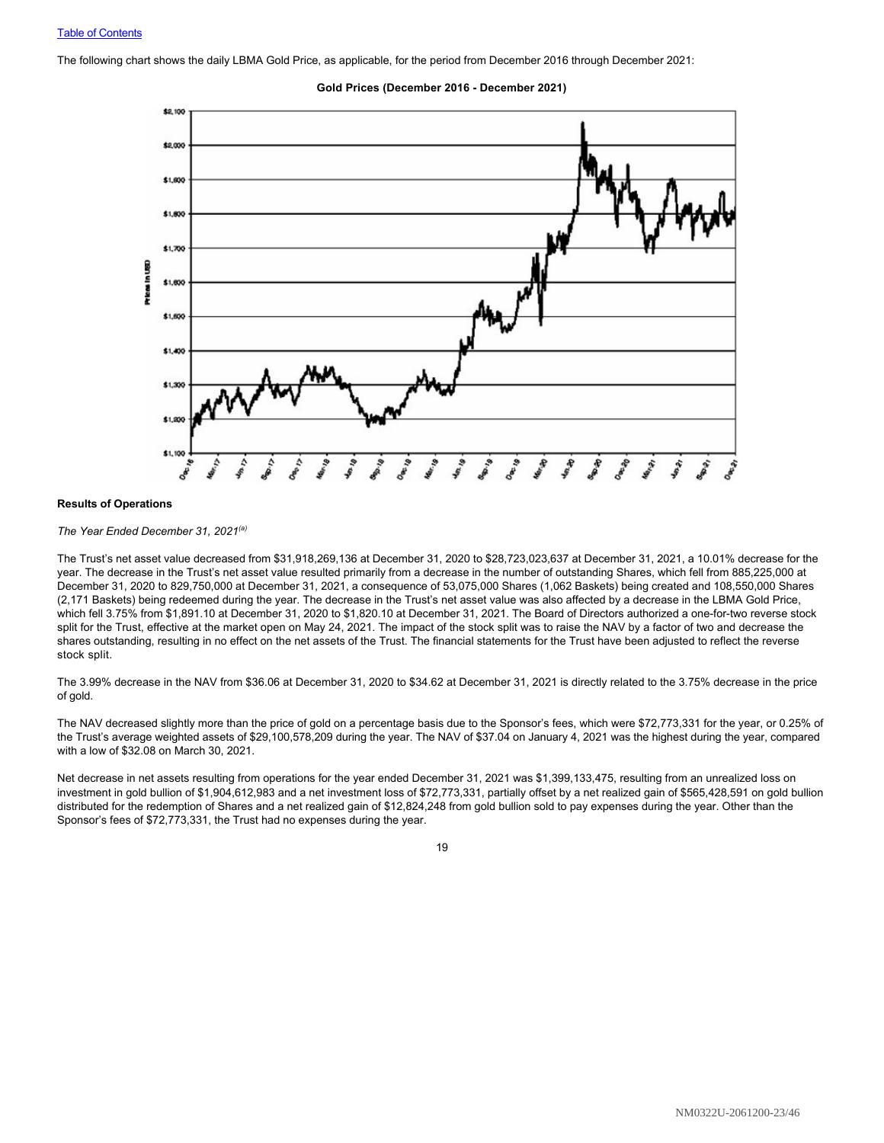The following chart shows the daily LBMA Gold Price, as applicable, for the period from December 2016 through December 2021:



#### **Gold Prices (December 2016 - December 2021)**

#### **Results of Operations**

*The Year Ended December 31, 2021(a)*

The Trust's net asset value decreased from \$31,918,269,136 at December 31, 2020 to \$28,723,023,637 at December 31, 2021, a 10.01% decrease for the year. The decrease in the Trust's net asset value resulted primarily from a decrease in the number of outstanding Shares, which fell from 885,225,000 at December 31, 2020 to 829,750,000 at December 31, 2021, a consequence of 53,075,000 Shares (1,062 Baskets) being created and 108,550,000 Shares (2,171 Baskets) being redeemed during the year. The decrease in the Trust's net asset value was also affected by a decrease in the LBMA Gold Price, which fell 3.75% from \$1,891.10 at December 31, 2020 to \$1,820.10 at December 31, 2021. The Board of Directors authorized a one-for-two reverse stock split for the Trust, effective at the market open on May 24, 2021. The impact of the stock split was to raise the NAV by a factor of two and decrease the shares outstanding, resulting in no effect on the net assets of the Trust. The financial statements for the Trust have been adjusted to reflect the reverse stock split.

The 3.99% decrease in the NAV from \$36.06 at December 31, 2020 to \$34.62 at December 31, 2021 is directly related to the 3.75% decrease in the price of gold.

The NAV decreased slightly more than the price of gold on a percentage basis due to the Sponsor's fees, which were \$72,773,331 for the year, or 0.25% of the Trust's average weighted assets of \$29,100,578,209 during the year. The NAV of \$37.04 on January 4, 2021 was the highest during the year, compared with a low of \$32.08 on March 30, 2021.

Net decrease in net assets resulting from operations for the year ended December 31, 2021 was \$1,399,133,475, resulting from an unrealized loss on investment in gold bullion of \$1,904,612,983 and a net investment loss of \$72,773,331, partially offset by a net realized gain of \$565,428,591 on gold bullion distributed for the redemption of Shares and a net realized gain of \$12,824,248 from gold bullion sold to pay expenses during the year. Other than the Sponsor's fees of \$72,773,331, the Trust had no expenses during the year.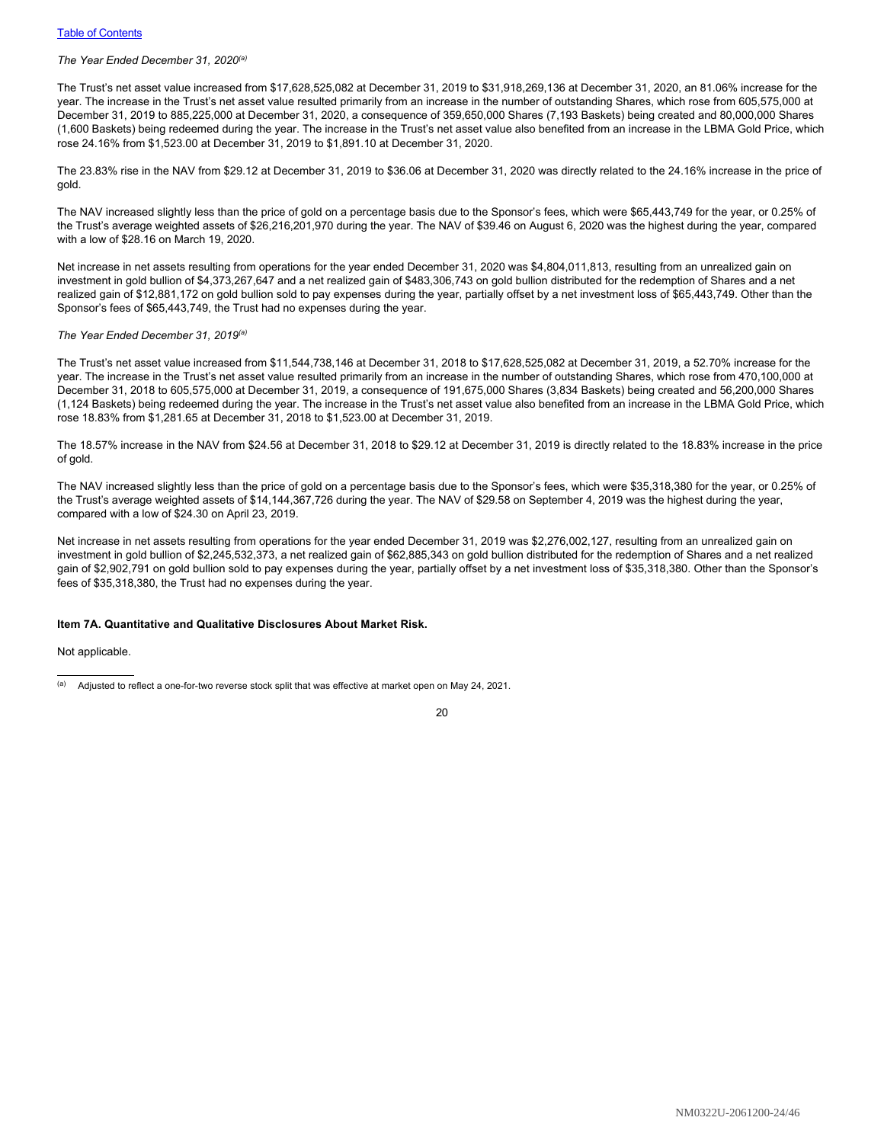## *The Year Ended December 31, 2020(a)*

The Trust's net asset value increased from \$17,628,525,082 at December 31, 2019 to \$31,918,269,136 at December 31, 2020, an 81.06% increase for the year. The increase in the Trust's net asset value resulted primarily from an increase in the number of outstanding Shares, which rose from 605,575,000 at December 31, 2019 to 885,225,000 at December 31, 2020, a consequence of 359,650,000 Shares (7,193 Baskets) being created and 80,000,000 Shares (1,600 Baskets) being redeemed during the year. The increase in the Trust's net asset value also benefited from an increase in the LBMA Gold Price, which rose 24.16% from \$1,523.00 at December 31, 2019 to \$1,891.10 at December 31, 2020.

The 23.83% rise in the NAV from \$29.12 at December 31, 2019 to \$36.06 at December 31, 2020 was directly related to the 24.16% increase in the price of gold.

The NAV increased slightly less than the price of gold on a percentage basis due to the Sponsor's fees, which were \$65,443,749 for the year, or 0.25% of the Trust's average weighted assets of \$26,216,201,970 during the year. The NAV of \$39.46 on August 6, 2020 was the highest during the year, compared with a low of \$28.16 on March 19, 2020.

Net increase in net assets resulting from operations for the year ended December 31, 2020 was \$4,804,011,813, resulting from an unrealized gain on investment in gold bullion of \$4,373,267,647 and a net realized gain of \$483,306,743 on gold bullion distributed for the redemption of Shares and a net realized gain of \$12,881,172 on gold bullion sold to pay expenses during the year, partially offset by a net investment loss of \$65,443,749. Other than the Sponsor's fees of \$65,443,749, the Trust had no expenses during the year.

## *The Year Ended December 31, 2019(a)*

The Trust's net asset value increased from \$11,544,738,146 at December 31, 2018 to \$17,628,525,082 at December 31, 2019, a 52.70% increase for the year. The increase in the Trust's net asset value resulted primarily from an increase in the number of outstanding Shares, which rose from 470,100,000 at December 31, 2018 to 605,575,000 at December 31, 2019, a consequence of 191,675,000 Shares (3,834 Baskets) being created and 56,200,000 Shares (1,124 Baskets) being redeemed during the year. The increase in the Trust's net asset value also benefited from an increase in the LBMA Gold Price, which rose 18.83% from \$1,281.65 at December 31, 2018 to \$1,523.00 at December 31, 2019.

The 18.57% increase in the NAV from \$24.56 at December 31, 2018 to \$29.12 at December 31, 2019 is directly related to the 18.83% increase in the price of gold.

The NAV increased slightly less than the price of gold on a percentage basis due to the Sponsor's fees, which were \$35,318,380 for the year, or 0.25% of the Trust's average weighted assets of \$14,144,367,726 during the year. The NAV of \$29.58 on September 4, 2019 was the highest during the year, compared with a low of \$24.30 on April 23, 2019.

Net increase in net assets resulting from operations for the year ended December 31, 2019 was \$2,276,002,127, resulting from an unrealized gain on investment in gold bullion of \$2,245,532,373, a net realized gain of \$62,885,343 on gold bullion distributed for the redemption of Shares and a net realized gain of \$2,902,791 on gold bullion sold to pay expenses during the year, partially offset by a net investment loss of \$35,318,380. Other than the Sponsor's fees of \$35,318,380, the Trust had no expenses during the year.

## <span id="page-23-0"></span>**Item 7A. Quantitative and Qualitative Disclosures About Market Risk.**

#### Not applicable.

Adjusted to reflect a one-for-two reverse stock split that was effective at market open on May 24, 2021.

<sup>20</sup>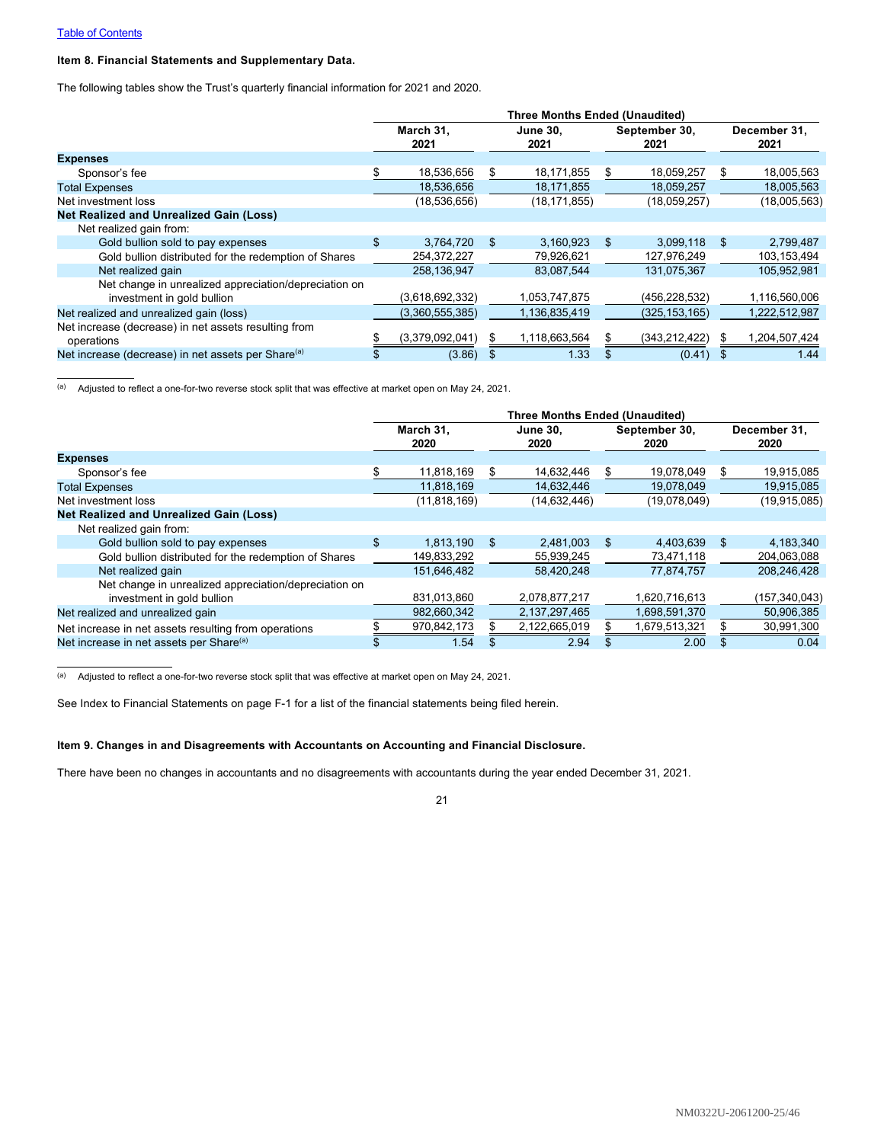## <span id="page-24-0"></span>**Item 8. Financial Statements and Supplementary Data.**

The following tables show the Trust's quarterly financial information for 2021 and 2020.

|                                                                | <b>Three Months Ended (Unaudited)</b> |                   |    |                         |     |                       |     |                      |
|----------------------------------------------------------------|---------------------------------------|-------------------|----|-------------------------|-----|-----------------------|-----|----------------------|
|                                                                |                                       | March 31,<br>2021 |    | <b>June 30,</b><br>2021 |     | September 30,<br>2021 |     | December 31,<br>2021 |
| <b>Expenses</b>                                                |                                       |                   |    |                         |     |                       |     |                      |
| Sponsor's fee                                                  |                                       | 18,536,656        | £. | 18,171,855              |     | 18,059,257            | \$. | 18,005,563           |
| <b>Total Expenses</b>                                          |                                       | 18,536,656        |    | 18,171,855              |     | 18,059,257            |     | 18,005,563           |
| Net investment loss                                            |                                       | (18, 536, 656)    |    | (18, 171, 855)          |     | (18,059,257)          |     | (18,005,563)         |
| <b>Net Realized and Unrealized Gain (Loss)</b>                 |                                       |                   |    |                         |     |                       |     |                      |
| Net realized gain from:                                        |                                       |                   |    |                         |     |                       |     |                      |
| Gold bullion sold to pay expenses                              | \$                                    | 3,764,720         | \$ | 3,160,923               | -\$ | $3.099.118$ \$        |     | 2,799,487            |
| Gold bullion distributed for the redemption of Shares          |                                       | 254,372,227       |    | 79,926,621              |     | 127,976,249           |     | 103,153,494          |
| Net realized gain                                              |                                       | 258,136,947       |    | 83,087,544              |     | 131,075,367           |     | 105,952,981          |
| Net change in unrealized appreciation/depreciation on          |                                       |                   |    |                         |     |                       |     |                      |
| investment in gold bullion                                     |                                       | (3,618,692,332)   |    | 1,053,747,875           |     | (456, 228, 532)       |     | 1,116,560,006        |
| Net realized and unrealized gain (loss)                        |                                       | (3,360,555,385)   |    | 1,136,835,419           |     | (325, 153, 165)       |     | 1,222,512,987        |
| Net increase (decrease) in net assets resulting from           |                                       |                   |    |                         |     |                       |     |                      |
| operations                                                     |                                       | (3,379,092,041)   | S  | 1,118,663,564           |     | (343, 212, 422)       |     | 1,204,507,424        |
| Net increase (decrease) in net assets per Share <sup>(a)</sup> |                                       | (3.86)            |    | 1.33                    |     | (0.41)                |     | 1.44                 |

(a) Adjusted to reflect a one-for-two reverse stock split that was effective at market open on May 24, 2021.

|                                                       | <b>Three Months Ended (Unaudited)</b> |                   |    |                         |    |                       |      |                      |
|-------------------------------------------------------|---------------------------------------|-------------------|----|-------------------------|----|-----------------------|------|----------------------|
|                                                       |                                       | March 31,<br>2020 |    | <b>June 30,</b><br>2020 |    | September 30,<br>2020 |      | December 31,<br>2020 |
| <b>Expenses</b>                                       |                                       |                   |    |                         |    |                       |      |                      |
| Sponsor's fee                                         |                                       | 11,818,169        |    | 14,632,446              |    | 19,078,049            |      | 19,915,085           |
| <b>Total Expenses</b>                                 |                                       | 11,818,169        |    | 14,632,446              |    | 19,078,049            |      | 19,915,085           |
| Net investment loss                                   |                                       | (11, 818, 169)    |    | (14,632,446)            |    | (19,078,049)          |      | (19, 915, 085)       |
| <b>Net Realized and Unrealized Gain (Loss)</b>        |                                       |                   |    |                         |    |                       |      |                      |
| Net realized gain from:                               |                                       |                   |    |                         |    |                       |      |                      |
| Gold bullion sold to pay expenses                     | \$                                    | 1,813,190         | \$ | 2,481,003               | -S | 4.403.639             | - \$ | 4,183,340            |
| Gold bullion distributed for the redemption of Shares |                                       | 149,833,292       |    | 55,939,245              |    | 73,471,118            |      | 204,063,088          |
| Net realized gain                                     |                                       | 151,646,482       |    | 58,420,248              |    | 77,874,757            |      | 208,246,428          |
| Net change in unrealized appreciation/depreciation on |                                       |                   |    |                         |    |                       |      |                      |
| investment in gold bullion                            |                                       | 831,013,860       |    | 2,078,877,217           |    | 1,620,716,613         |      | (157,340,043)        |
| Net realized and unrealized gain                      |                                       | 982,660,342       |    | 2,137,297,465           |    | 1,698,591,370         |      | 50,906,385           |
| Net increase in net assets resulting from operations  |                                       | 970,842,173       |    | 2,122,665,019           |    | 1,679,513,321         |      | 30,991,300           |
| Net increase in net assets per Share <sup>(a)</sup>   |                                       | 1.54              |    | 2.94                    |    | 2.00                  |      | 0.04                 |

(a) Adjusted to reflect a one-for-two reverse stock split that was effective at market open on May 24, 2021.

See Index to Financial Statements on page F-1 for a list of the financial statements being filed herein.

# <span id="page-24-1"></span>**Item 9. Changes in and Disagreements with Accountants on Accounting and Financial Disclosure.**

There have been no changes in accountants and no disagreements with accountants during the year ended December 31, 2021.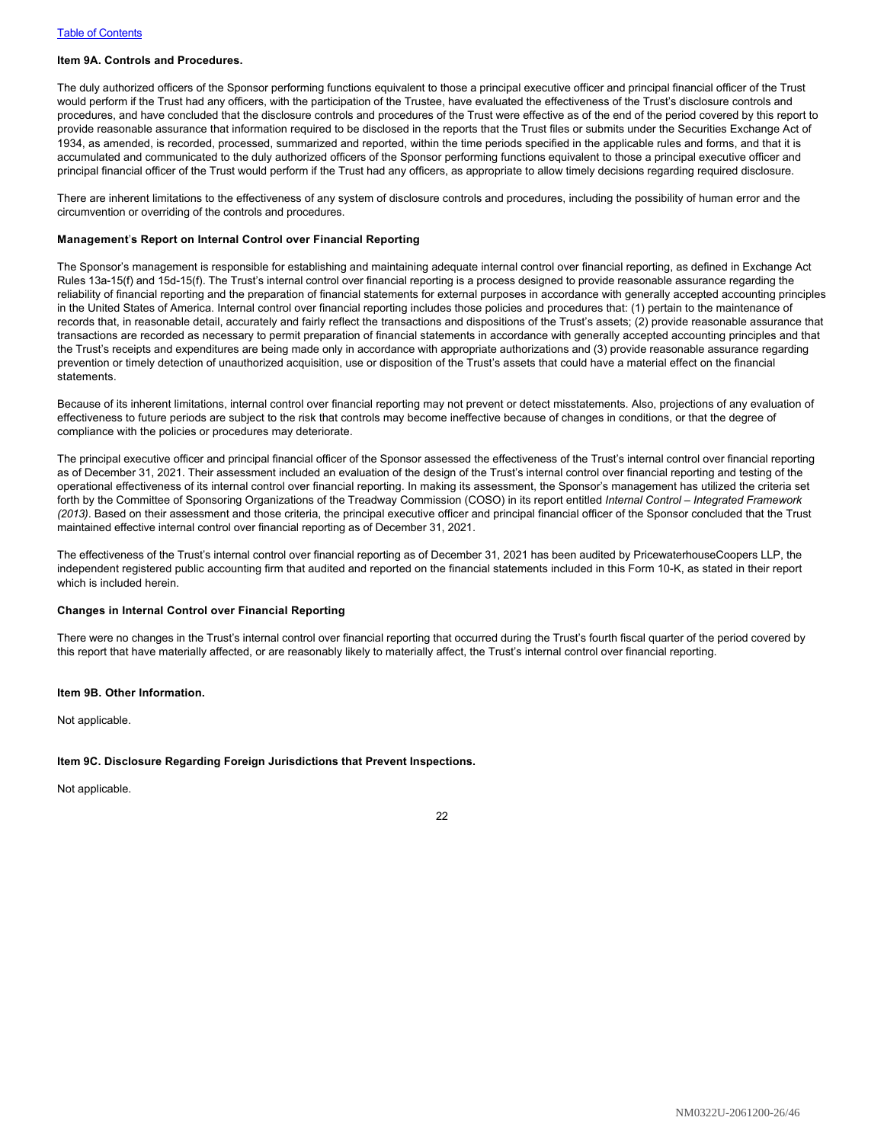## <span id="page-25-0"></span>**Item 9A. Controls and Procedures.**

The duly authorized officers of the Sponsor performing functions equivalent to those a principal executive officer and principal financial officer of the Trust would perform if the Trust had any officers, with the participation of the Trustee, have evaluated the effectiveness of the Trust's disclosure controls and procedures, and have concluded that the disclosure controls and procedures of the Trust were effective as of the end of the period covered by this report to provide reasonable assurance that information required to be disclosed in the reports that the Trust files or submits under the Securities Exchange Act of 1934, as amended, is recorded, processed, summarized and reported, within the time periods specified in the applicable rules and forms, and that it is accumulated and communicated to the duly authorized officers of the Sponsor performing functions equivalent to those a principal executive officer and principal financial officer of the Trust would perform if the Trust had any officers, as appropriate to allow timely decisions regarding required disclosure.

There are inherent limitations to the effectiveness of any system of disclosure controls and procedures, including the possibility of human error and the circumvention or overriding of the controls and procedures.

## **Management**'**s Report on Internal Control over Financial Reporting**

The Sponsor's management is responsible for establishing and maintaining adequate internal control over financial reporting, as defined in Exchange Act Rules 13a-15(f) and 15d-15(f). The Trust's internal control over financial reporting is a process designed to provide reasonable assurance regarding the reliability of financial reporting and the preparation of financial statements for external purposes in accordance with generally accepted accounting principles in the United States of America. Internal control over financial reporting includes those policies and procedures that: (1) pertain to the maintenance of records that, in reasonable detail, accurately and fairly reflect the transactions and dispositions of the Trust's assets; (2) provide reasonable assurance that transactions are recorded as necessary to permit preparation of financial statements in accordance with generally accepted accounting principles and that the Trust's receipts and expenditures are being made only in accordance with appropriate authorizations and (3) provide reasonable assurance regarding prevention or timely detection of unauthorized acquisition, use or disposition of the Trust's assets that could have a material effect on the financial statements.

Because of its inherent limitations, internal control over financial reporting may not prevent or detect misstatements. Also, projections of any evaluation of effectiveness to future periods are subject to the risk that controls may become ineffective because of changes in conditions, or that the degree of compliance with the policies or procedures may deteriorate.

The principal executive officer and principal financial officer of the Sponsor assessed the effectiveness of the Trust's internal control over financial reporting as of December 31, 2021. Their assessment included an evaluation of the design of the Trust's internal control over financial reporting and testing of the operational effectiveness of its internal control over financial reporting. In making its assessment, the Sponsor's management has utilized the criteria set forth by the Committee of Sponsoring Organizations of the Treadway Commission (COSO) in its report entitled *Internal Control* – *Integrated Framework (2013)*. Based on their assessment and those criteria, the principal executive officer and principal financial officer of the Sponsor concluded that the Trust maintained effective internal control over financial reporting as of December 31, 2021.

The effectiveness of the Trust's internal control over financial reporting as of December 31, 2021 has been audited by PricewaterhouseCoopers LLP, the independent registered public accounting firm that audited and reported on the financial statements included in this Form 10-K, as stated in their report which is included herein.

#### **Changes in Internal Control over Financial Reporting**

There were no changes in the Trust's internal control over financial reporting that occurred during the Trust's fourth fiscal quarter of the period covered by this report that have materially affected, or are reasonably likely to materially affect, the Trust's internal control over financial reporting.

#### <span id="page-25-1"></span>**Item 9B. Other Information.**

Not applicable.

#### <span id="page-25-2"></span>**Item 9C. Disclosure Regarding Foreign Jurisdictions that Prevent Inspections.**

Not applicable.

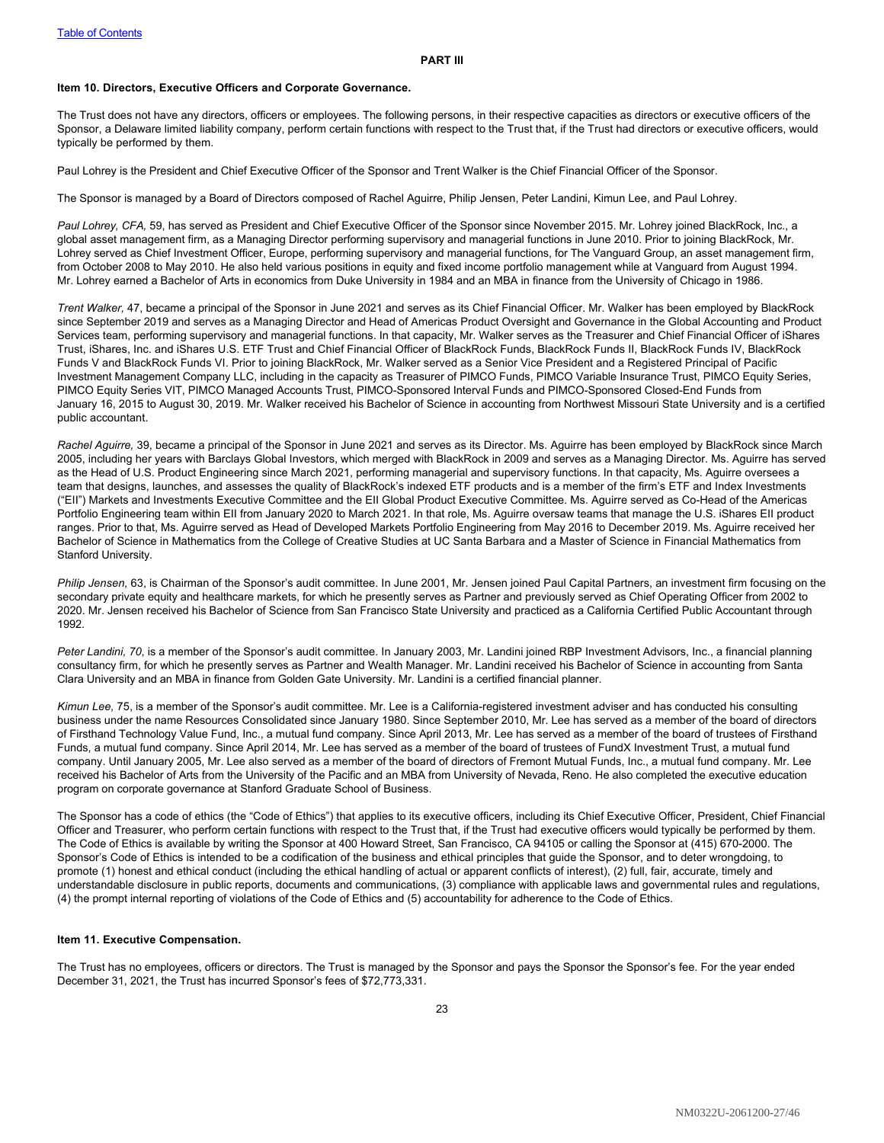## <span id="page-26-1"></span><span id="page-26-0"></span>**Item 10. Directors, Executive Officers and Corporate Governance.**

The Trust does not have any directors, officers or employees. The following persons, in their respective capacities as directors or executive officers of the Sponsor, a Delaware limited liability company, perform certain functions with respect to the Trust that, if the Trust had directors or executive officers, would typically be performed by them.

Paul Lohrey is the President and Chief Executive Officer of the Sponsor and Trent Walker is the Chief Financial Officer of the Sponsor.

The Sponsor is managed by a Board of Directors composed of Rachel Aguirre, Philip Jensen, Peter Landini, Kimun Lee, and Paul Lohrey.

*Paul Lohrey, CFA,* 59, has served as President and Chief Executive Officer of the Sponsor since November 2015. Mr. Lohrey joined BlackRock, Inc., a global asset management firm, as a Managing Director performing supervisory and managerial functions in June 2010. Prior to joining BlackRock, Mr. Lohrey served as Chief Investment Officer, Europe, performing supervisory and managerial functions, for The Vanguard Group, an asset management firm, from October 2008 to May 2010. He also held various positions in equity and fixed income portfolio management while at Vanguard from August 1994. Mr. Lohrey earned a Bachelor of Arts in economics from Duke University in 1984 and an MBA in finance from the University of Chicago in 1986.

*Trent Walker,* 47, became a principal of the Sponsor in June 2021 and serves as its Chief Financial Officer. Mr. Walker has been employed by BlackRock since September 2019 and serves as a Managing Director and Head of Americas Product Oversight and Governance in the Global Accounting and Product Services team, performing supervisory and managerial functions. In that capacity, Mr. Walker serves as the Treasurer and Chief Financial Officer of iShares Trust, iShares, Inc. and iShares U.S. ETF Trust and Chief Financial Officer of BlackRock Funds, BlackRock Funds II, BlackRock Funds IV, BlackRock Funds V and BlackRock Funds VI. Prior to joining BlackRock, Mr. Walker served as a Senior Vice President and a Registered Principal of Pacific Investment Management Company LLC, including in the capacity as Treasurer of PIMCO Funds, PIMCO Variable Insurance Trust, PIMCO Equity Series, PIMCO Equity Series VIT, PIMCO Managed Accounts Trust, PIMCO-Sponsored Interval Funds and PIMCO-Sponsored Closed-End Funds from January 16, 2015 to August 30, 2019. Mr. Walker received his Bachelor of Science in accounting from Northwest Missouri State University and is a certified public accountant.

*Rachel Aguirre,* 39, became a principal of the Sponsor in June 2021 and serves as its Director. Ms. Aguirre has been employed by BlackRock since March 2005, including her years with Barclays Global Investors, which merged with BlackRock in 2009 and serves as a Managing Director. Ms. Aguirre has served as the Head of U.S. Product Engineering since March 2021, performing managerial and supervisory functions. In that capacity, Ms. Aguirre oversees a team that designs, launches, and assesses the quality of BlackRock's indexed ETF products and is a member of the firm's ETF and Index Investments ("EII") Markets and Investments Executive Committee and the EII Global Product Executive Committee. Ms. Aguirre served as Co-Head of the Americas Portfolio Engineering team within EII from January 2020 to March 2021. In that role, Ms. Aguirre oversaw teams that manage the U.S. iShares EII product ranges. Prior to that, Ms. Aguirre served as Head of Developed Markets Portfolio Engineering from May 2016 to December 2019. Ms. Aguirre received her Bachelor of Science in Mathematics from the College of Creative Studies at UC Santa Barbara and a Master of Science in Financial Mathematics from Stanford University.

*Philip Jensen,* 63, is Chairman of the Sponsor's audit committee. In June 2001, Mr. Jensen joined Paul Capital Partners, an investment firm focusing on the secondary private equity and healthcare markets, for which he presently serves as Partner and previously served as Chief Operating Officer from 2002 to 2020. Mr. Jensen received his Bachelor of Science from San Francisco State University and practiced as a California Certified Public Accountant through 1992.

*Peter Landini, 70*, is a member of the Sponsor's audit committee. In January 2003, Mr. Landini joined RBP Investment Advisors, Inc., a financial planning consultancy firm, for which he presently serves as Partner and Wealth Manager. Mr. Landini received his Bachelor of Science in accounting from Santa Clara University and an MBA in finance from Golden Gate University. Mr. Landini is a certified financial planner.

*Kimun Lee,* 75, is a member of the Sponsor's audit committee. Mr. Lee is a California-registered investment adviser and has conducted his consulting business under the name Resources Consolidated since January 1980. Since September 2010, Mr. Lee has served as a member of the board of directors of Firsthand Technology Value Fund, Inc., a mutual fund company. Since April 2013, Mr. Lee has served as a member of the board of trustees of Firsthand Funds, a mutual fund company. Since April 2014, Mr. Lee has served as a member of the board of trustees of FundX Investment Trust, a mutual fund company. Until January 2005, Mr. Lee also served as a member of the board of directors of Fremont Mutual Funds, Inc., a mutual fund company. Mr. Lee received his Bachelor of Arts from the University of the Pacific and an MBA from University of Nevada, Reno. He also completed the executive education program on corporate governance at Stanford Graduate School of Business.

The Sponsor has a code of ethics (the "Code of Ethics") that applies to its executive officers, including its Chief Executive Officer, President, Chief Financial Officer and Treasurer, who perform certain functions with respect to the Trust that, if the Trust had executive officers would typically be performed by them. The Code of Ethics is available by writing the Sponsor at 400 Howard Street, San Francisco, CA 94105 or calling the Sponsor at (415) 670-2000. The Sponsor's Code of Ethics is intended to be a codification of the business and ethical principles that guide the Sponsor, and to deter wrongdoing, to promote (1) honest and ethical conduct (including the ethical handling of actual or apparent conflicts of interest), (2) full, fair, accurate, timely and understandable disclosure in public reports, documents and communications, (3) compliance with applicable laws and governmental rules and regulations, (4) the prompt internal reporting of violations of the Code of Ethics and (5) accountability for adherence to the Code of Ethics.

#### <span id="page-26-2"></span>**Item 11. Executive Compensation.**

The Trust has no employees, officers or directors. The Trust is managed by the Sponsor and pays the Sponsor the Sponsor's fee. For the year ended December 31, 2021, the Trust has incurred Sponsor's fees of \$72,773,331.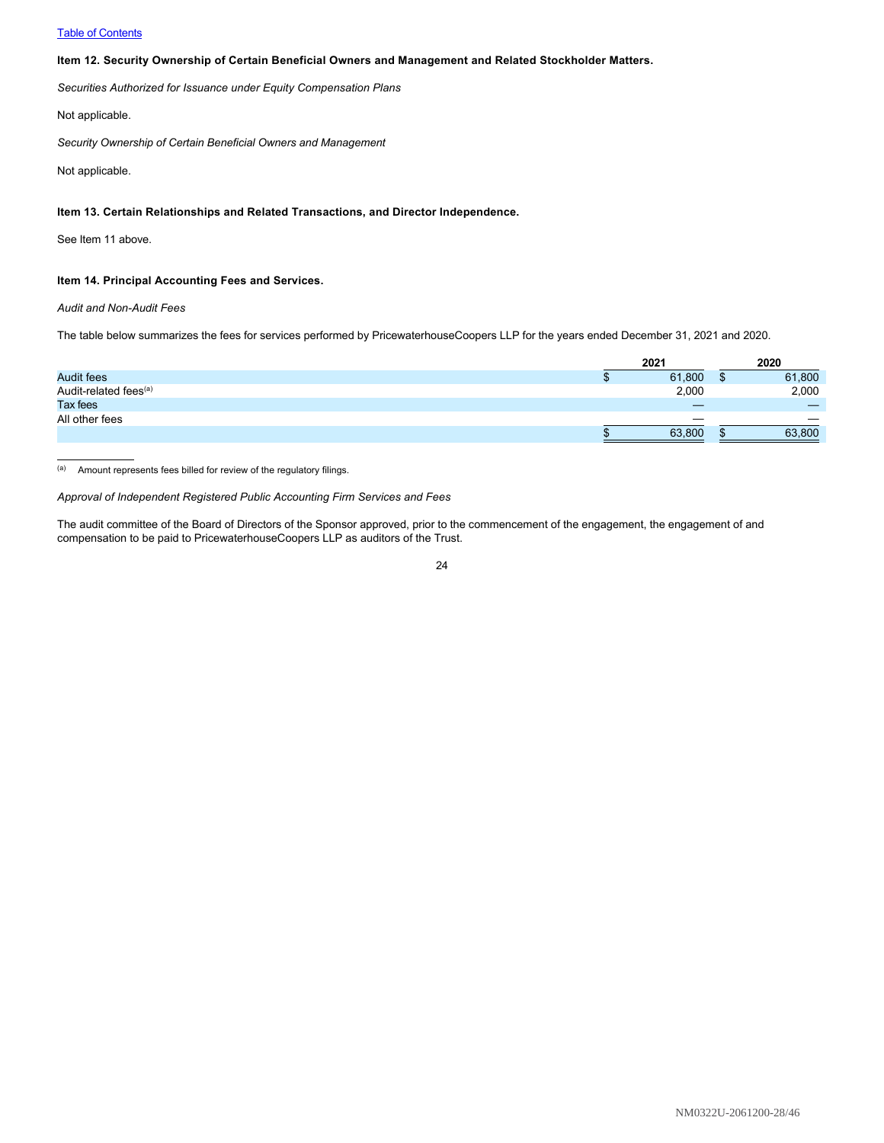## **[Table of Contents](#page-3-0)**

## <span id="page-27-0"></span>**Item 12. Security Ownership of Certain Beneficial Owners and Management and Related Stockholder Matters.**

*Securities Authorized for Issuance under Equity Compensation Plans*

Not applicable.

*Security Ownership of Certain Beneficial Owners and Management*

Not applicable.

## <span id="page-27-1"></span>**Item 13. Certain Relationships and Related Transactions, and Director Independence.**

See Item 11 above.

## <span id="page-27-2"></span>**Item 14. Principal Accounting Fees and Services.**

## *Audit and Non-Audit Fees*

The table below summarizes the fees for services performed by PricewaterhouseCoopers LLP for the years ended December 31, 2021 and 2020.

|                                   | 2021 |        |        | 2020   |
|-----------------------------------|------|--------|--------|--------|
| <b>Audit fees</b>                 |      | 61,800 | œ<br>Ф | 61,800 |
| Audit-related fees <sup>(a)</sup> |      | 2,000  |        | 2,000  |
| Tax fees                          |      |        |        | –      |
| All other fees                    |      |        |        |        |
|                                   |      | 63.800 |        | 63,800 |

(a) Amount represents fees billed for review of the regulatory filings.

## *Approval of Independent Registered Public Accounting Firm Services and Fees*

The audit committee of the Board of Directors of the Sponsor approved, prior to the commencement of the engagement, the engagement of and compensation to be paid to PricewaterhouseCoopers LLP as auditors of the Trust.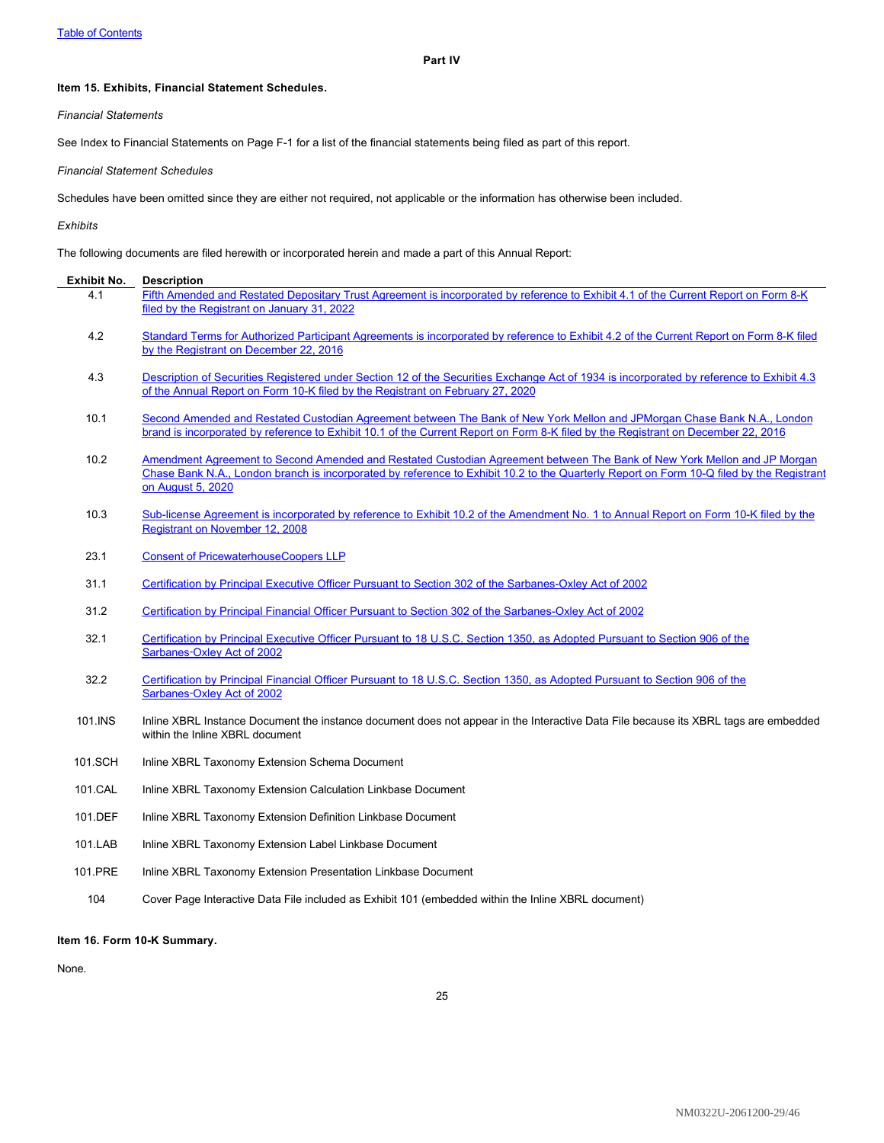# <span id="page-28-1"></span><span id="page-28-0"></span>**Item 15. Exhibits, Financial Statement Schedules.**

## *Financial Statements*

See Index to Financial Statements on Page F-1 for a list of the financial statements being filed as part of this report.

*Financial Statement Schedules*

Schedules have been omitted since they are either not required, not applicable or the information has otherwise been included.

*Exhibits*

The following documents are filed herewith or incorporated herein and made a part of this Annual Report:

| <b>Exhibit No.</b> | <b>Description</b>                                                                                                                                                      |
|--------------------|-------------------------------------------------------------------------------------------------------------------------------------------------------------------------|
| 4.1                | Fifth Amended and Restated Depositary Trust Agreement is incorporated by reference to Exhibit 4.1 of the Current Report on Form 8-K                                     |
|                    | filed by the Registrant on January 31, 2022                                                                                                                             |
| 4.2                | Standard Terms for Authorized Participant Agreements is incorporated by reference to Exhibit 4.2 of the Current Report on Form 8-K filed                                |
|                    | by the Registrant on December 22, 2016                                                                                                                                  |
|                    |                                                                                                                                                                         |
| 4.3                | Description of Securities Registered under Section 12 of the Securities Exchange Act of 1934 is incorporated by reference to Exhibit 4.3                                |
|                    | of the Annual Report on Form 10-K filed by the Registrant on February 27, 2020                                                                                          |
|                    |                                                                                                                                                                         |
| 10.1               | Second Amended and Restated Custodian Agreement between The Bank of New York Mellon and JPMorgan Chase Bank N.A., London                                                |
|                    | brand is incorporated by reference to Exhibit 10.1 of the Current Report on Form 8-K filed by the Registrant on December 22, 2016                                       |
| 10.2               | Amendment Agreement to Second Amended and Restated Custodian Agreement between The Bank of New York Mellon and JP Morgan                                                |
|                    | Chase Bank N.A., London branch is incorporated by reference to Exhibit 10.2 to the Quarterly Report on Form 10-Q filed by the Registrant                                |
|                    | on August 5, 2020                                                                                                                                                       |
|                    |                                                                                                                                                                         |
| 10.3               | Sub-license Agreement is incorporated by reference to Exhibit 10.2 of the Amendment No. 1 to Annual Report on Form 10-K filed by the<br>Registrant on November 12, 2008 |
|                    |                                                                                                                                                                         |
| 23.1               | <b>Consent of PricewaterhouseCoopers LLP</b>                                                                                                                            |
|                    |                                                                                                                                                                         |
| 31.1               | Certification by Principal Executive Officer Pursuant to Section 302 of the Sarbanes-Oxley Act of 2002                                                                  |
| 31.2               | Certification by Principal Financial Officer Pursuant to Section 302 of the Sarbanes-Oxley Act of 2002                                                                  |
|                    |                                                                                                                                                                         |
| 32.1               | Certification by Principal Executive Officer Pursuant to 18 U.S.C. Section 1350, as Adopted Pursuant to Section 906 of the                                              |
|                    | Sarbanes-Oxley Act of 2002                                                                                                                                              |
|                    |                                                                                                                                                                         |
| 32.2               | Certification by Principal Financial Officer Pursuant to 18 U.S.C. Section 1350, as Adopted Pursuant to Section 906 of the<br>Sarbanes-Oxley Act of 2002                |
|                    |                                                                                                                                                                         |
| 101.INS            | Inline XBRL Instance Document the instance document does not appear in the Interactive Data File because its XBRL tags are embedded                                     |
|                    | within the Inline XBRL document                                                                                                                                         |
|                    |                                                                                                                                                                         |
| 101.SCH            | Inline XBRL Taxonomy Extension Schema Document                                                                                                                          |
| 101.CAL            | Inline XBRL Taxonomy Extension Calculation Linkbase Document                                                                                                            |
|                    |                                                                                                                                                                         |
| 101.DEF            | Inline XBRL Taxonomy Extension Definition Linkbase Document                                                                                                             |
|                    |                                                                                                                                                                         |
| 101.LAB            | Inline XBRL Taxonomy Extension Label Linkbase Document                                                                                                                  |
| 101.PRE            | Inline XBRL Taxonomy Extension Presentation Linkbase Document                                                                                                           |
|                    |                                                                                                                                                                         |
| 104                | Cover Page Interactive Data File included as Exhibit 101 (embedded within the Inline XBRL document)                                                                     |

## <span id="page-28-2"></span>**Item 16. Form 10-K Summary.**

None.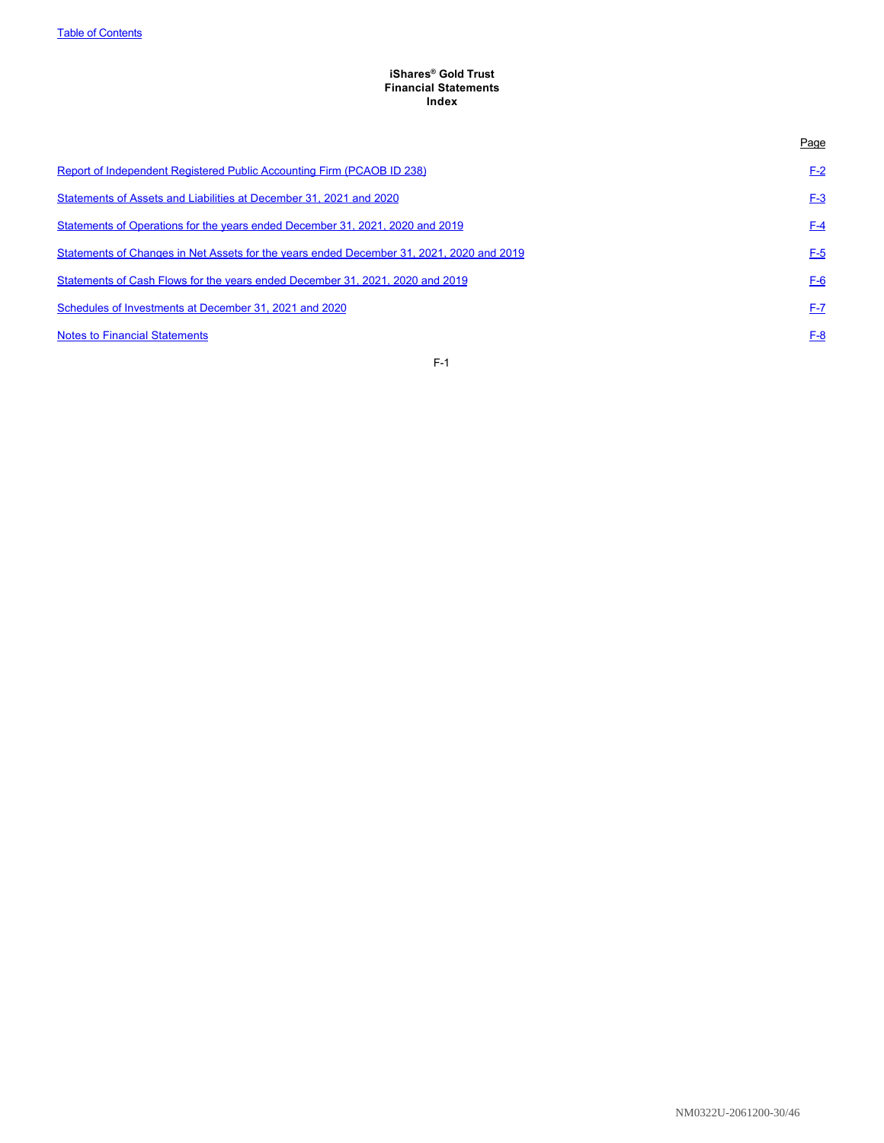## **iShares® Gold Trust Financial Statements Index**

|                                                                                          | Page  |
|------------------------------------------------------------------------------------------|-------|
| Report of Independent Registered Public Accounting Firm (PCAOB ID 238)                   | $F-2$ |
| Statements of Assets and Liabilities at December 31, 2021 and 2020                       | $F-3$ |
| Statements of Operations for the years ended December 31, 2021, 2020 and 2019            | $F-4$ |
| Statements of Changes in Net Assets for the years ended December 31, 2021, 2020 and 2019 | $F-5$ |
| Statements of Cash Flows for the years ended December 31, 2021, 2020 and 2019            | $F-6$ |
| Schedules of Investments at December 31, 2021 and 2020                                   | F-7   |
| <b>Notes to Financial Statements</b>                                                     | $F-8$ |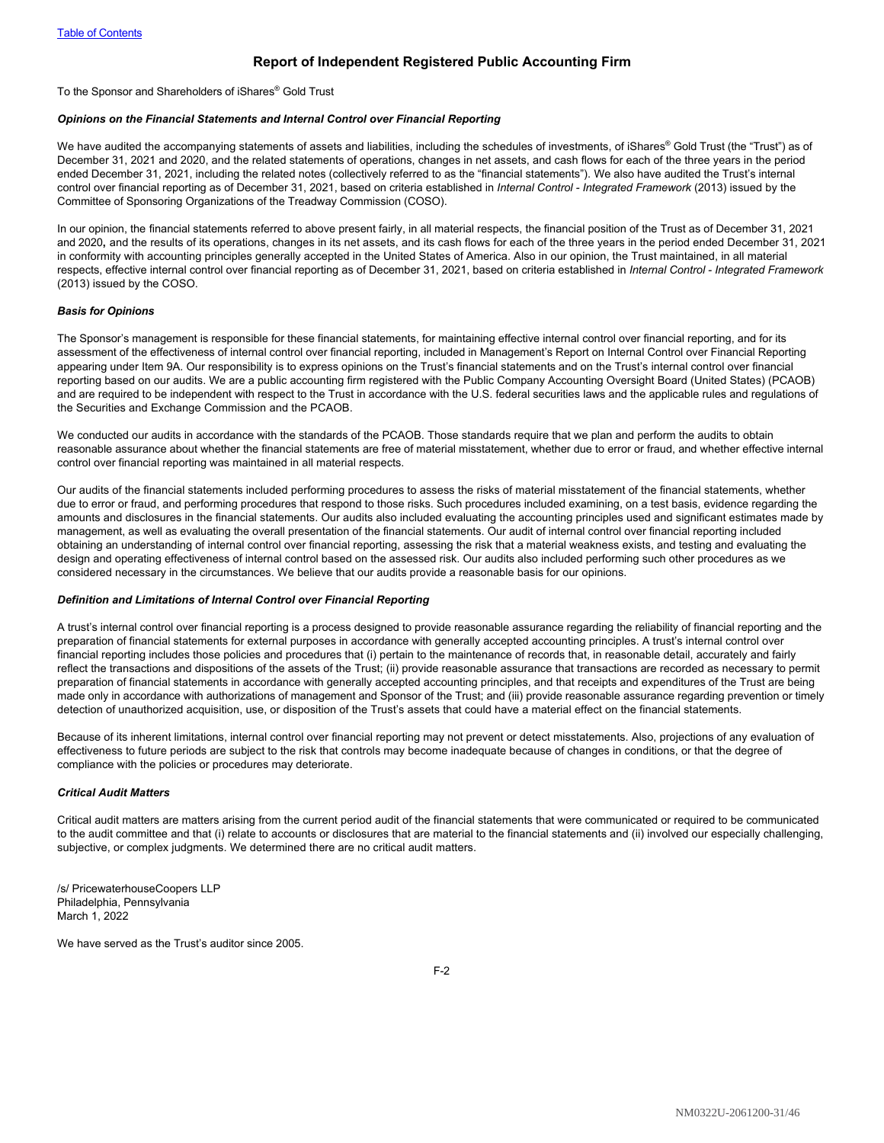# <span id="page-30-0"></span>**Report of Independent Registered Public Accounting Firm**

To the Sponsor and Shareholders of iShares® Gold Trust

#### *Opinions on the Financial Statements and Internal Control over Financial Reporting*

We have audited the accompanying statements of assets and liabilities, including the schedules of investments, of iShares® Gold Trust (the "Trust") as of December 31, 2021 and 2020, and the related statements of operations, changes in net assets, and cash flows for each of the three years in the period ended December 31, 2021, including the related notes (collectively referred to as the "financial statements"). We also have audited the Trust's internal control over financial reporting as of December 31, 2021, based on criteria established in *Internal Control - Integrated Framework* (2013) issued by the Committee of Sponsoring Organizations of the Treadway Commission (COSO).

In our opinion, the financial statements referred to above present fairly, in all material respects, the financial position of the Trust as of December 31, 2021 and 2020**,** and the results of its operations, changes in its net assets, and its cash flows for each of the three years in the period ended December 31, 2021 in conformity with accounting principles generally accepted in the United States of America. Also in our opinion, the Trust maintained, in all material respects, effective internal control over financial reporting as of December 31, 2021, based on criteria established in *Internal Control - Integrated Framework* (2013) issued by the COSO.

## *Basis for Opinions*

The Sponsor's management is responsible for these financial statements, for maintaining effective internal control over financial reporting, and for its assessment of the effectiveness of internal control over financial reporting, included in Management's Report on Internal Control over Financial Reporting appearing under Item 9A. Our responsibility is to express opinions on the Trust's financial statements and on the Trust's internal control over financial reporting based on our audits. We are a public accounting firm registered with the Public Company Accounting Oversight Board (United States) (PCAOB) and are required to be independent with respect to the Trust in accordance with the U.S. federal securities laws and the applicable rules and regulations of the Securities and Exchange Commission and the PCAOB.

We conducted our audits in accordance with the standards of the PCAOB. Those standards require that we plan and perform the audits to obtain reasonable assurance about whether the financial statements are free of material misstatement, whether due to error or fraud, and whether effective internal control over financial reporting was maintained in all material respects.

Our audits of the financial statements included performing procedures to assess the risks of material misstatement of the financial statements, whether due to error or fraud, and performing procedures that respond to those risks. Such procedures included examining, on a test basis, evidence regarding the amounts and disclosures in the financial statements. Our audits also included evaluating the accounting principles used and significant estimates made by management, as well as evaluating the overall presentation of the financial statements. Our audit of internal control over financial reporting included obtaining an understanding of internal control over financial reporting, assessing the risk that a material weakness exists, and testing and evaluating the design and operating effectiveness of internal control based on the assessed risk. Our audits also included performing such other procedures as we considered necessary in the circumstances. We believe that our audits provide a reasonable basis for our opinions.

#### *Definition and Limitations of Internal Control over Financial Reporting*

A trust's internal control over financial reporting is a process designed to provide reasonable assurance regarding the reliability of financial reporting and the preparation of financial statements for external purposes in accordance with generally accepted accounting principles. A trust's internal control over financial reporting includes those policies and procedures that (i) pertain to the maintenance of records that, in reasonable detail, accurately and fairly reflect the transactions and dispositions of the assets of the Trust; (ii) provide reasonable assurance that transactions are recorded as necessary to permit preparation of financial statements in accordance with generally accepted accounting principles, and that receipts and expenditures of the Trust are being made only in accordance with authorizations of management and Sponsor of the Trust; and (iii) provide reasonable assurance regarding prevention or timely detection of unauthorized acquisition, use, or disposition of the Trust's assets that could have a material effect on the financial statements.

Because of its inherent limitations, internal control over financial reporting may not prevent or detect misstatements. Also, projections of any evaluation of effectiveness to future periods are subject to the risk that controls may become inadequate because of changes in conditions, or that the degree of compliance with the policies or procedures may deteriorate.

#### *Critical Audit Matters*

Critical audit matters are matters arising from the current period audit of the financial statements that were communicated or required to be communicated to the audit committee and that (i) relate to accounts or disclosures that are material to the financial statements and (ii) involved our especially challenging, subjective, or complex judgments. We determined there are no critical audit matters.

/s/ PricewaterhouseCoopers LLP Philadelphia, Pennsylvania March 1, 2022

We have served as the Trust's auditor since 2005.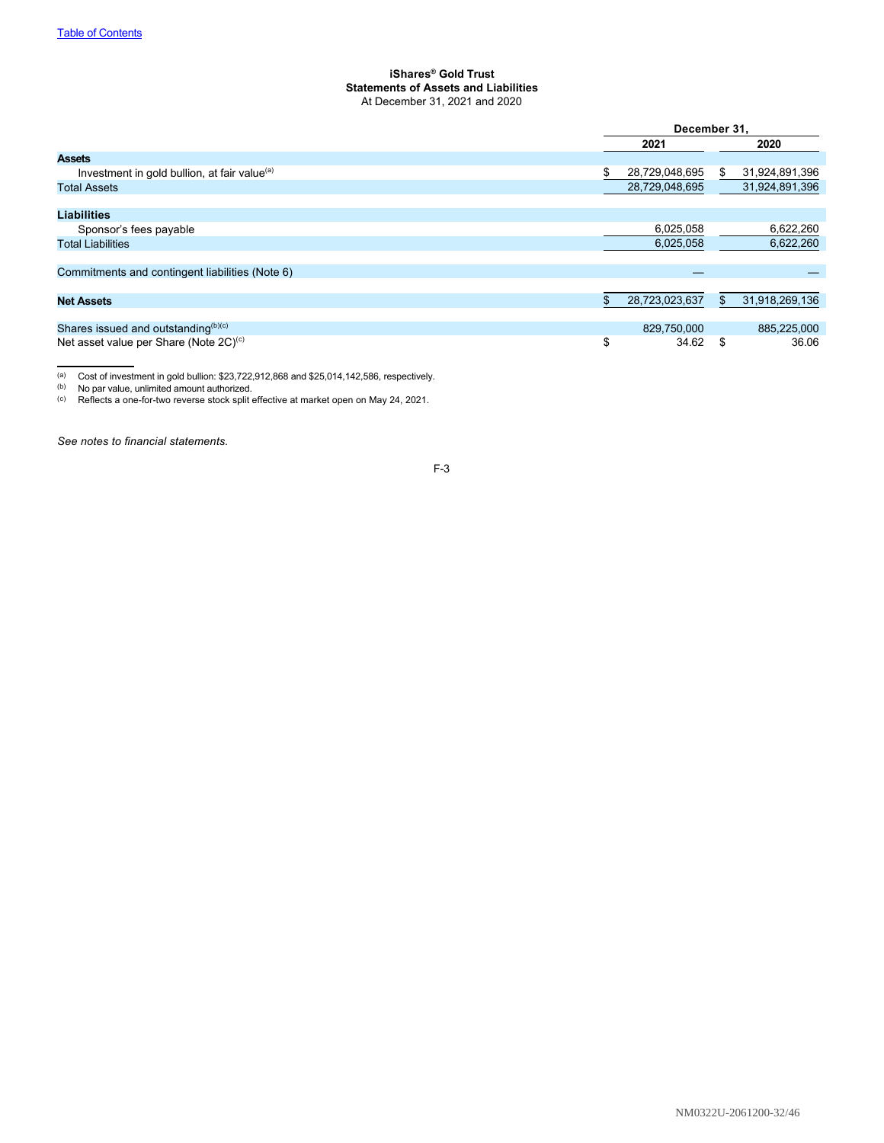## <span id="page-31-0"></span>**iShares® Gold Trust Statements of Assets and Liabilities** At December 31, 2021 and 2020

|                                                          | December 31.         |     |                |  |
|----------------------------------------------------------|----------------------|-----|----------------|--|
|                                                          | 2021                 |     | 2020           |  |
| <b>Assets</b>                                            |                      |     |                |  |
| Investment in gold bullion, at fair value <sup>(a)</sup> | \$<br>28,729,048,695 | \$  | 31,924,891,396 |  |
| <b>Total Assets</b>                                      | 28,729,048,695       |     | 31,924,891,396 |  |
|                                                          |                      |     |                |  |
| <b>Liabilities</b>                                       |                      |     |                |  |
| Sponsor's fees payable                                   | 6,025,058            |     | 6,622,260      |  |
| <b>Total Liabilities</b>                                 | 6,025,058            |     | 6,622,260      |  |
|                                                          |                      |     |                |  |
| Commitments and contingent liabilities (Note 6)          |                      |     |                |  |
|                                                          |                      |     |                |  |
| <b>Net Assets</b>                                        | 28,723,023,637       | \$. | 31,918,269,136 |  |
|                                                          |                      |     |                |  |
| Shares issued and outstanding(b)(c)                      | 829,750,000          |     | 885,225,000    |  |
| Net asset value per Share (Note 2C) <sup>(c)</sup>       | \$<br>34.62          | S   | 36.06          |  |

 $(a)$  Cost of investment in gold bullion: \$23,722,912,868 and \$25,014,142,586, respectively.

(b) No par value, unlimited amount authorized.

(c) Reflects a one-for-two reverse stock split effective at market open on May 24, 2021.

*See notes to financial statements.*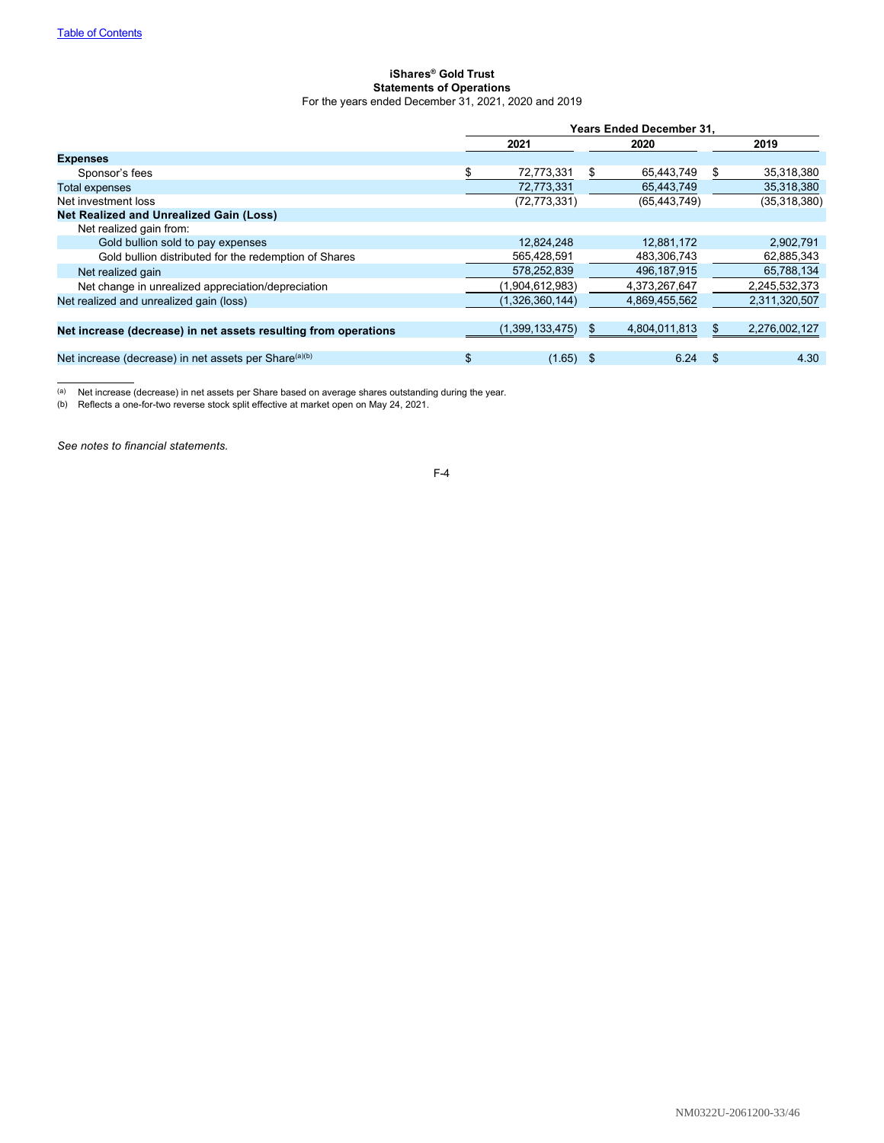## <span id="page-32-0"></span>**iShares® Gold Trust Statements of Operations** For the years ended December 31, 2021, 2020 and 2019

|                                                                   | <b>Years Ended December 31.</b> |                 |    |                |    |               |  |
|-------------------------------------------------------------------|---------------------------------|-----------------|----|----------------|----|---------------|--|
|                                                                   | 2021                            |                 |    | 2020           |    | 2019          |  |
| <b>Expenses</b>                                                   |                                 |                 |    |                |    |               |  |
| Sponsor's fees                                                    |                                 | 72,773,331      | S. | 65.443.749     | S. | 35,318,380    |  |
| <b>Total expenses</b>                                             |                                 | 72,773,331      |    | 65,443,749     |    | 35,318,380    |  |
| Net investment loss                                               |                                 | (72, 773, 331)  |    | (65, 443, 749) |    | (35,318,380)  |  |
| <b>Net Realized and Unrealized Gain (Loss)</b>                    |                                 |                 |    |                |    |               |  |
| Net realized gain from:                                           |                                 |                 |    |                |    |               |  |
| Gold bullion sold to pay expenses                                 |                                 | 12.824.248      |    | 12,881,172     |    | 2,902,791     |  |
| Gold bullion distributed for the redemption of Shares             |                                 | 565,428,591     |    | 483,306,743    |    | 62,885,343    |  |
| Net realized gain                                                 |                                 | 578,252,839     |    | 496, 187, 915  |    | 65,788,134    |  |
| Net change in unrealized appreciation/depreciation                |                                 | (1,904,612,983) |    | 4,373,267,647  |    | 2,245,532,373 |  |
| Net realized and unrealized gain (loss)                           |                                 | (1,326,360,144) |    | 4,869,455,562  |    | 2,311,320,507 |  |
|                                                                   |                                 |                 |    |                |    |               |  |
| Net increase (decrease) in net assets resulting from operations   |                                 | (1,399,133,475) | Ж. | 4,804,011,813  | Ж. | 2,276,002,127 |  |
| Net increase (decrease) in net assets per Share <sup>(a)(b)</sup> | \$                              | $(1.65)$ \$     |    | 6.24           | \$ | 4.30          |  |

(a) Net increase (decrease) in net assets per Share based on average shares outstanding during the year.

(b) Reflects a one-for-two reverse stock split effective at market open on May 24, 2021.

*See notes to financial statements.*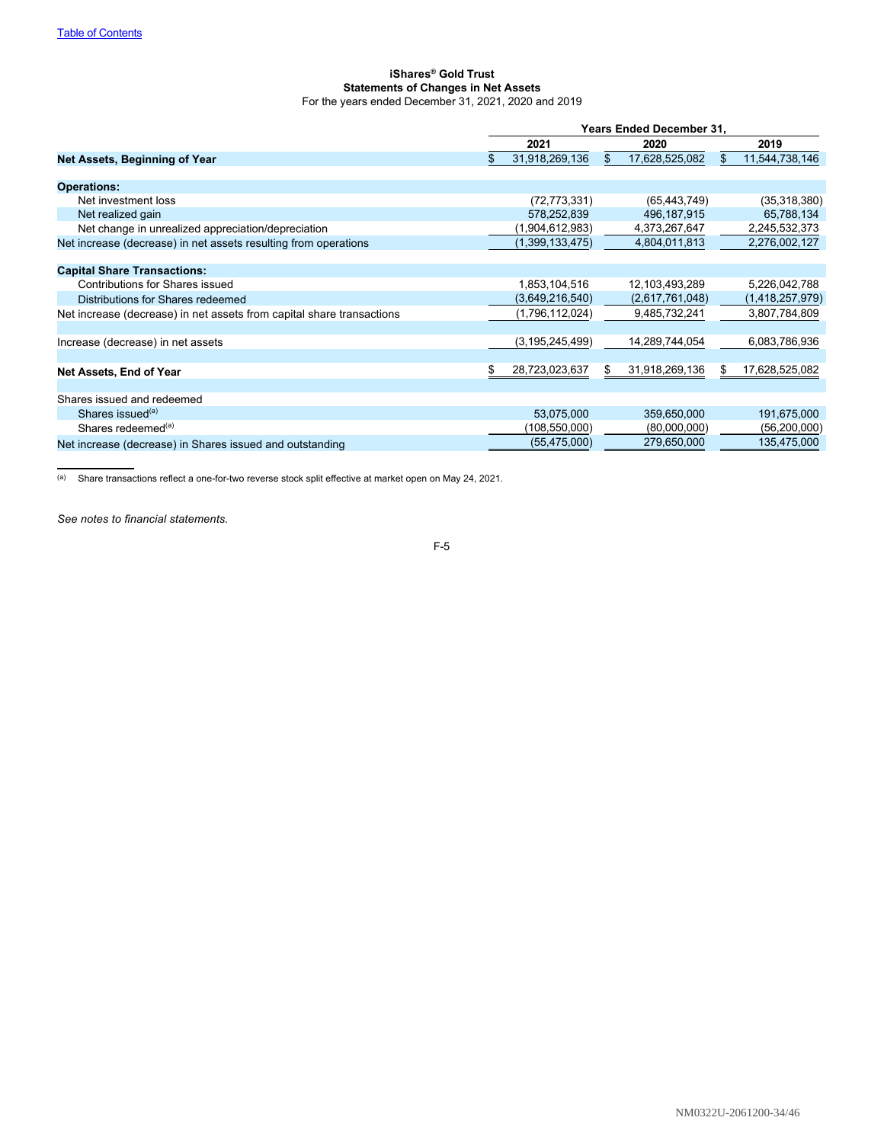## <span id="page-33-0"></span>**iShares® Gold Trust Statements of Changes in Net Assets** For the years ended December 31, 2021, 2020 and 2019

|                                                                       |     | <b>Years Ended December 31,</b> |    |                 |     |                 |  |
|-----------------------------------------------------------------------|-----|---------------------------------|----|-----------------|-----|-----------------|--|
|                                                                       |     | 2021                            |    | 2020            |     | 2019            |  |
| Net Assets, Beginning of Year                                         | S   | 31,918,269,136                  | \$ | 17,628,525,082  | \$. | 11,544,738,146  |  |
| <b>Operations:</b>                                                    |     |                                 |    |                 |     |                 |  |
| Net investment loss                                                   |     | (72, 773, 331)                  |    | (65, 443, 749)  |     | (35,318,380)    |  |
| Net realized gain                                                     |     | 578,252,839                     |    | 496, 187, 915   |     | 65,788,134      |  |
| Net change in unrealized appreciation/depreciation                    |     | (1,904,612,983)                 |    | 4,373,267,647   |     | 2,245,532,373   |  |
| Net increase (decrease) in net assets resulting from operations       |     | (1,399,133,475)                 |    | 4,804,011,813   |     | 2,276,002,127   |  |
| <b>Capital Share Transactions:</b>                                    |     |                                 |    |                 |     |                 |  |
| <b>Contributions for Shares issued</b>                                |     | 1,853,104,516                   |    | 12,103,493,289  |     | 5,226,042,788   |  |
| Distributions for Shares redeemed                                     |     | (3,649,216,540)                 |    | (2,617,761,048) |     | (1,418,257,979) |  |
| Net increase (decrease) in net assets from capital share transactions |     | (1,796,112,024)                 |    | 9,485,732,241   |     | 3,807,784,809   |  |
| Increase (decrease) in net assets                                     |     | (3, 195, 245, 499)              |    | 14,289,744,054  |     | 6,083,786,936   |  |
| Net Assets, End of Year                                               | \$. | 28,723,023,637                  | S  | 31,918,269,136  | S.  | 17,628,525,082  |  |
| Shares issued and redeemed                                            |     |                                 |    |                 |     |                 |  |
| Shares issued <sup>(a)</sup>                                          |     | 53,075,000                      |    | 359,650,000     |     | 191,675,000     |  |
| Shares redeemed <sup>(a)</sup>                                        |     | (108,550,000)                   |    | (80,000,000)    |     | (56, 200, 000)  |  |
| Net increase (decrease) in Shares issued and outstanding              |     | (55, 475, 000)                  |    | 279,650,000     |     | 135,475,000     |  |

 $\overline{a}$  Share transactions reflect a one-for-two reverse stock split effective at market open on May 24, 2021.

*See notes to financial statements.*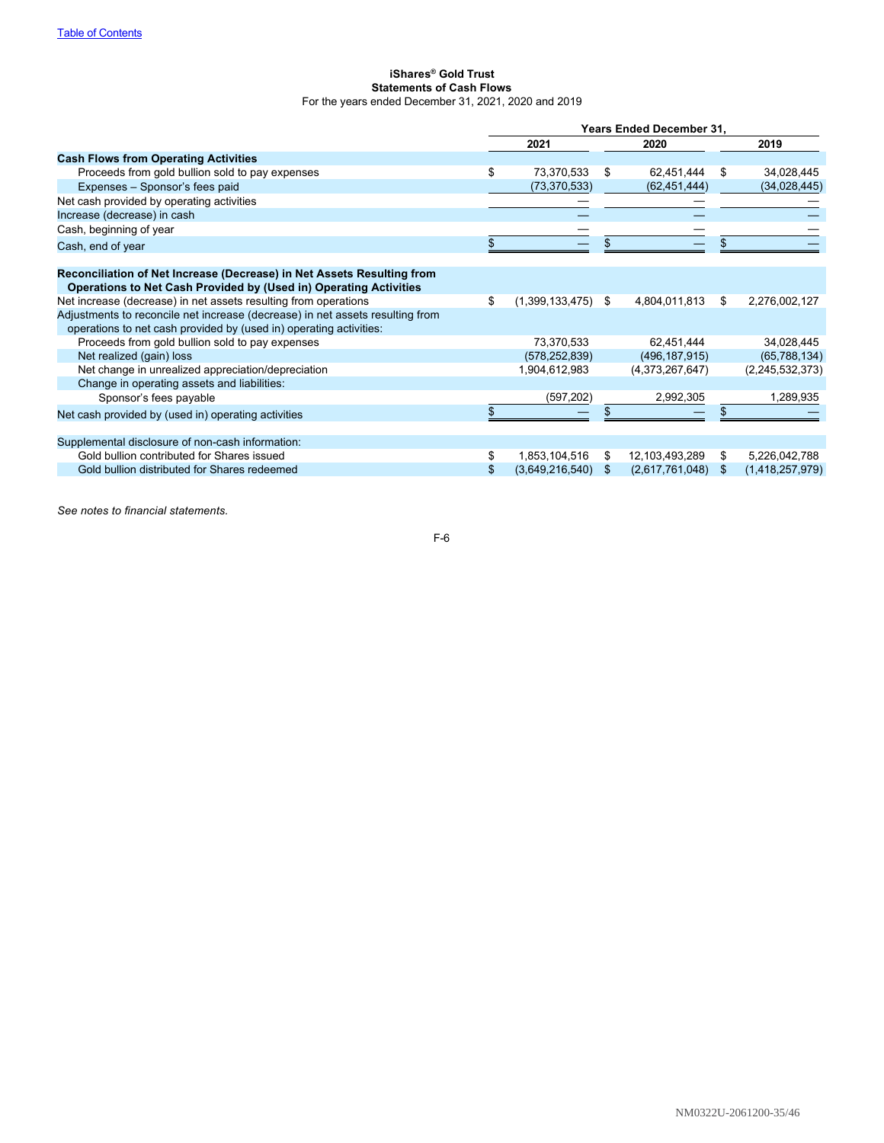## <span id="page-34-0"></span>**iShares® Gold Trust Statements of Cash Flows** For the years ended December 31, 2021, 2020 and 2019

|                                                                                                                                             | Years Ended December 31, |                      |      |                      |    |                 |
|---------------------------------------------------------------------------------------------------------------------------------------------|--------------------------|----------------------|------|----------------------|----|-----------------|
|                                                                                                                                             |                          | 2021                 |      | 2020                 |    | 2019            |
| <b>Cash Flows from Operating Activities</b>                                                                                                 |                          |                      |      |                      |    |                 |
| Proceeds from gold bullion sold to pay expenses                                                                                             | \$                       | 73,370,533           | \$   | 62,451,444           | \$ | 34,028,445      |
| Expenses - Sponsor's fees paid                                                                                                              |                          | (73, 370, 533)       |      | (62, 451, 444)       |    | (34,028,445)    |
| Net cash provided by operating activities                                                                                                   |                          |                      |      |                      |    |                 |
| Increase (decrease) in cash                                                                                                                 |                          |                      |      |                      |    |                 |
| Cash, beginning of year                                                                                                                     |                          |                      |      |                      |    |                 |
| Cash, end of year                                                                                                                           |                          |                      |      |                      |    |                 |
| Reconciliation of Net Increase (Decrease) in Net Assets Resulting from<br>Operations to Net Cash Provided by (Used in) Operating Activities |                          |                      |      |                      |    |                 |
| Net increase (decrease) in net assets resulting from operations                                                                             | \$                       | $(1,399,133,475)$ \$ |      | 4,804,011,813        | S. | 2,276,002,127   |
| Adjustments to reconcile net increase (decrease) in net assets resulting from                                                               |                          |                      |      |                      |    |                 |
| operations to net cash provided by (used in) operating activities:                                                                          |                          |                      |      |                      |    |                 |
| Proceeds from gold bullion sold to pay expenses                                                                                             |                          | 73,370,533           |      | 62,451,444           |    | 34,028,445      |
| Net realized (gain) loss                                                                                                                    |                          | (578, 252, 839)      |      | (496, 187, 915)      |    | (65,788,134)    |
| Net change in unrealized appreciation/depreciation                                                                                          |                          | 1,904,612,983        |      | (4,373,267,647)      |    | (2,245,532,373) |
| Change in operating assets and liabilities:                                                                                                 |                          |                      |      |                      |    |                 |
| Sponsor's fees payable                                                                                                                      |                          | (597, 202)           |      | 2,992,305            |    | 1,289,935       |
| Net cash provided by (used in) operating activities                                                                                         |                          |                      |      |                      |    |                 |
| Supplemental disclosure of non-cash information:                                                                                            |                          |                      |      |                      |    |                 |
| Gold bullion contributed for Shares issued                                                                                                  | \$                       | 1,853,104,516        | \$   | 12,103,493,289       | \$ | 5,226,042,788   |
| Gold bullion distributed for Shares redeemed                                                                                                | \$                       | (3,649,216,540)      | - \$ | $(2,617,761,048)$ \$ |    | (1,418,257,979) |
|                                                                                                                                             |                          |                      |      |                      |    |                 |

*See notes to financial statements.*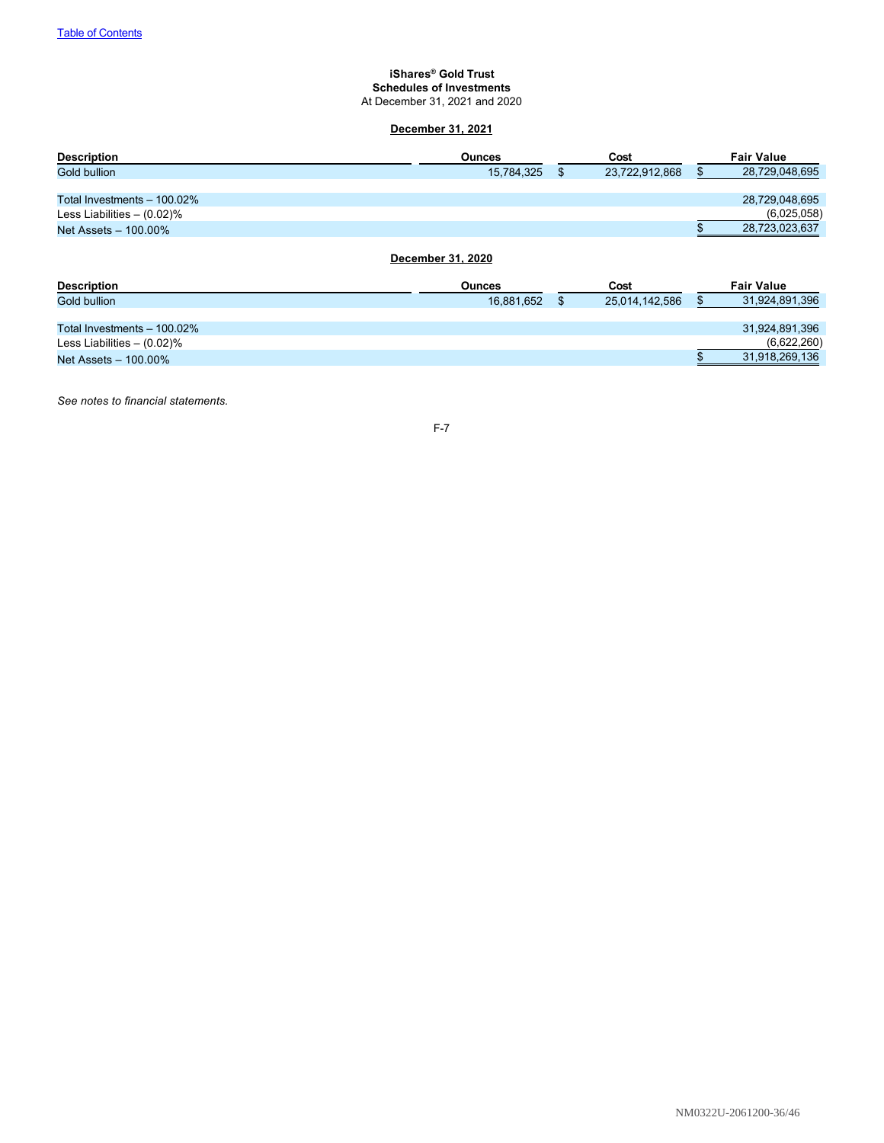## <span id="page-35-0"></span>**iShares® Gold Trust Schedules of Investments** At December 31, 2021 and 2020

# **December 31, 2021**

| <b>Description</b>            | <b>Ounces</b>                      | Cost                 | <b>Fair Value</b>    |
|-------------------------------|------------------------------------|----------------------|----------------------|
| <b>Gold bullion</b>           | 15,784,325                         | \$<br>23,722,912,868 | \$<br>28,729,048,695 |
|                               |                                    |                      |                      |
| Total Investments - 100.02%   |                                    |                      | 28,729,048,695       |
| Less Liabilities $-$ (0.02)%  |                                    |                      | (6,025,058)          |
| Net Assets - 100.00%          |                                    |                      | 28,723,023,637       |
| <b>Description</b>            | December 31, 2020<br><b>Ounces</b> | Cost                 | <b>Fair Value</b>    |
| Gold bullion                  | 16,881,652                         | \$<br>25,014,142,586 | \$<br>31,924,891,396 |
|                               |                                    |                      |                      |
| Total Investments - 100.02%   |                                    |                      | 31,924,891,396       |
| Less Liabilities $- (0.02)\%$ |                                    |                      | (6,622,260)          |
| Net Assets - 100.00%          |                                    |                      | 31,918,269,136       |

*See notes to financial statements.*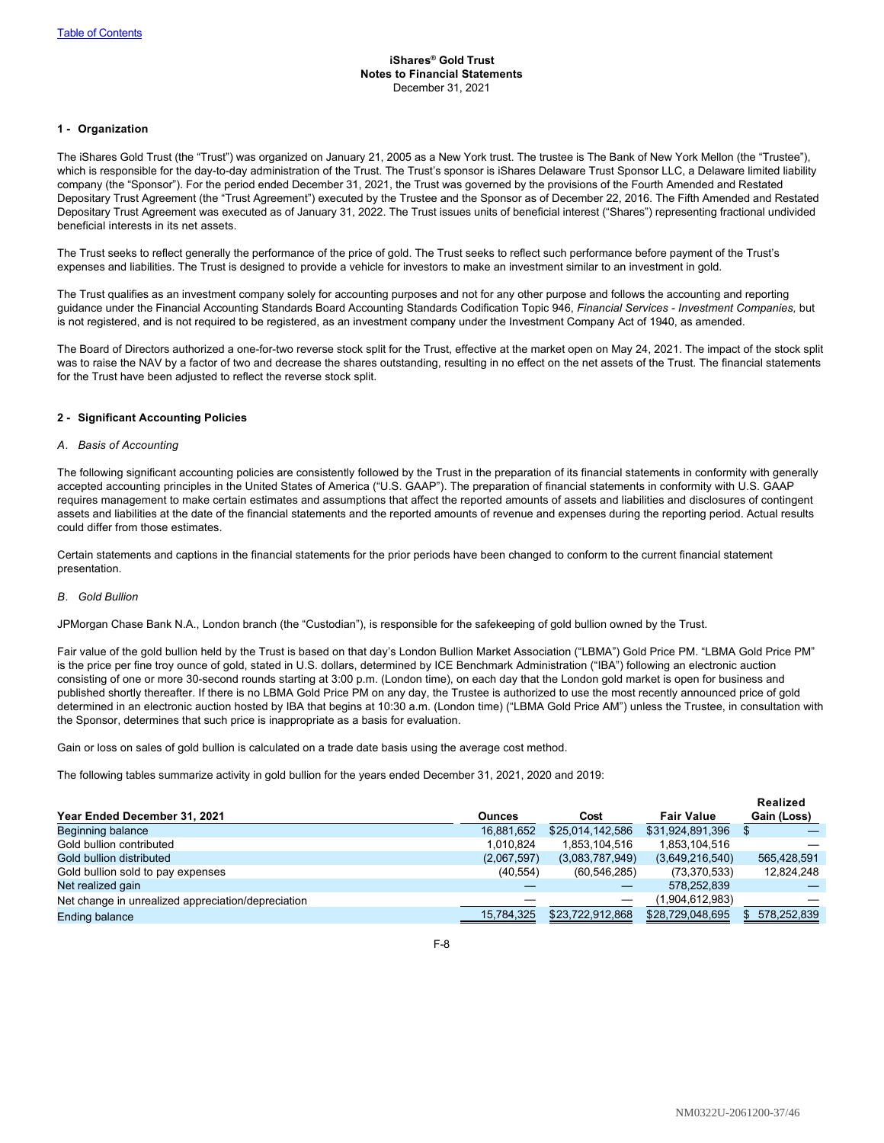## <span id="page-36-0"></span>**iShares® Gold Trust Notes to Financial Statements** December 31, 2021

## **1 - Organization**

The iShares Gold Trust (the "Trust") was organized on January 21, 2005 as a New York trust. The trustee is The Bank of New York Mellon (the "Trustee"), which is responsible for the day-to-day administration of the Trust. The Trust's sponsor is iShares Delaware Trust Sponsor LLC, a Delaware limited liability company (the "Sponsor"). For the period ended December 31, 2021, the Trust was governed by the provisions of the Fourth Amended and Restated Depositary Trust Agreement (the "Trust Agreement") executed by the Trustee and the Sponsor as of December 22, 2016. The Fifth Amended and Restated Depositary Trust Agreement was executed as of January 31, 2022. The Trust issues units of beneficial interest ("Shares") representing fractional undivided beneficial interests in its net assets.

The Trust seeks to reflect generally the performance of the price of gold. The Trust seeks to reflect such performance before payment of the Trust's expenses and liabilities. The Trust is designed to provide a vehicle for investors to make an investment similar to an investment in gold.

The Trust qualifies as an investment company solely for accounting purposes and not for any other purpose and follows the accounting and reporting guidance under the Financial Accounting Standards Board Accounting Standards Codification Topic 946, *Financial Services - Investment Companies,* but is not registered, and is not required to be registered, as an investment company under the Investment Company Act of 1940, as amended.

The Board of Directors authorized a one-for-two reverse stock split for the Trust, effective at the market open on May 24, 2021. The impact of the stock split was to raise the NAV by a factor of two and decrease the shares outstanding, resulting in no effect on the net assets of the Trust. The financial statements for the Trust have been adjusted to reflect the reverse stock split.

## **2 - Significant Accounting Policies**

## *A. Basis of Accounting*

The following significant accounting policies are consistently followed by the Trust in the preparation of its financial statements in conformity with generally accepted accounting principles in the United States of America ("U.S. GAAP"). The preparation of financial statements in conformity with U.S. GAAP requires management to make certain estimates and assumptions that affect the reported amounts of assets and liabilities and disclosures of contingent assets and liabilities at the date of the financial statements and the reported amounts of revenue and expenses during the reporting period. Actual results could differ from those estimates.

Certain statements and captions in the financial statements for the prior periods have been changed to conform to the current financial statement presentation.

#### *B. Gold Bullion*

JPMorgan Chase Bank N.A., London branch (the "Custodian"), is responsible for the safekeeping of gold bullion owned by the Trust.

Fair value of the gold bullion held by the Trust is based on that day's London Bullion Market Association ("LBMA") Gold Price PM. "LBMA Gold Price PM" is the price per fine troy ounce of gold, stated in U.S. dollars, determined by ICE Benchmark Administration ("IBA") following an electronic auction consisting of one or more 30-second rounds starting at 3:00 p.m. (London time), on each day that the London gold market is open for business and published shortly thereafter. If there is no LBMA Gold Price PM on any day, the Trustee is authorized to use the most recently announced price of gold determined in an electronic auction hosted by IBA that begins at 10:30 a.m. (London time) ("LBMA Gold Price AM") unless the Trustee, in consultation with the Sponsor, determines that such price is inappropriate as a basis for evaluation.

Gain or loss on sales of gold bullion is calculated on a trade date basis using the average cost method.

The following tables summarize activity in gold bullion for the years ended December 31, 2021, 2020 and 2019:

|                                                    |               |                  |                   | Realized    |
|----------------------------------------------------|---------------|------------------|-------------------|-------------|
| Year Ended December 31, 2021                       | <b>Ounces</b> | Cost             | <b>Fair Value</b> | Gain (Loss) |
| Beginning balance                                  | 16,881,652    | \$25,014,142,586 | \$31,924,891,396  |             |
| Gold bullion contributed                           | 1.010.824     | 1,853,104,516    | 1,853,104,516     |             |
| Gold bullion distributed                           | (2,067,597)   | (3,083,787,949)  | (3,649,216,540)   | 565,428,591 |
| Gold bullion sold to pay expenses                  | (40, 554)     | (60, 546, 285)   | (73, 370, 533)    | 12,824,248  |
| Net realized gain                                  |               |                  | 578,252,839       |             |
| Net change in unrealized appreciation/depreciation |               |                  | (1,904,612,983)   |             |
| <b>Ending balance</b>                              | 15,784,325    | \$23,722,912,868 | \$28,729,048,695  | 578,252,839 |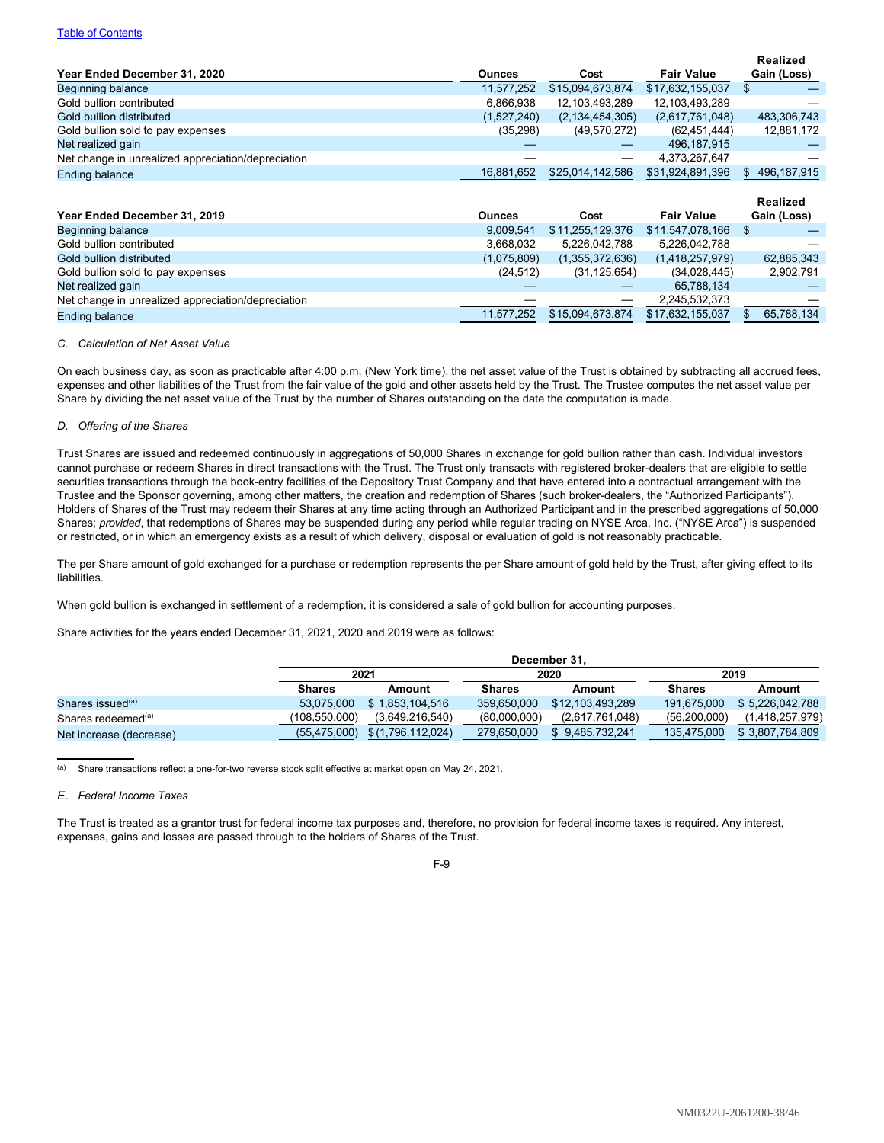## **[Table of Contents](#page-3-0)**

|                                                    |               |                    |                   | <b>Realized</b>      |
|----------------------------------------------------|---------------|--------------------|-------------------|----------------------|
| Year Ended December 31, 2020                       | <b>Ounces</b> | Cost               | <b>Fair Value</b> | Gain (Loss)          |
| Beginning balance                                  | 11,577,252    | \$15,094,673,874   | \$17,632,155,037  | \$                   |
| Gold bullion contributed                           | 6,866,938     | 12,103,493,289     | 12,103,493,289    |                      |
| Gold bullion distributed                           | (1,527,240)   | (2, 134, 454, 305) | (2,617,761,048)   | 483,306,743          |
| Gold bullion sold to pay expenses                  | (35, 298)     | (49, 570, 272)     | (62, 451, 444)    | 12,881,172           |
| Net realized gain                                  |               |                    | 496, 187, 915     |                      |
| Net change in unrealized appreciation/depreciation |               |                    | 4,373,267,647     |                      |
| <b>Ending balance</b>                              | 16,881,652    | \$25,014,142,586   | \$31,924,891,396  | 496, 187, 915<br>\$. |
|                                                    |               |                    |                   | Realized             |
| Year Ended December 31, 2019                       | <b>Ounces</b> | Cost               | <b>Fair Value</b> | Gain (Loss)          |
| Beginning balance                                  | 9.009.541     |                    |                   |                      |
|                                                    |               | \$11,255,129,376   | \$11,547,078,166  | \$                   |
| Gold bullion contributed                           | 3,668,032     | 5,226,042,788      | 5,226,042,788     |                      |
| Gold bullion distributed                           | (1,075,809)   | (1,355,372,636)    | (1,418,257,979)   | 62,885,343           |
| Gold bullion sold to pay expenses                  | (24, 512)     | (31, 125, 654)     | (34,028,445)      | 2,902,791            |
| Net realized gain                                  |               |                    | 65,788,134        |                      |
| Net change in unrealized appreciation/depreciation |               |                    | 2,245,532,373     |                      |

## *C. Calculation of Net Asset Value*

On each business day, as soon as practicable after 4:00 p.m. (New York time), the net asset value of the Trust is obtained by subtracting all accrued fees, expenses and other liabilities of the Trust from the fair value of the gold and other assets held by the Trust. The Trustee computes the net asset value per Share by dividing the net asset value of the Trust by the number of Shares outstanding on the date the computation is made.

#### *D. Offering of the Shares*

Trust Shares are issued and redeemed continuously in aggregations of 50,000 Shares in exchange for gold bullion rather than cash. Individual investors cannot purchase or redeem Shares in direct transactions with the Trust. The Trust only transacts with registered broker-dealers that are eligible to settle securities transactions through the book-entry facilities of the Depository Trust Company and that have entered into a contractual arrangement with the Trustee and the Sponsor governing, among other matters, the creation and redemption of Shares (such broker-dealers, the "Authorized Participants"). Holders of Shares of the Trust may redeem their Shares at any time acting through an Authorized Participant and in the prescribed aggregations of 50,000 Shares; *provided*, that redemptions of Shares may be suspended during any period while regular trading on NYSE Arca, Inc. ("NYSE Arca") is suspended or restricted, or in which an emergency exists as a result of which delivery, disposal or evaluation of gold is not reasonably practicable.

The per Share amount of gold exchanged for a purchase or redemption represents the per Share amount of gold held by the Trust, after giving effect to its liabilities.

When gold bullion is exchanged in settlement of a redemption, it is considered a sale of gold bullion for accounting purposes.

Share activities for the years ended December 31, 2021, 2020 and 2019 were as follows:

|                                |                | December 31.      |               |                  |                |                 |  |
|--------------------------------|----------------|-------------------|---------------|------------------|----------------|-----------------|--|
|                                |                | 2021              |               | 2020             | 2019           |                 |  |
|                                | <b>Shares</b>  | Amount            | <b>Shares</b> | Amount           | <b>Shares</b>  | Amount          |  |
| Shares issued <sup>(a)</sup>   | 53.075.000     | \$1,853,104,516   | 359.650.000   | \$12.103.493.289 | 191.675.000    | \$5.226.042.788 |  |
| Shares redeemed <sup>(a)</sup> | (108.550.000)  | (3,649,216,540)   | (80,000,000)  | (2,617,761,048)  | (56, 200, 000) | (1,418,257,979) |  |
| Net increase (decrease)        | (55, 475, 000) | \$(1.796.112.024) | 279,650,000   | \$9.485.732.241  | 135.475.000    | \$3,807,784,809 |  |

(a) Share transactions reflect a one-for-two reverse stock split effective at market open on May 24, 2021.

#### *E. Federal Income Taxes*

The Trust is treated as a grantor trust for federal income tax purposes and, therefore, no provision for federal income taxes is required. Any interest, expenses, gains and losses are passed through to the holders of Shares of the Trust.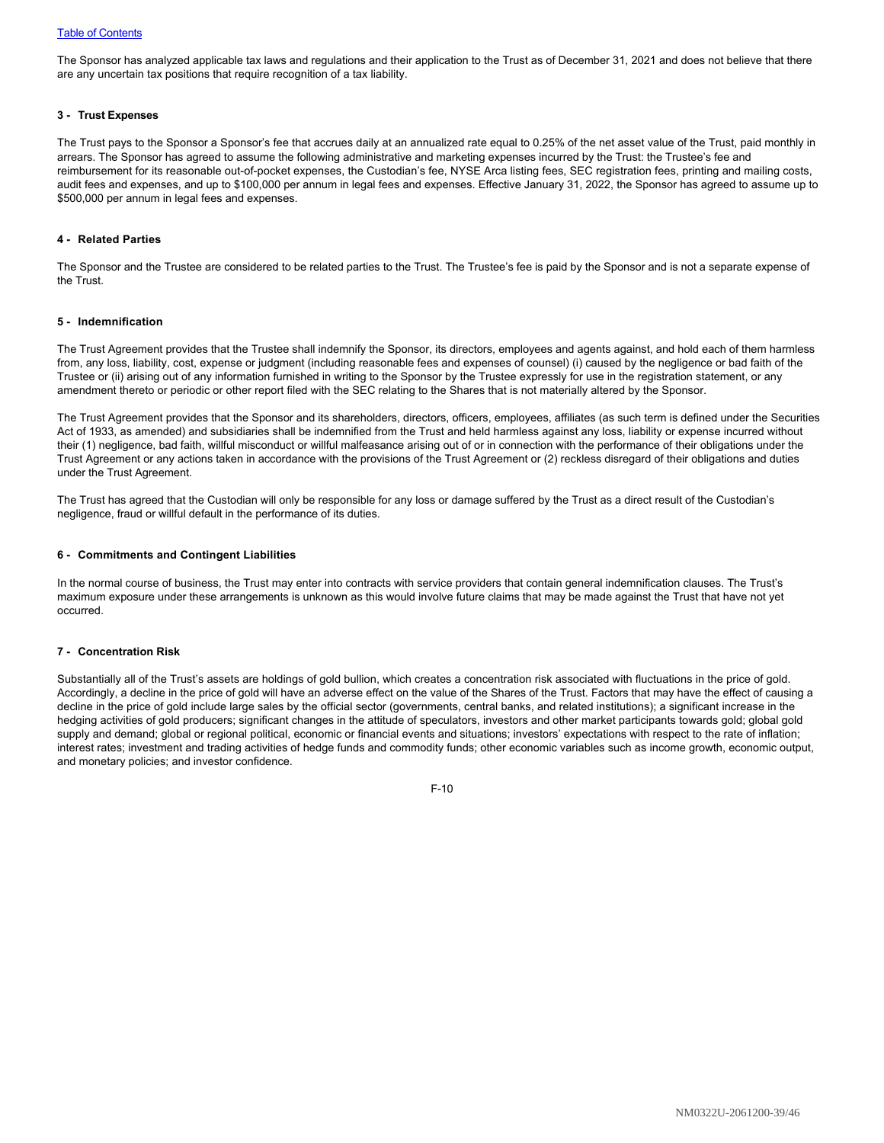The Sponsor has analyzed applicable tax laws and regulations and their application to the Trust as of December 31, 2021 and does not believe that there are any uncertain tax positions that require recognition of a tax liability.

## **3 - Trust Expenses**

The Trust pays to the Sponsor a Sponsor's fee that accrues daily at an annualized rate equal to 0.25% of the net asset value of the Trust, paid monthly in arrears. The Sponsor has agreed to assume the following administrative and marketing expenses incurred by the Trust: the Trustee's fee and reimbursement for its reasonable out-of-pocket expenses, the Custodian's fee, NYSE Arca listing fees, SEC registration fees, printing and mailing costs, audit fees and expenses, and up to \$100,000 per annum in legal fees and expenses. Effective January 31, 2022, the Sponsor has agreed to assume up to \$500,000 per annum in legal fees and expenses.

## **4 - Related Parties**

The Sponsor and the Trustee are considered to be related parties to the Trust. The Trustee's fee is paid by the Sponsor and is not a separate expense of the Trust.

#### **5 - Indemnification**

The Trust Agreement provides that the Trustee shall indemnify the Sponsor, its directors, employees and agents against, and hold each of them harmless from, any loss, liability, cost, expense or judgment (including reasonable fees and expenses of counsel) (i) caused by the negligence or bad faith of the Trustee or (ii) arising out of any information furnished in writing to the Sponsor by the Trustee expressly for use in the registration statement, or any amendment thereto or periodic or other report filed with the SEC relating to the Shares that is not materially altered by the Sponsor.

The Trust Agreement provides that the Sponsor and its shareholders, directors, officers, employees, affiliates (as such term is defined under the Securities Act of 1933, as amended) and subsidiaries shall be indemnified from the Trust and held harmless against any loss, liability or expense incurred without their (1) negligence, bad faith, willful misconduct or willful malfeasance arising out of or in connection with the performance of their obligations under the Trust Agreement or any actions taken in accordance with the provisions of the Trust Agreement or (2) reckless disregard of their obligations and duties under the Trust Agreement.

The Trust has agreed that the Custodian will only be responsible for any loss or damage suffered by the Trust as a direct result of the Custodian's negligence, fraud or willful default in the performance of its duties.

#### **6 - Commitments and Contingent Liabilities**

In the normal course of business, the Trust may enter into contracts with service providers that contain general indemnification clauses. The Trust's maximum exposure under these arrangements is unknown as this would involve future claims that may be made against the Trust that have not yet occurred.

## **7 - Concentration Risk**

Substantially all of the Trust's assets are holdings of gold bullion, which creates a concentration risk associated with fluctuations in the price of gold. Accordingly, a decline in the price of gold will have an adverse effect on the value of the Shares of the Trust. Factors that may have the effect of causing a decline in the price of gold include large sales by the official sector (governments, central banks, and related institutions); a significant increase in the hedging activities of gold producers; significant changes in the attitude of speculators, investors and other market participants towards gold; global gold supply and demand; global or regional political, economic or financial events and situations; investors' expectations with respect to the rate of inflation; interest rates; investment and trading activities of hedge funds and commodity funds; other economic variables such as income growth, economic output, and monetary policies; and investor confidence.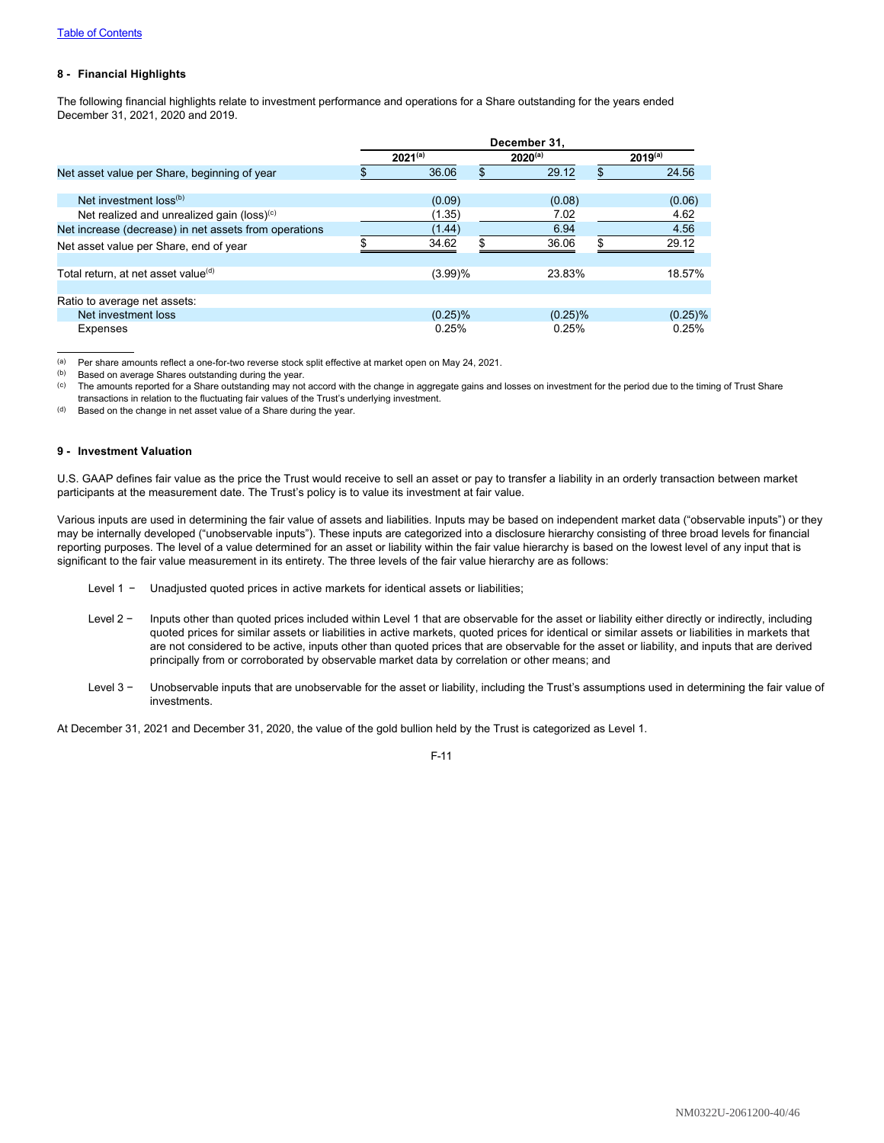## **8 - Financial Highlights**

The following financial highlights relate to investment performance and operations for a Share outstanding for the years ended December 31, 2021, 2020 and 2019.

|                                                        | December 31. |              |  |              |  |              |
|--------------------------------------------------------|--------------|--------------|--|--------------|--|--------------|
|                                                        |              | $2021^{(a)}$ |  | $2020^{(a)}$ |  | $2019^{(a)}$ |
| Net asset value per Share, beginning of year           |              | 36.06        |  | 29.12        |  | 24.56        |
|                                                        |              |              |  |              |  |              |
| Net investment loss <sup>(b)</sup>                     |              | (0.09)       |  | (0.08)       |  | (0.06)       |
| Net realized and unrealized gain (loss) <sup>(c)</sup> |              | (1.35)       |  | 7.02         |  | 4.62         |
| Net increase (decrease) in net assets from operations  |              | (1.44)       |  | 6.94         |  | 4.56         |
| Net asset value per Share, end of year                 |              | 34.62        |  | 36.06        |  | 29.12        |
|                                                        |              |              |  |              |  |              |
| Total return, at net asset value <sup>(d)</sup>        |              | (3.99)%      |  | 23.83%       |  | 18.57%       |
|                                                        |              |              |  |              |  |              |
| Ratio to average net assets:                           |              |              |  |              |  |              |
| Net investment loss                                    |              | (0.25)%      |  | (0.25)%      |  | $(0.25)\%$   |
| Expenses                                               |              | 0.25%        |  | 0.25%        |  | 0.25%        |

(a) Per share amounts reflect a one-for-two reverse stock split effective at market open on May 24, 2021.<br>(b) Based on average Shares outstanding during the vear

(b) Based on average Shares outstanding during the year.<br>(c) The amounts reported for a Share outstanding may not

The amounts reported for a Share outstanding may not accord with the change in aggregate gains and losses on investment for the period due to the timing of Trust Share transactions in relation to the fluctuating fair values of the Trust's underlying investment.

(d) Based on the change in net asset value of a Share during the year.

## **9 - Investment Valuation**

U.S. GAAP defines fair value as the price the Trust would receive to sell an asset or pay to transfer a liability in an orderly transaction between market participants at the measurement date. The Trust's policy is to value its investment at fair value.

Various inputs are used in determining the fair value of assets and liabilities. Inputs may be based on independent market data ("observable inputs") or they may be internally developed ("unobservable inputs"). These inputs are categorized into a disclosure hierarchy consisting of three broad levels for financial reporting purposes. The level of a value determined for an asset or liability within the fair value hierarchy is based on the lowest level of any input that is significant to the fair value measurement in its entirety. The three levels of the fair value hierarchy are as follows:

- Level 1 − Unadjusted quoted prices in active markets for identical assets or liabilities;
- Level 2 − Inputs other than quoted prices included within Level 1 that are observable for the asset or liability either directly or indirectly, including quoted prices for similar assets or liabilities in active markets, quoted prices for identical or similar assets or liabilities in markets that are not considered to be active, inputs other than quoted prices that are observable for the asset or liability, and inputs that are derived principally from or corroborated by observable market data by correlation or other means; and
- Level 3 −  Unobservable inputs that are unobservable for the asset or liability, including the Trust's assumptions used in determining the fair value of investments.

At December 31, 2021 and December 31, 2020, the value of the gold bullion held by the Trust is categorized as Level 1.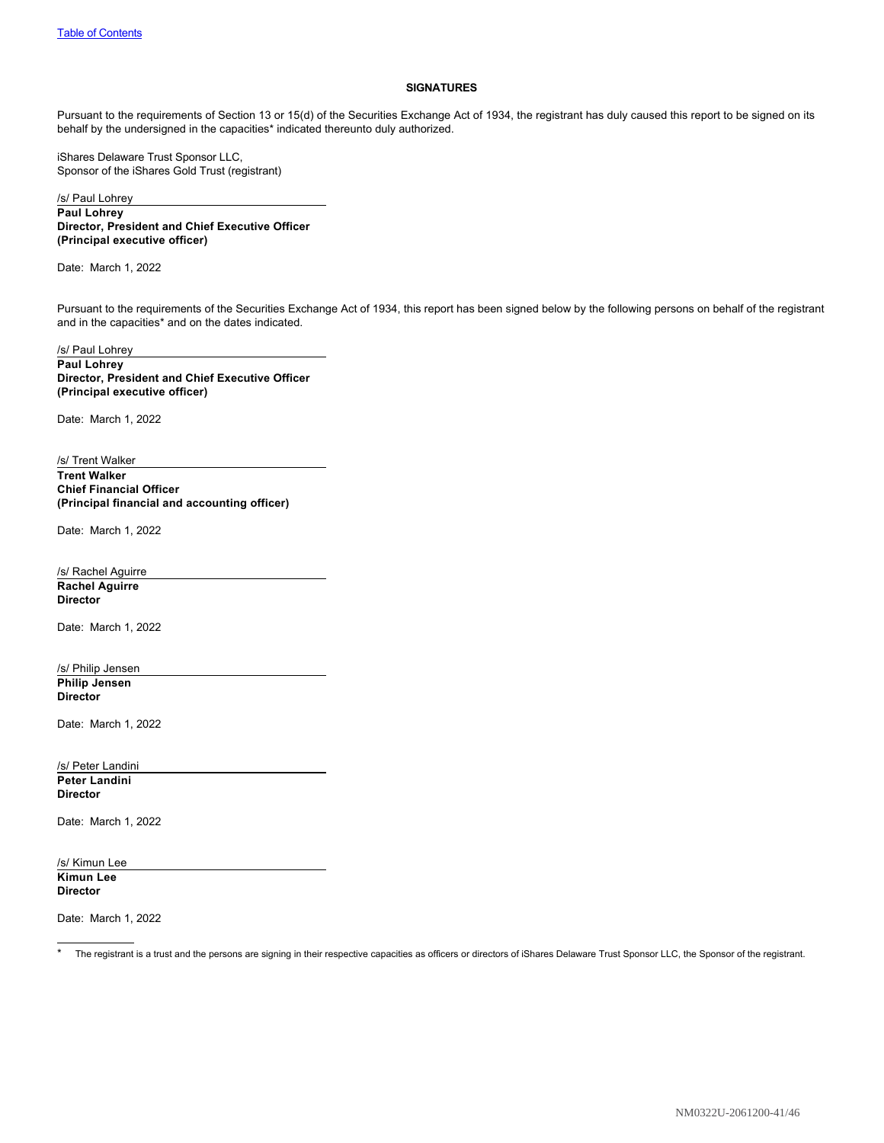# **SIGNATURES**

Pursuant to the requirements of Section 13 or 15(d) of the Securities Exchange Act of 1934, the registrant has duly caused this report to be signed on its behalf by the undersigned in the capacities\* indicated thereunto duly authorized.

iShares Delaware Trust Sponsor LLC, Sponsor of the iShares Gold Trust (registrant)

/s/ Paul Lohrey **Paul Lohrey Director, President and Chief Executive Officer (Principal executive officer)**

Date: March 1, 2022

Pursuant to the requirements of the Securities Exchange Act of 1934, this report has been signed below by the following persons on behalf of the registrant and in the capacities\* and on the dates indicated.

/s/ Paul Lohrey **Paul Lohrey Director, President and Chief Executive Officer (Principal executive officer)**

Date: March 1, 2022

/s/ Trent Walker

**Trent Walker Chief Financial Officer (Principal financial and accounting officer)**

Date: March 1, 2022

/s/ Rachel Aguirre **Rachel Aguirre Director**

Date: March 1, 2022

/s/ Philip Jensen **Philip Jensen**

**Director**

Date: March 1, 2022

/s/ Peter Landini **Peter Landini Director**

Date: March 1, 2022

/s/ Kimun Lee **Kimun Lee Director**

Date: March 1, 2022

The registrant is a trust and the persons are signing in their respective capacities as officers or directors of iShares Delaware Trust Sponsor LLC, the Sponsor of the registrant.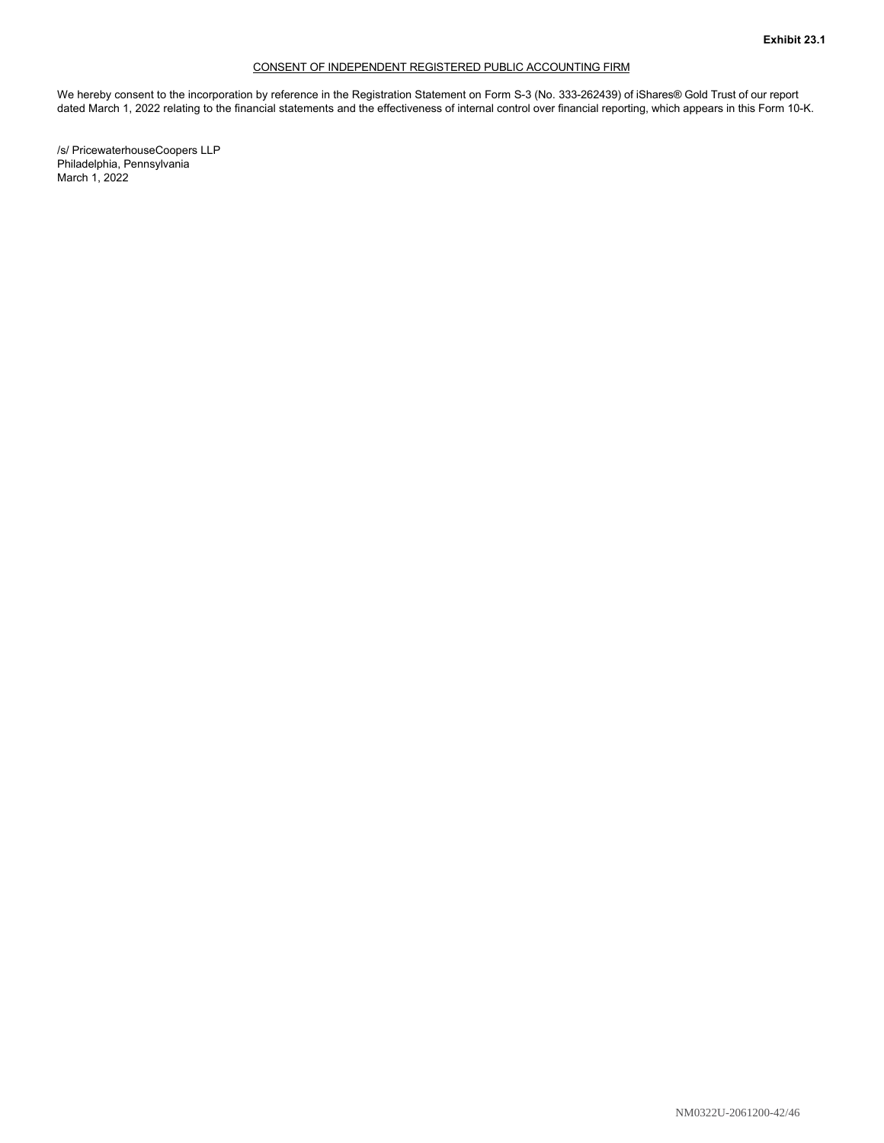# CONSENT OF INDEPENDENT REGISTERED PUBLIC ACCOUNTING FIRM

<span id="page-41-0"></span>We hereby consent to the incorporation by reference in the Registration Statement on Form S-3 (No. 333-262439) of iShares® Gold Trust of our report dated March 1, 2022 relating to the financial statements and the effectiveness of internal control over financial reporting, which appears in this Form 10-K.

/s/ PricewaterhouseCoopers LLP Philadelphia, Pennsylvania March 1, 2022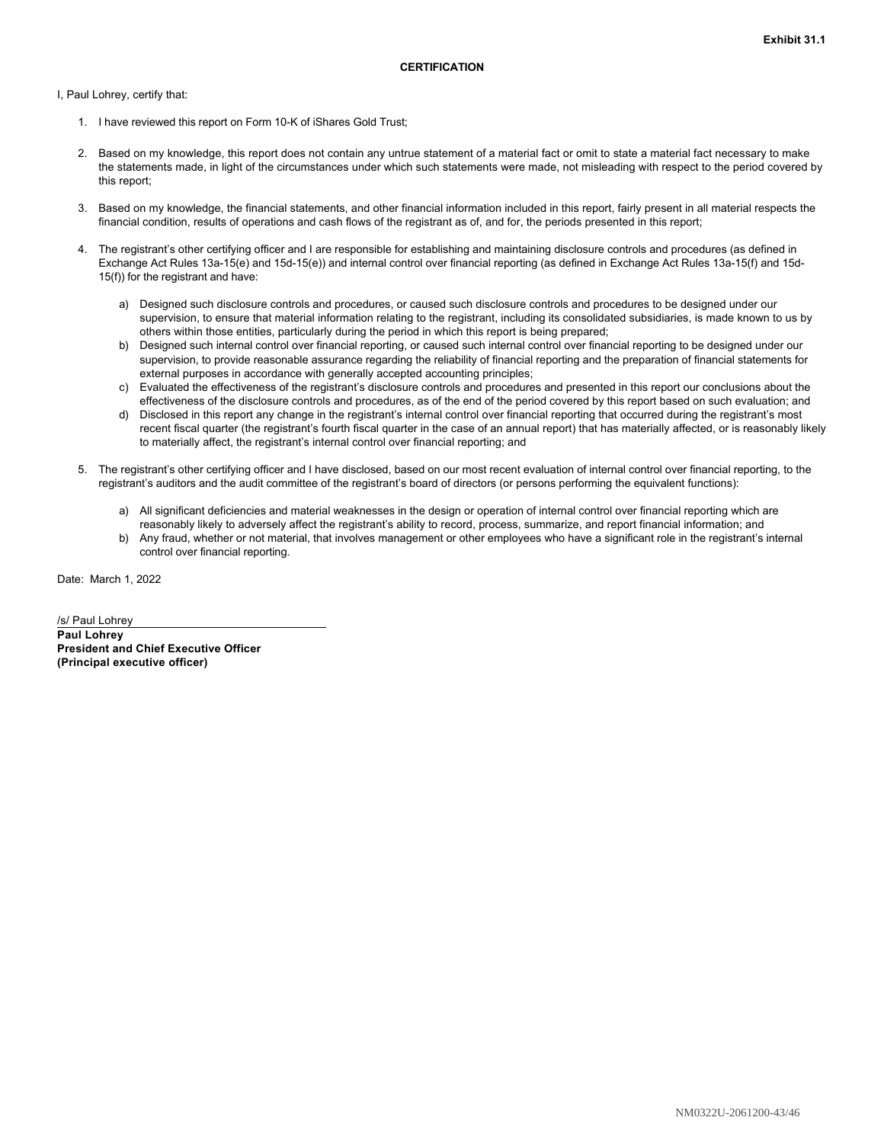<span id="page-42-0"></span>I, Paul Lohrey, certify that:

- 1. I have reviewed this report on Form 10-K of iShares Gold Trust;
- 2. Based on my knowledge, this report does not contain any untrue statement of a material fact or omit to state a material fact necessary to make the statements made, in light of the circumstances under which such statements were made, not misleading with respect to the period covered by this report;
- 3. Based on my knowledge, the financial statements, and other financial information included in this report, fairly present in all material respects the financial condition, results of operations and cash flows of the registrant as of, and for, the periods presented in this report;
- 4. The registrant's other certifying officer and I are responsible for establishing and maintaining disclosure controls and procedures (as defined in Exchange Act Rules 13a-15(e) and 15d-15(e)) and internal control over financial reporting (as defined in Exchange Act Rules 13a-15(f) and 15d-15(f)) for the registrant and have:
	- a) Designed such disclosure controls and procedures, or caused such disclosure controls and procedures to be designed under our supervision, to ensure that material information relating to the registrant, including its consolidated subsidiaries, is made known to us by others within those entities, particularly during the period in which this report is being prepared;
	- b) Designed such internal control over financial reporting, or caused such internal control over financial reporting to be designed under our supervision, to provide reasonable assurance regarding the reliability of financial reporting and the preparation of financial statements for external purposes in accordance with generally accepted accounting principles;
	- c) Evaluated the effectiveness of the registrant's disclosure controls and procedures and presented in this report our conclusions about the effectiveness of the disclosure controls and procedures, as of the end of the period covered by this report based on such evaluation; and
	- d) Disclosed in this report any change in the registrant's internal control over financial reporting that occurred during the registrant's most recent fiscal quarter (the registrant's fourth fiscal quarter in the case of an annual report) that has materially affected, or is reasonably likely to materially affect, the registrant's internal control over financial reporting; and
- 5. The registrant's other certifying officer and I have disclosed, based on our most recent evaluation of internal control over financial reporting, to the registrant's auditors and the audit committee of the registrant's board of directors (or persons performing the equivalent functions):
	- a) All significant deficiencies and material weaknesses in the design or operation of internal control over financial reporting which are reasonably likely to adversely affect the registrant's ability to record, process, summarize, and report financial information; and
	- b) Any fraud, whether or not material, that involves management or other employees who have a significant role in the registrant's internal control over financial reporting.

Date: March 1, 2022

/s/ Paul Lohrey **Paul Lohrey President and Chief Executive Officer (Principal executive officer)**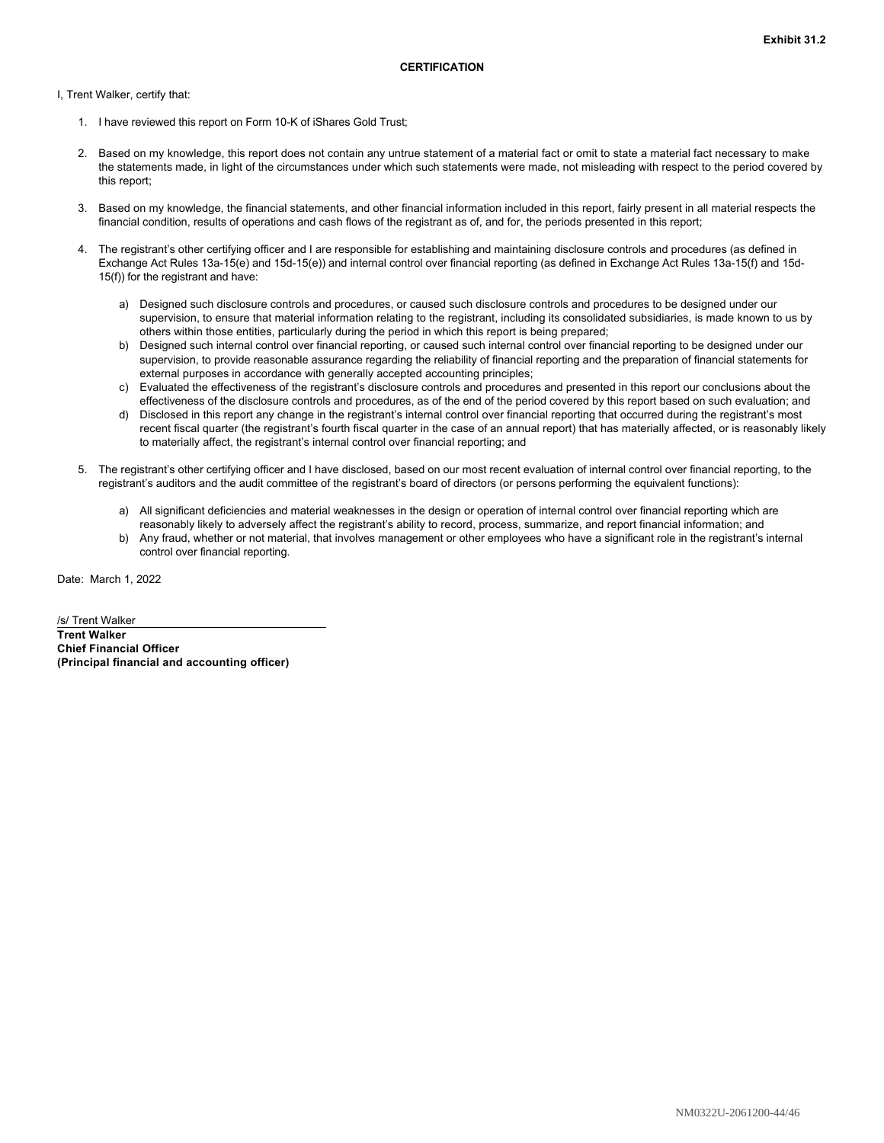<span id="page-43-0"></span>I, Trent Walker, certify that:

- 1. I have reviewed this report on Form 10-K of iShares Gold Trust;
- 2. Based on my knowledge, this report does not contain any untrue statement of a material fact or omit to state a material fact necessary to make the statements made, in light of the circumstances under which such statements were made, not misleading with respect to the period covered by this report;
- 3. Based on my knowledge, the financial statements, and other financial information included in this report, fairly present in all material respects the financial condition, results of operations and cash flows of the registrant as of, and for, the periods presented in this report;
- 4. The registrant's other certifying officer and I are responsible for establishing and maintaining disclosure controls and procedures (as defined in Exchange Act Rules 13a-15(e) and 15d-15(e)) and internal control over financial reporting (as defined in Exchange Act Rules 13a-15(f) and 15d-15(f)) for the registrant and have:
	- a) Designed such disclosure controls and procedures, or caused such disclosure controls and procedures to be designed under our supervision, to ensure that material information relating to the registrant, including its consolidated subsidiaries, is made known to us by others within those entities, particularly during the period in which this report is being prepared;
	- b) Designed such internal control over financial reporting, or caused such internal control over financial reporting to be designed under our supervision, to provide reasonable assurance regarding the reliability of financial reporting and the preparation of financial statements for external purposes in accordance with generally accepted accounting principles;
	- c) Evaluated the effectiveness of the registrant's disclosure controls and procedures and presented in this report our conclusions about the effectiveness of the disclosure controls and procedures, as of the end of the period covered by this report based on such evaluation; and
	- d) Disclosed in this report any change in the registrant's internal control over financial reporting that occurred during the registrant's most recent fiscal quarter (the registrant's fourth fiscal quarter in the case of an annual report) that has materially affected, or is reasonably likely to materially affect, the registrant's internal control over financial reporting; and
- 5. The registrant's other certifying officer and I have disclosed, based on our most recent evaluation of internal control over financial reporting, to the registrant's auditors and the audit committee of the registrant's board of directors (or persons performing the equivalent functions):
	- a) All significant deficiencies and material weaknesses in the design or operation of internal control over financial reporting which are reasonably likely to adversely affect the registrant's ability to record, process, summarize, and report financial information; and
	- b) Any fraud, whether or not material, that involves management or other employees who have a significant role in the registrant's internal control over financial reporting.

Date: March 1, 2022

/s/ Trent Walker **Trent Walker Chief Financial Officer (Principal financial and accounting officer)**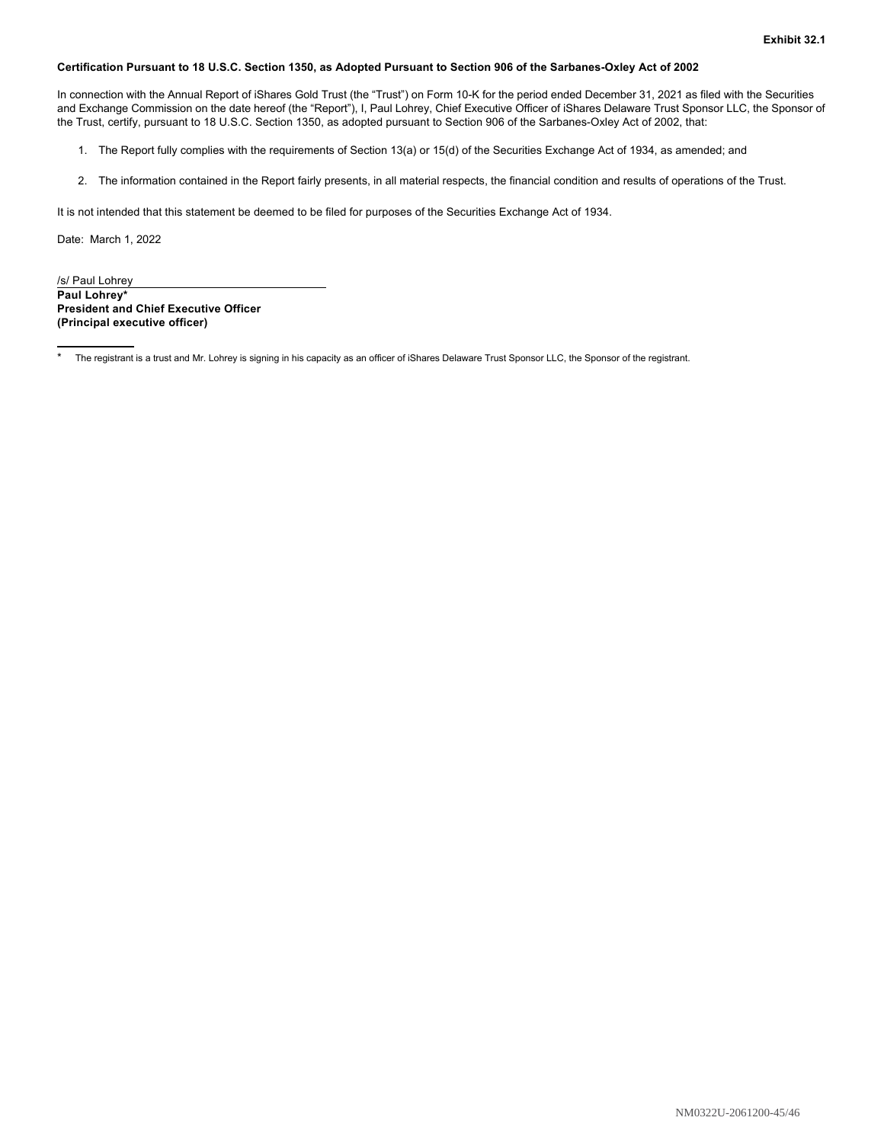## <span id="page-44-0"></span>**Certification Pursuant to 18 U.S.C. Section 1350, as Adopted Pursuant to Section 906 of the Sarbanes-Oxley Act of 2002**

In connection with the Annual Report of iShares Gold Trust (the "Trust") on Form 10-K for the period ended December 31, 2021 as filed with the Securities and Exchange Commission on the date hereof (the "Report"), I, Paul Lohrey, Chief Executive Officer of iShares Delaware Trust Sponsor LLC, the Sponsor of the Trust, certify, pursuant to 18 U.S.C. Section 1350, as adopted pursuant to Section 906 of the Sarbanes-Oxley Act of 2002, that:

- 1. The Report fully complies with the requirements of Section 13(a) or 15(d) of the Securities Exchange Act of 1934, as amended; and
- 2. The information contained in the Report fairly presents, in all material respects, the financial condition and results of operations of the Trust.

It is not intended that this statement be deemed to be filed for purposes of the Securities Exchange Act of 1934.

Date: March 1, 2022

/s/ Paul Lohrey **Paul Lohrey\* President and Chief Executive Officer (Principal executive officer)**

The registrant is a trust and Mr. Lohrey is signing in his capacity as an officer of iShares Delaware Trust Sponsor LLC, the Sponsor of the registrant.